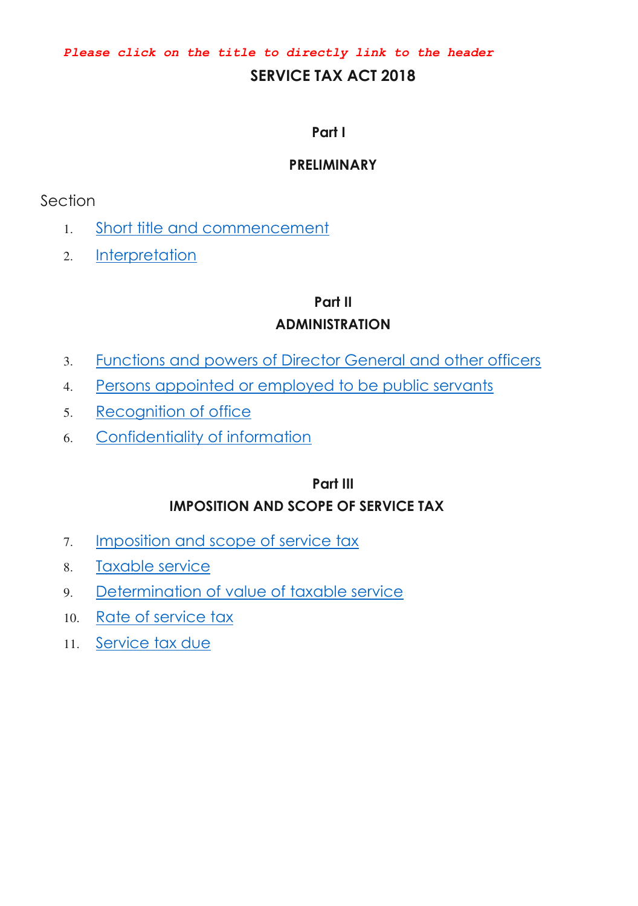*Please click on the title to directly link to the header*

### **SERVICE TAX ACT 2018**

#### **Part I**

#### **PRELIMINARY**

### Section

- 1. [Short title and commencement](#page-6-0)
- 2. [Interpretation](#page-6-1)

#### **Part II**

### **ADMINISTRATION**

- 3. [Functions and powers of Director General and other officers](#page-9-0)
- 4. [Persons appointed or employed to be public servants](#page-9-1)
- 5. [Recognition of office](#page-9-2)
- 6. [Confidentiality of information](#page-10-0)

# **Part III IMPOSITION AND SCOPE OF SERVICE TAX**

- 7. [Imposition and scope of service tax](#page-11-0)
- 8. [Taxable service](#page-12-0)
- 9. [Determination of value of taxable service](#page-12-1)
- 10. [Rate of service tax](#page-13-0)
- 11. [Service tax due](#page-14-0)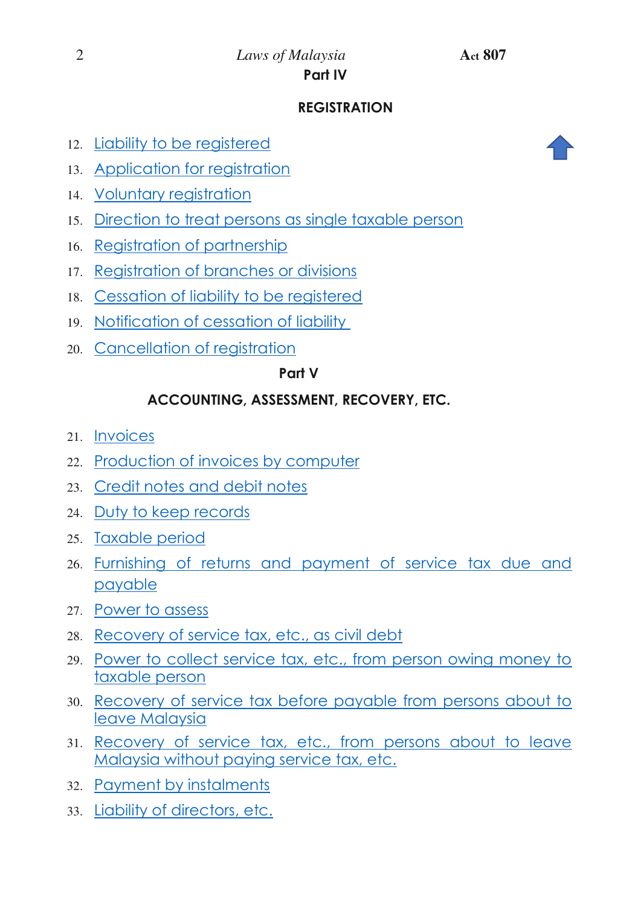#### 2 *Laws of Malaysia* **Act 807 Part IV**

## **REGISTRATION**

- 12. [Liability to be registered](#page-16-0)
- 13. [Application for registration](#page-17-0)
- 14. [Voluntary registration](#page-17-1)
- 15. [Direction to treat persons as single taxable person](#page-17-2)
- 16. [Registration of partnership](#page-20-0)
- 17. [Registration of branches or divisions](#page-22-0)
- 18. [Cessation of liability to be registered](#page-23-0)
- 19. [Notification of cessation of liability](#page-24-0)
- 20. [Cancellation of registration](#page-24-1)

#### **Part V**

## **ACCOUNTING, ASSESSMENT, RECOVERY, ETC.**

- 21. [Invoices](#page-25-0)
- 22. [Production of invoices by computer](#page-26-0)
- 23. [Credit notes and debit notes](#page-26-1)
- 24. [Duty to keep records](#page-26-2)
- 25. [Taxable period](#page-27-0)
- 26. [Furnishing of returns and payment of service tax due and](#page-28-0)  [payable](#page-28-0)
- 27. [Power to assess](#page-30-0)
- 28. [Recovery of service tax, etc., as civil debt](#page-32-0)
- 29. [Power to collect service tax, etc., from person owing money to](#page-33-0)  [taxable person](#page-33-0)
- 30. [Recovery of service tax before payable from persons about to](#page-34-0)  [leave Malaysia](#page-34-0)
- 31. [Recovery of service tax, etc., from persons about to leave](#page-34-1)  [Malaysia without paying service tax, etc.](#page-34-1)
- 32. [Payment by instalments](#page-36-0)
- 33. [Liability of directors, etc.](#page-36-1)

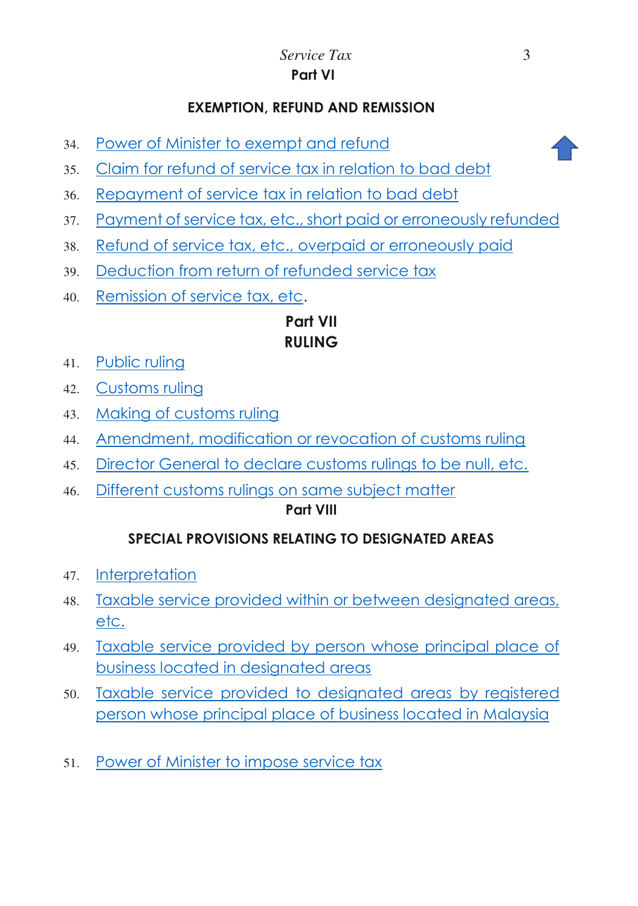### **EXEMPTION, REFUND AND REMISSION**

34. [Power of Minister to exempt and refund](#page-37-0)



- 35. [Claim for refund of service tax in relation to bad debt](#page-38-0)
- 36. [Repayment of service tax in relation to bad debt](#page-38-0)
- 37. [Payment of service tax, etc., short paid or erroneously refunded](#page-40-0)
- 38. [Refund of service tax, etc., overpaid or erroneously paid](#page-41-0)
- 39. [Deduction from return of refunded service tax](#page-41-1)
- 40. [Remission of service tax, etc.](#page-42-0)

# **Part VII RULING**

- 41. [Public ruling](#page-42-1)
- 42. [Customs ruling](#page-43-0)
- 43. [Making of customs ruling](#page-43-1)
- 44. [Amendment, modification or revocation of customs ruling](#page-44-0)
- 45. [Director General to declare customs rulings to be null, etc.](#page-44-1)
- 46. [Different customs rulings on same subject matter](#page-45-0)

#### **Part VIII**

## **SPECIAL PROVISIONS RELATING TO DESIGNATED AREAS**

- 47. [Interpretation](#page-46-0)
- 48. [Taxable service provided within or between designated areas,](#page-45-1)  [etc.](#page-45-1)
- 49. [Taxable service provided by person whose principal place of](#page-45-2)  [business located in designated areas](#page-45-2)
- 50. [Taxable service provided to designated areas by registered](#page-45-3)  [person whose principal place of business located in Malaysia](#page-45-3)
- 51. [Power of Minister to impose service tax](#page-46-1)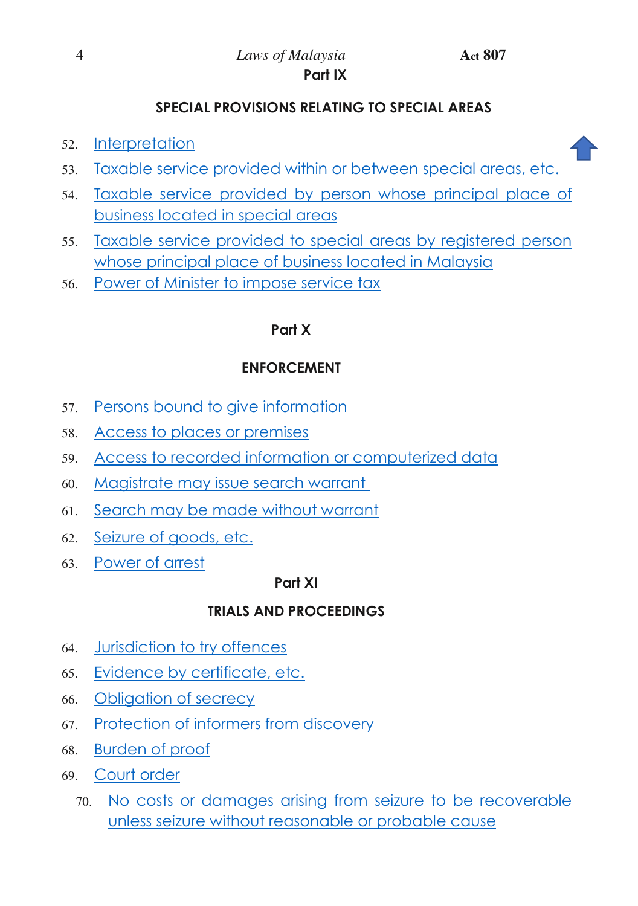i i

### **SPECIAL PROVISIONS RELATING TO SPECIAL AREAS**

- 52. [Interpretation](#page-46-0)
- 53. [Taxable service provided within or between special areas, etc.](#page-46-2)
- 54. [Taxable service provided by person whose principal place of](#page-46-3)  [business located in special areas](#page-46-3)
- 55. [Taxable service provided to special areas by registered person](#page-46-4)  [whose principal place of business located in Malaysia](#page-46-4)
- 56. [Power of Minister to impose service tax](#page-47-0)

#### **Part X**

#### **ENFORCEMENT**

- 57. [Persons bound to give information](#page-47-1)
- 58. [Access to places or premises](#page-48-0)
- 59. [Access to recorded information or computerized data](#page-49-0)
- 60. [Magistrate may issue search warrant](#page-50-0)
- 61. [Search may be made without warrant](#page-51-0)
- 62. [Seizure of goods, etc.](#page-51-1)
- 63. [Power of arrest](#page-52-0)

#### **Part XI**

#### **TRIALS AND PROCEEDINGS**

- 64. [Jurisdiction to try offences](#page-54-0)
- 65. [Evidence by certificate, etc.](#page-54-1)
- 66. [Obligation of secrecy](#page-55-0)
- 67. [Protection of informers from discovery](#page-55-1)
- 68. [Burden of proof](#page-56-0)
- 69. [Court order](#page-56-1)
	- 70. [No costs or damages arising from seizure to be recoverable](#page-57-0)  [unless seizure without reasonable or probable cause](#page-57-0)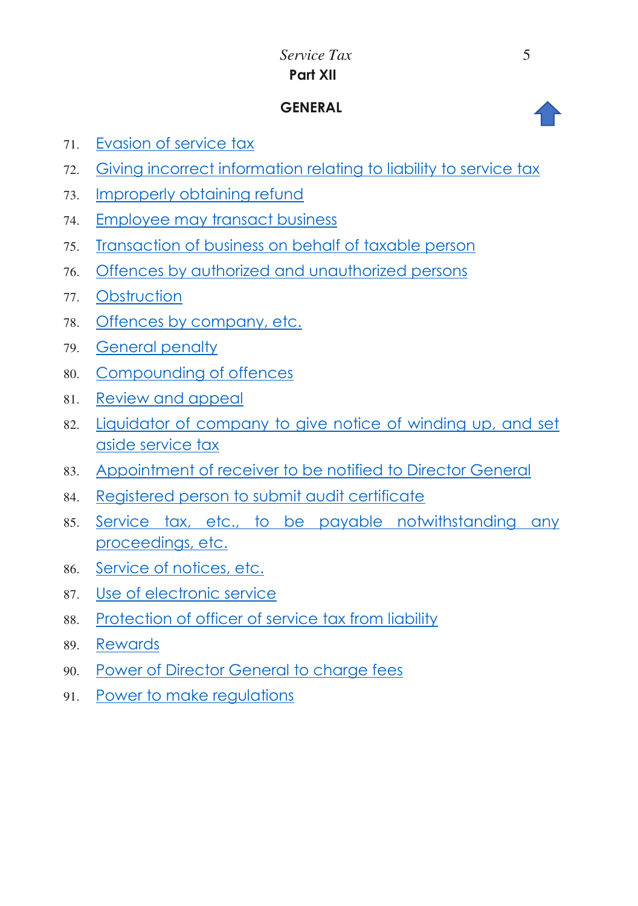# *Service Tax* 5 **Part XII**

### **GENERAL**

- 71. [Evasion of service tax](#page-57-1)
- 72. [Giving incorrect information relating to liability to service tax](#page-59-0)
- 73. [Improperly obtaining refund](#page-59-1)
- 74. [Employee may transact business](#page-59-2)
- 75. [Transaction of business on behalf of taxable person](#page-60-0)
- 76. [Offences by authorized and unauthorized persons](#page-60-1)
- 77. [Obstruction](#page-61-0)
- 78. [Offences by company, etc.](#page-61-1)
- 79. [General penalty](#page-62-0)
- 80. [Compounding of offences](#page-63-0)
- 81. [Review and appeal](#page-64-0)
- 82. [Liquidator of company to give notice of winding up, and set](#page-64-1)  [aside service tax](#page-64-1)
- 83. [Appointment of receiver to be notified to Director General](#page-65-0)
- 84. [Registered person to submit audit certificate](#page-66-0)
- 85. [Service tax, etc., to be payable notwithstanding any](#page-66-1)  [proceedings, etc.](#page-66-1)
- 86. [Service of notices, etc.](#page-66-2)
- 87. [Use of electronic service](#page-67-0)
- 88. [Protection of officer of service tax from liability](#page-68-0)
- 89. [Rewards](#page-68-1)
- 90. [Power of Director General to charge fees](#page-68-2)
- 91. [Power to make regulations](#page-69-0)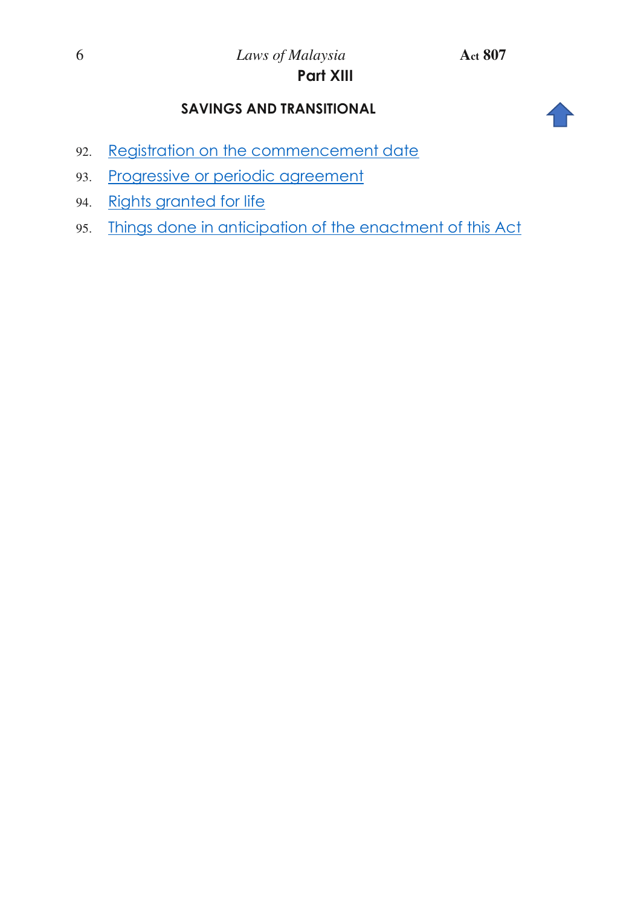## **SAVINGS AND TRANSITIONAL**



- 92. [Registration on the commencement date](#page-70-0)
- 93. [Progressive or periodic agreement](#page-71-0)
- 94. Rights granted for life
- 95. Things done in anticipation of the enactment of this Act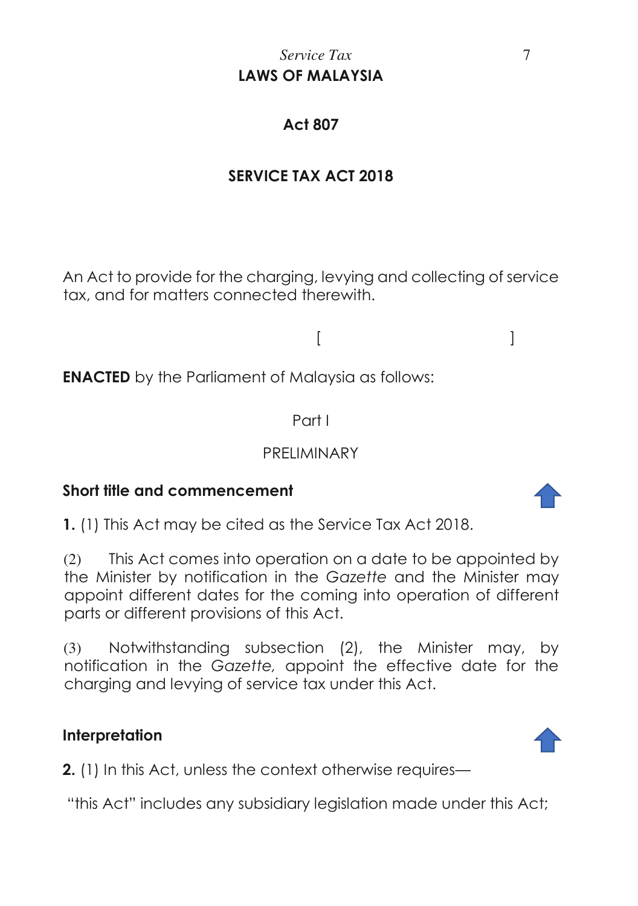# *Service Tax* 7 **LAWS OF MALAYSIA**

# **Act 807**

# **SERVICE TAX ACT 2018**

An Act to provide for the charging, levying and collecting of service tax, and for matters connected therewith.

 $[$   $]$ 

**ENACTED** by the Parliament of Malaysia as follows:

Part I

## PRELIMINARY

## **Short title and commencement**

<span id="page-6-0"></span>**1.** (1) This Act may be cited as the Service Tax Act 2018.

(2) This Act comes into operation on a date to be appointed by the Minister by notification in the *Gazette* and the Minister may appoint different dates for the coming into operation of different parts or different provisions of this Act.

(3) Notwithstanding subsection (2), the Minister may, by notification in the *Gazette,* appoint the effective date for the charging and levying of service tax under this Act.

## **Interpretation**

<span id="page-6-1"></span>**2.** (1) In this Act, unless the context otherwise requires—

"this Act" includes any subsidiary legislation made under this Act;



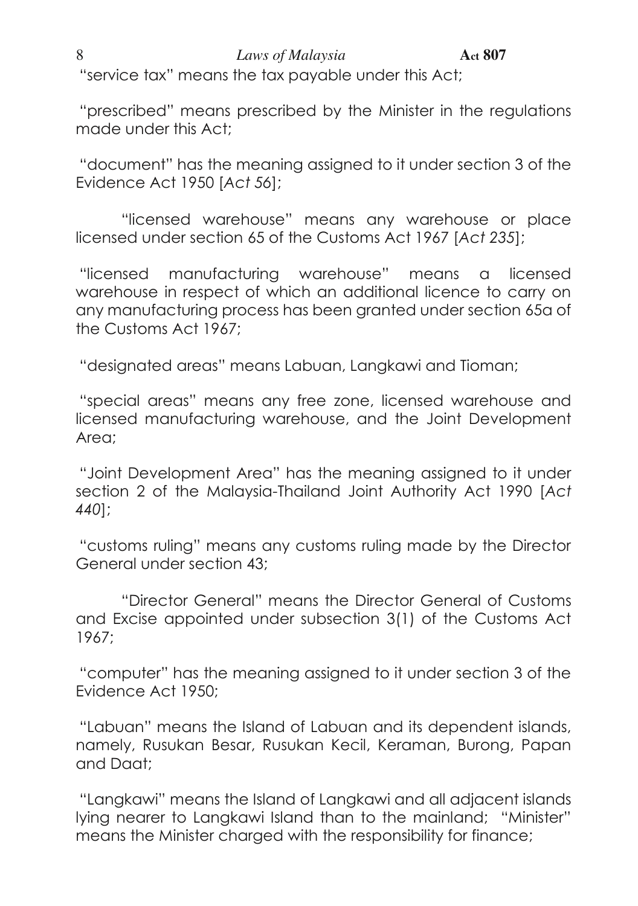# 8 *Laws of Malaysia* **Act 807**

"service tax" means the tax payable under this Act;

"prescribed" means prescribed by the Minister in the regulations made under this Act;

"document" has the meaning assigned to it under section 3 of the Evidence Act 1950 [*Act 56*];

 "licensed warehouse" means any warehouse or place licensed under section 65 of the Customs Act 1967 [*Act 235*];

"licensed manufacturing warehouse" means a licensed warehouse in respect of which an additional licence to carry on any manufacturing process has been granted under section 65a of the Customs Act 1967;

"designated areas" means Labuan, Langkawi and Tioman;

"special areas" means any free zone, licensed warehouse and licensed manufacturing warehouse, and the Joint Development Area;

"Joint Development Area" has the meaning assigned to it under section 2 of the Malaysia-Thailand Joint Authority Act 1990 [*Act 440*];

"customs ruling" means any customs ruling made by the Director General under section 43;

 "Director General" means the Director General of Customs and Excise appointed under subsection 3(1) of the Customs Act 1967;

"computer" has the meaning assigned to it under section 3 of the Evidence Act 1950;

"Labuan" means the Island of Labuan and its dependent islands, namely, Rusukan Besar, Rusukan Kecil, Keraman, Burong, Papan and Daat;

"Langkawi" means the Island of Langkawi and all adjacent islands lying nearer to Langkawi Island than to the mainland; "Minister" means the Minister charged with the responsibility for finance;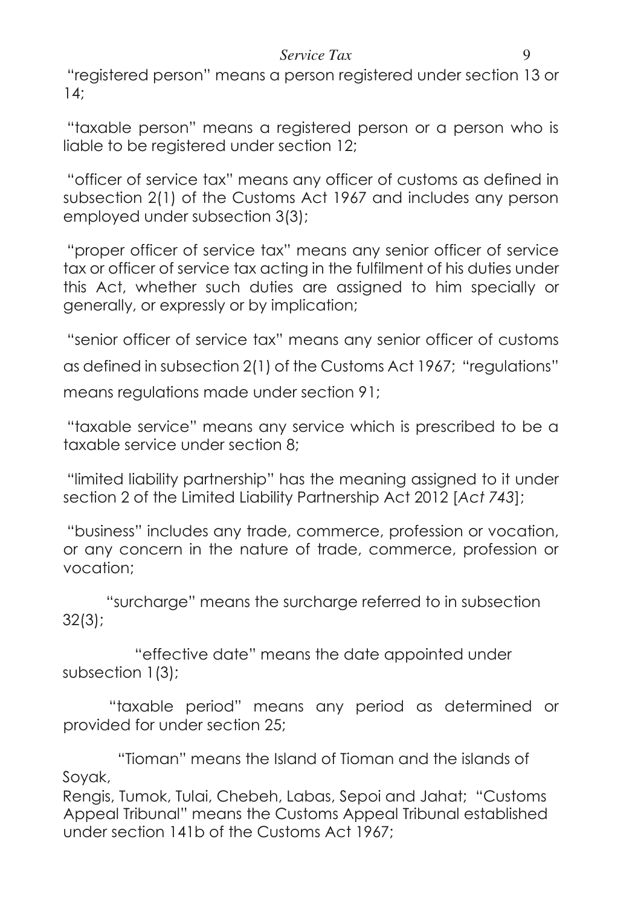#### *Service Tax* 9

"registered person" means a person registered under section 13 or 14;

"taxable person" means a registered person or a person who is liable to be registered under section 12;

"officer of service tax" means any officer of customs as defined in subsection 2(1) of the Customs Act 1967 and includes any person employed under subsection 3(3);

"proper officer of service tax" means any senior officer of service tax or officer of service tax acting in the fulfilment of his duties under this Act, whether such duties are assigned to him specially or generally, or expressly or by implication;

"senior officer of service tax" means any senior officer of customs as defined in subsection 2(1) of the Customs Act 1967; "regulations" means regulations made under section 91;

"taxable service" means any service which is prescribed to be a taxable service under section 8;

"limited liability partnership" has the meaning assigned to it under section 2 of the Limited Liability Partnership Act 2012 [*Act 743*];

"business" includes any trade, commerce, profession or vocation, or any concern in the nature of trade, commerce, profession or vocation;

 "surcharge" means the surcharge referred to in subsection 32(3);

 "effective date" means the date appointed under subsection 1(3);

 "taxable period" means any period as determined or provided for under section 25;

 "Tioman" means the Island of Tioman and the islands of Soyak,

Rengis, Tumok, Tulai, Chebeh, Labas, Sepoi and Jahat; "Customs Appeal Tribunal" means the Customs Appeal Tribunal established under section 141b of the Customs Act 1967;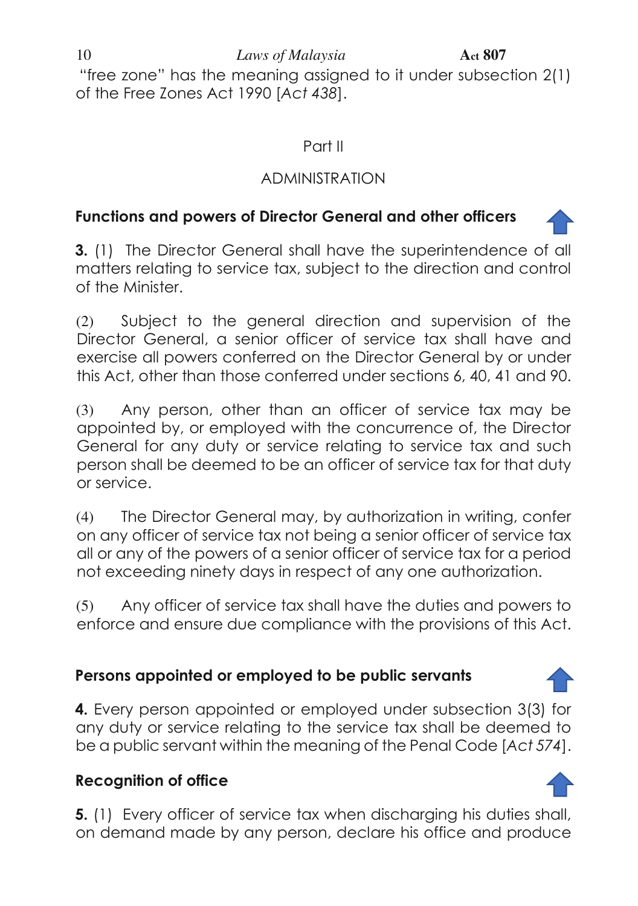10 *Laws of Malaysia* **Act** 807

"free zone" has the meaning assigned to it under subsection 2(1) of the Free Zones Act 1990 [*Act 438*].

## Part II

# ADMINISTRATION

# **Functions and powers of Director General and other officers**

<span id="page-9-0"></span>**3.** (1) The Director General shall have the superintendence of all matters relating to service tax, subject to the direction and control of the Minister.

(2) Subject to the general direction and supervision of the Director General, a senior officer of service tax shall have and exercise all powers conferred on the Director General by or under this Act, other than those conferred under sections 6, 40, 41 and 90.

(3) Any person, other than an officer of service tax may be appointed by, or employed with the concurrence of, the Director General for any duty or service relating to service tax and such person shall be deemed to be an officer of service tax for that duty or service.

(4) The Director General may, by authorization in writing, confer on any officer of service tax not being a senior officer of service tax all or any of the powers of a senior officer of service tax for a period not exceeding ninety days in respect of any one authorization.

(5) Any officer of service tax shall have the duties and powers to enforce and ensure due compliance with the provisions of this Act.

# **Persons appointed or employed to be public servants**

<span id="page-9-1"></span>**4.** Every person appointed or employed under subsection 3(3) for any duty or service relating to the service tax shall be deemed to be a public servant within the meaning of the Penal Code [*Act 574*].

# **Recognition of office**

<span id="page-9-2"></span>**5.** (1) Every officer of service tax when discharging his duties shall, on demand made by any person, declare his office and produce

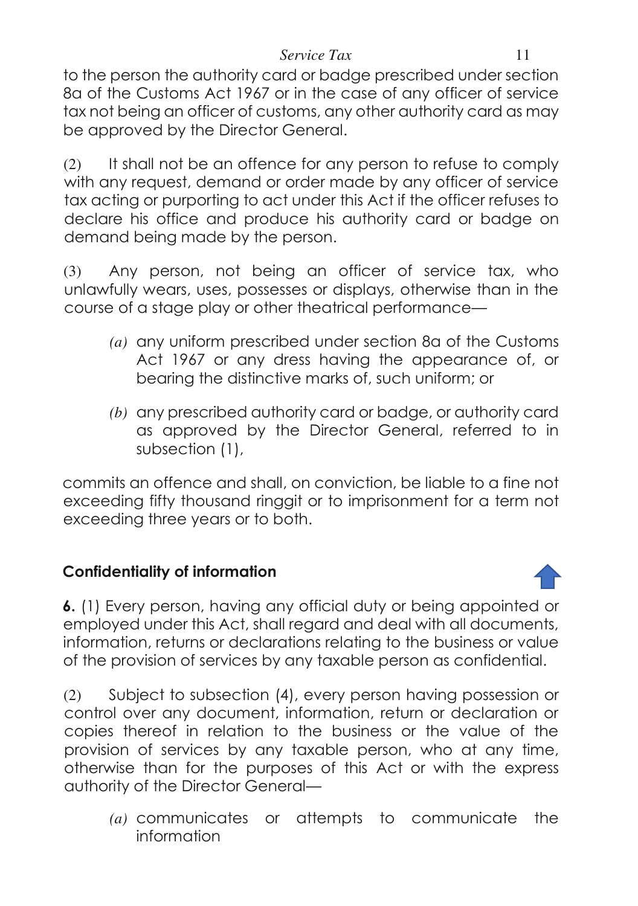to the person the authority card or badge prescribed under section 8a of the Customs Act 1967 or in the case of any officer of service tax not being an officer of customs, any other authority card as may be approved by the Director General.

(2) It shall not be an offence for any person to refuse to comply with any request, demand or order made by any officer of service tax acting or purporting to act under this Act if the officer refuses to declare his office and produce his authority card or badge on demand being made by the person.

(3) Any person, not being an officer of service tax, who unlawfully wears, uses, possesses or displays, otherwise than in the course of a stage play or other theatrical performance—

- *(a)* any uniform prescribed under section 8a of the Customs Act 1967 or any dress having the appearance of, or bearing the distinctive marks of, such uniform; or
- *(b)* any prescribed authority card or badge, or authority card as approved by the Director General, referred to in subsection (1),

commits an offence and shall, on conviction, be liable to a fine not exceeding fifty thousand ringgit or to imprisonment for a term not exceeding three years or to both.

# **Confidentiality of information**

<span id="page-10-0"></span>

(2) Subject to subsection (4), every person having possession or control over any document, information, return or declaration or copies thereof in relation to the business or the value of the provision of services by any taxable person, who at any time, otherwise than for the purposes of this Act or with the express authority of the Director General—

*(a)* communicates or attempts to communicate the information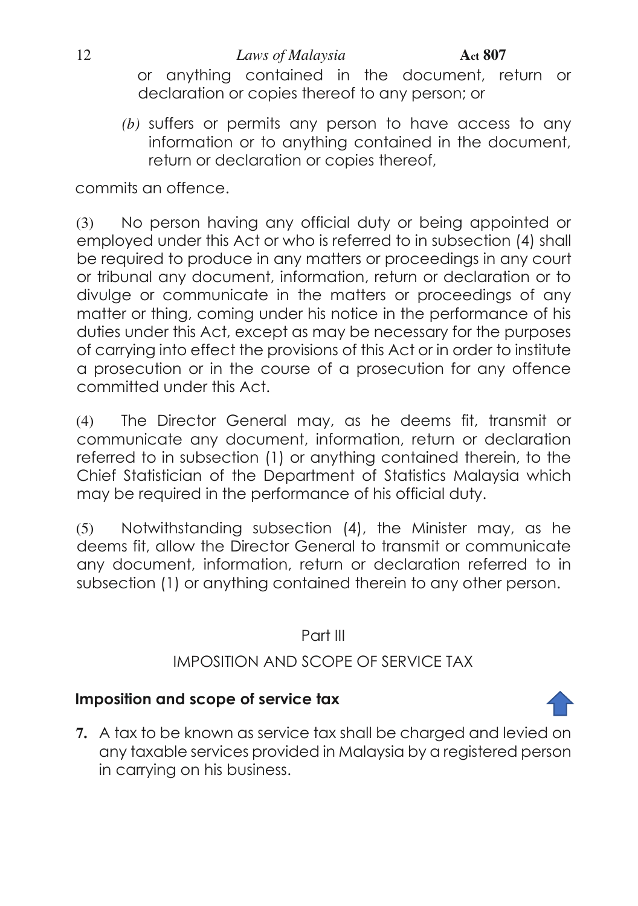or anything contained in the document, return or declaration or copies thereof to any person; or

*(b)* suffers or permits any person to have access to any information or to anything contained in the document, return or declaration or copies thereof,

commits an offence.

(3) No person having any official duty or being appointed or employed under this Act or who is referred to in subsection (4) shall be required to produce in any matters or proceedings in any court or tribunal any document, information, return or declaration or to divulge or communicate in the matters or proceedings of any matter or thing, coming under his notice in the performance of his duties under this Act, except as may be necessary for the purposes of carrying into effect the provisions of this Act or in order to institute a prosecution or in the course of a prosecution for any offence committed under this Act.

(4) The Director General may, as he deems fit, transmit or communicate any document, information, return or declaration referred to in subsection (1) or anything contained therein, to the Chief Statistician of the Department of Statistics Malaysia which may be required in the performance of his official duty.

(5) Notwithstanding subsection (4), the Minister may, as he deems fit, allow the Director General to transmit or communicate any document, information, return or declaration referred to in subsection (1) or anything contained therein to any other person.

Part III

# IMPOSITION AND SCOPE OF SERVICE TAX

# **Imposition and scope of service tax**

<span id="page-11-0"></span>**7.** A tax to be known as service tax shall be charged and levied on any taxable services provided in Malaysia by a registered person in carrying on his business.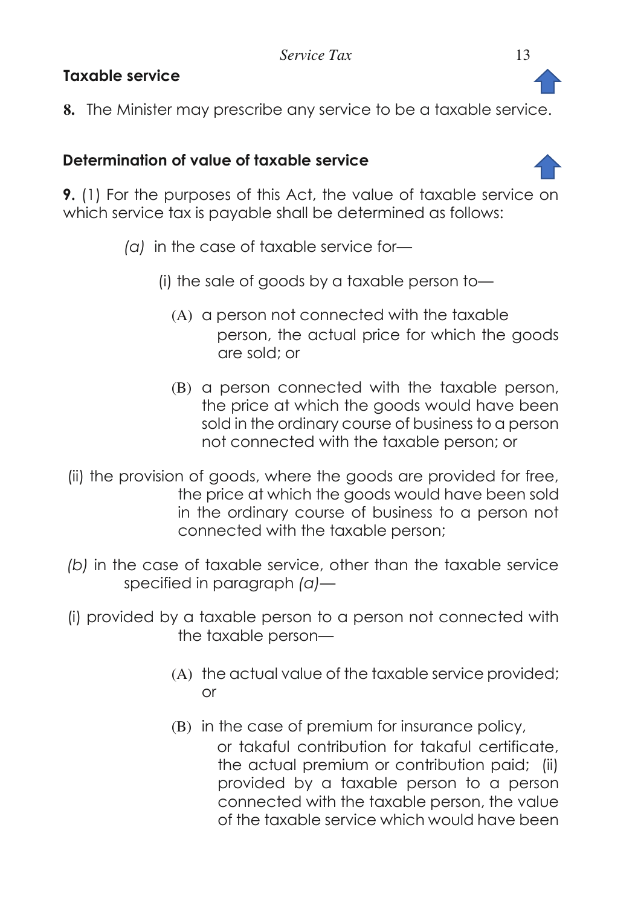# **Taxable service**

<span id="page-12-0"></span>**8.** The Minister may prescribe any service to be a taxable service.

# **Determination of value of taxable service**

<span id="page-12-1"></span>**9.** (1) For the purposes of this Act, the value of taxable service on which service tax is payable shall be determined as follows:

- *(a)* in the case of taxable service for—
	- (i) the sale of goods by a taxable person to—
		- (A) a person not connected with the taxable person, the actual price for which the goods are sold; or
		- (B) a person connected with the taxable person, the price at which the goods would have been sold in the ordinary course of business to a person not connected with the taxable person; or
- (ii) the provision of goods, where the goods are provided for free, the price at which the goods would have been sold in the ordinary course of business to a person not connected with the taxable person;
- *(b)* in the case of taxable service, other than the taxable service specified in paragraph *(a)*—
- (i) provided by a taxable person to a person not connected with the taxable person—
	- (A) the actual value of the taxable service provided; or
	- (B) in the case of premium for insurance policy,

or takaful contribution for takaful certificate, the actual premium or contribution paid; (ii) provided by a taxable person to a person connected with the taxable person, the value of the taxable service which would have been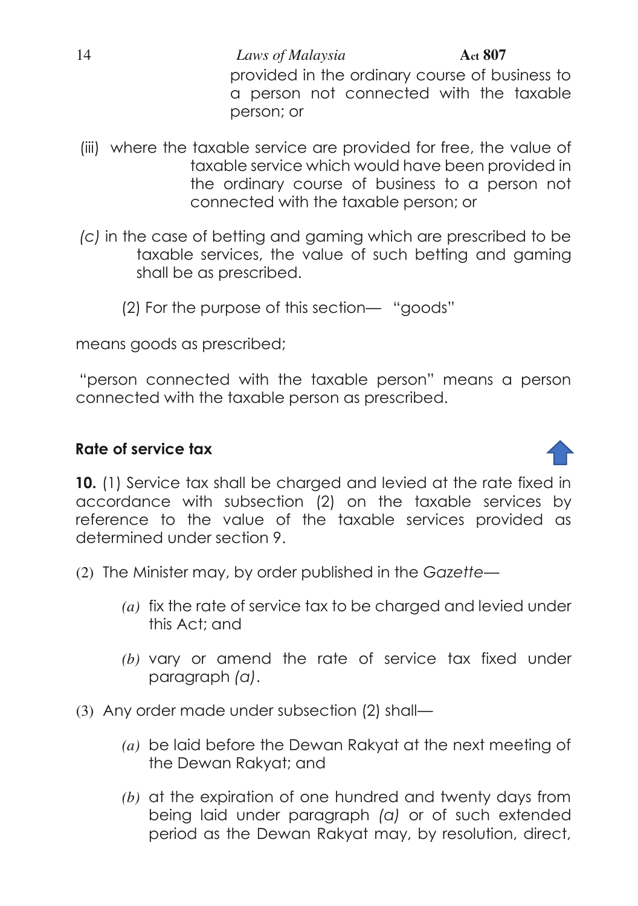14 *Laws of Malaysia* **Act 807** provided in the ordinary course of business to a person not connected with the taxable person; or

- (iii) where the taxable service are provided for free, the value of taxable service which would have been provided in the ordinary course of business to a person not connected with the taxable person; or
- *(c)* in the case of betting and gaming which are prescribed to be taxable services, the value of such betting and gaming shall be as prescribed.
	- (2) For the purpose of this section— "goods"

means goods as prescribed;

"person connected with the taxable person" means a person connected with the taxable person as prescribed.

## **Rate of service tax**

<span id="page-13-0"></span>**10.** (1) Service tax shall be charged and levied at the rate fixed in accordance with subsection (2) on the taxable services by reference to the value of the taxable services provided as determined under section 9.

- (2) The Minister may, by order published in the *Gazette*
	- *(a)* fix the rate of service tax to be charged and levied under this Act; and
	- *(b)* vary or amend the rate of service tax fixed under paragraph *(a)*.
- (3) Any order made under subsection (2) shall—
	- *(a)* be laid before the Dewan Rakyat at the next meeting of the Dewan Rakyat; and
	- *(b)* at the expiration of one hundred and twenty days from being laid under paragraph *(a)* or of such extended period as the Dewan Rakyat may, by resolution, direct,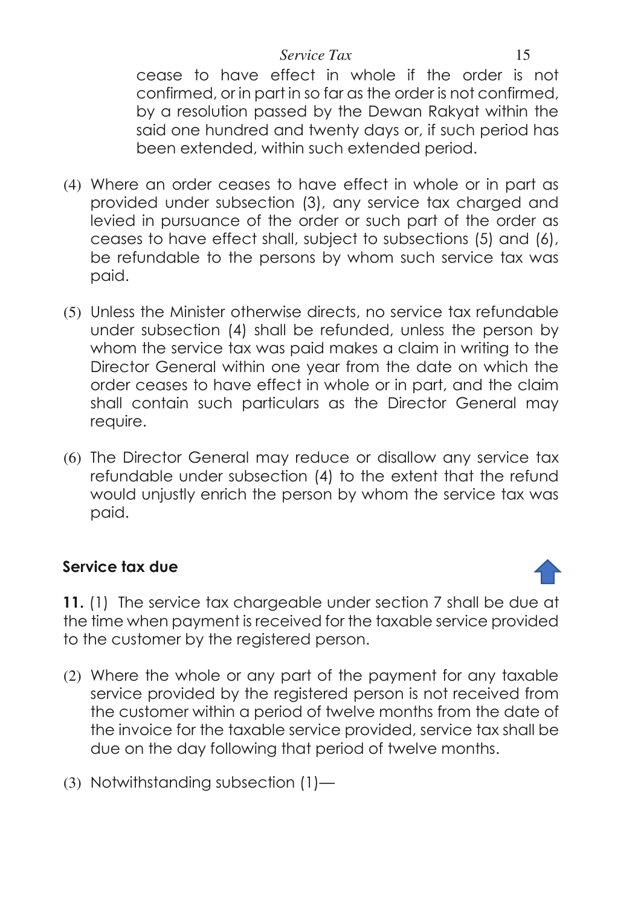#### *Service Tax* 15

cease to have effect in whole if the order is not confirmed, or in part in so far as the order is not confirmed, by a resolution passed by the Dewan Rakyat within the said one hundred and twenty days or, if such period has been extended, within such extended period.

- (4) Where an order ceases to have effect in whole or in part as provided under subsection (3), any service tax charged and levied in pursuance of the order or such part of the order as ceases to have effect shall, subject to subsections (5) and (6), be refundable to the persons by whom such service tax was paid.
- (5) Unless the Minister otherwise directs, no service tax refundable under subsection (4) shall be refunded, unless the person by whom the service tax was paid makes a claim in writing to the Director General within one year from the date on which the order ceases to have effect in whole or in part, and the claim shall contain such particulars as the Director General may require.
- (6) The Director General may reduce or disallow any service tax refundable under subsection (4) to the extent that the refund would unjustly enrich the person by whom the service tax was paid.

# **Service tax due**

<span id="page-14-0"></span>**11.** (1) The service tax chargeable under section 7 shall be due at the time when payment is received for the taxable service provided to the customer by the registered person.

- (2) Where the whole or any part of the payment for any taxable service provided by the registered person is not received from the customer within a period of twelve months from the date of the invoice for the taxable service provided, service tax shall be due on the day following that period of twelve months.
- (3) Notwithstanding subsection (1)—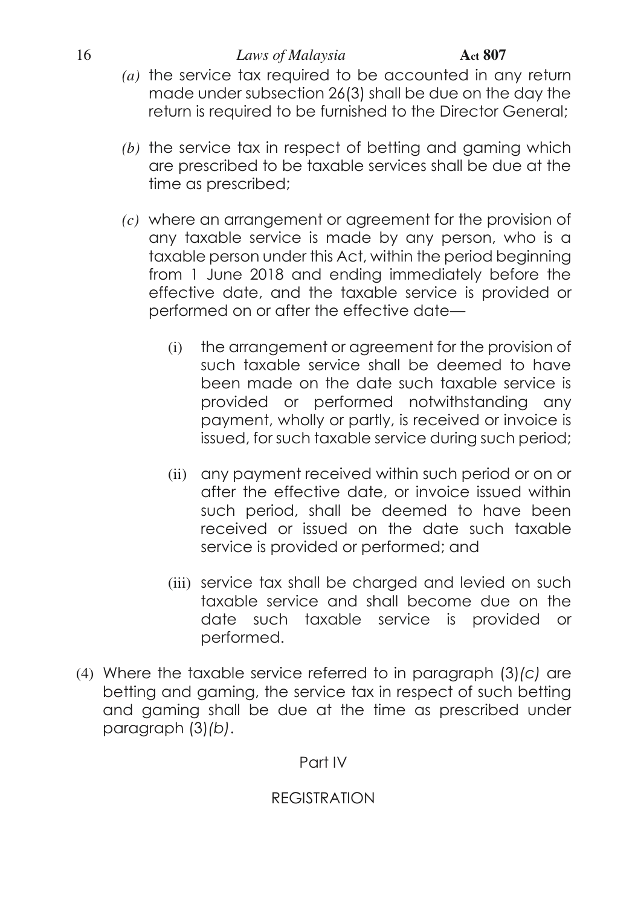#### 16 *Laws of Malaysia* **Act 807**

- *(a)* the service tax required to be accounted in any return made under subsection 26(3) shall be due on the day the return is required to be furnished to the Director General;
- *(b)* the service tax in respect of betting and gaming which are prescribed to be taxable services shall be due at the time as prescribed;
- *(c)* where an arrangement or agreement for the provision of any taxable service is made by any person, who is a taxable person under this Act, within the period beginning from 1 June 2018 and ending immediately before the effective date, and the taxable service is provided or performed on or after the effective date—
	- (i) the arrangement or agreement for the provision of such taxable service shall be deemed to have been made on the date such taxable service is provided or performed notwithstanding any payment, wholly or partly, is received or invoice is issued, for such taxable service during such period;
	- (ii) any payment received within such period or on or after the effective date, or invoice issued within such period, shall be deemed to have been received or issued on the date such taxable service is provided or performed; and
	- (iii) service tax shall be charged and levied on such taxable service and shall become due on the date such taxable service is provided or performed.
- (4) Where the taxable service referred to in paragraph (3)*(c)* are betting and gaming, the service tax in respect of such betting and gaming shall be due at the time as prescribed under paragraph (3)*(b)*.

## Part IV

# REGISTRATION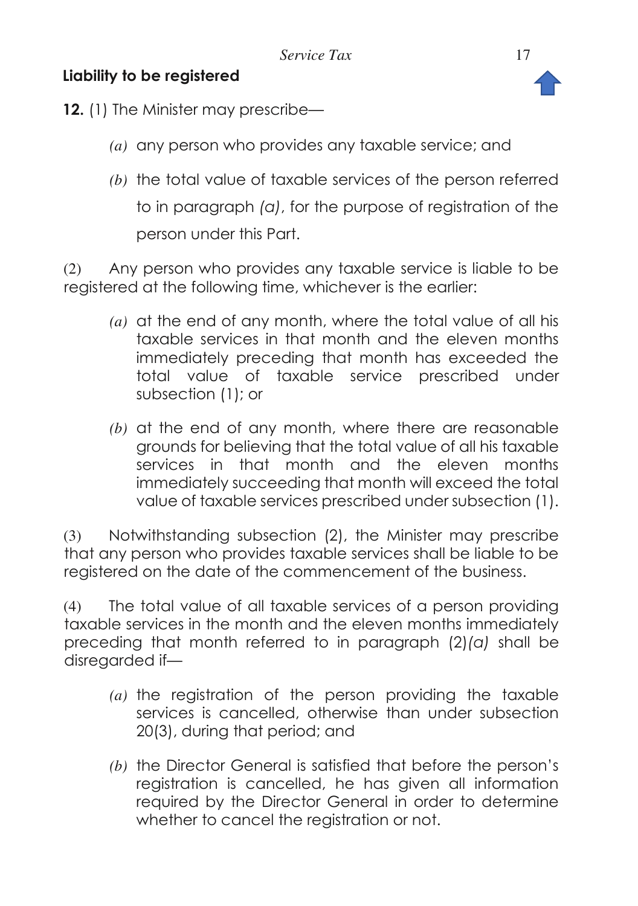# **Liability to be registered**



- <span id="page-16-0"></span>**12.** (1) The Minister may prescribe—
	- *(a)* any person who provides any taxable service; and
	- *(b)* the total value of taxable services of the person referred to in paragraph *(a)*, for the purpose of registration of the person under this Part.

(2) Any person who provides any taxable service is liable to be registered at the following time, whichever is the earlier:

- *(a)* at the end of any month, where the total value of all his taxable services in that month and the eleven months immediately preceding that month has exceeded the total value of taxable service prescribed under subsection (1); or
- *(b)* at the end of any month, where there are reasonable grounds for believing that the total value of all his taxable services in that month and the eleven months immediately succeeding that month will exceed the total value of taxable services prescribed under subsection (1).

(3) Notwithstanding subsection (2), the Minister may prescribe that any person who provides taxable services shall be liable to be registered on the date of the commencement of the business.

(4) The total value of all taxable services of a person providing taxable services in the month and the eleven months immediately preceding that month referred to in paragraph (2)*(a)* shall be disregarded if—

- *(a)* the registration of the person providing the taxable services is cancelled, otherwise than under subsection 20(3), during that period; and
- *(b)* the Director General is satisfied that before the person's registration is cancelled, he has given all information required by the Director General in order to determine whether to cancel the registration or not.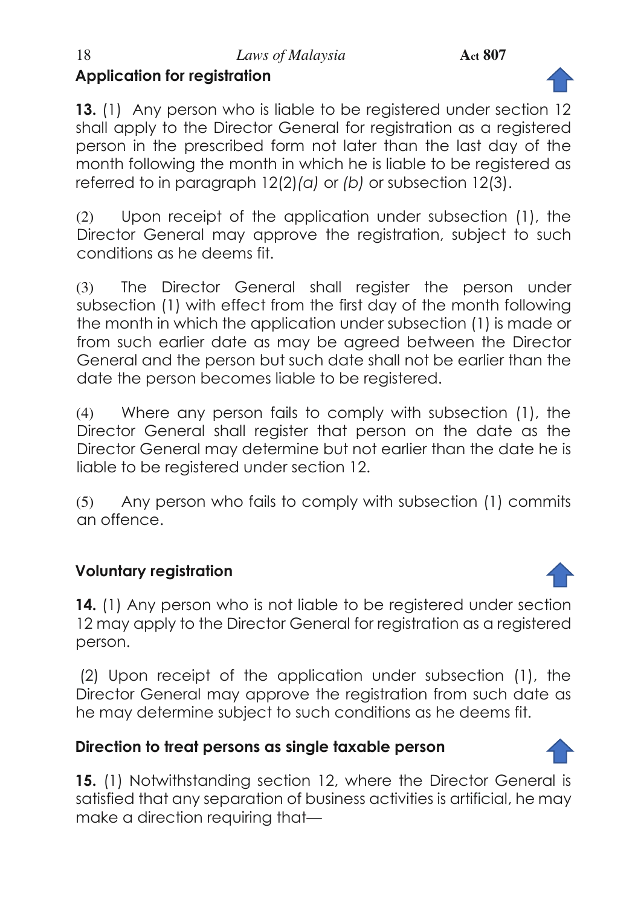<span id="page-17-0"></span>**13.** (1) Any person who is liable to be registered under section 12 shall apply to the Director General for registration as a registered person in the prescribed form not later than the last day of the month following the month in which he is liable to be registered as referred to in paragraph 12(2)*(a)* or *(b)* or subsection 12(3).

(2) Upon receipt of the application under subsection (1), the Director General may approve the registration, subject to such conditions as he deems fit.

(3) The Director General shall register the person under subsection (1) with effect from the first day of the month following the month in which the application under subsection (1) is made or from such earlier date as may be agreed between the Director General and the person but such date shall not be earlier than the date the person becomes liable to be registered.

(4) Where any person fails to comply with subsection (1), the Director General shall register that person on the date as the Director General may determine but not earlier than the date he is liable to be registered under section 12.

(5) Any person who fails to comply with subsection (1) commits an offence.

# **Voluntary registration**

<span id="page-17-1"></span>**14.** (1) Any person who is not liable to be registered under section 12 may apply to the Director General for registration as a registered person.

 (2) Upon receipt of the application under subsection (1), the Director General may approve the registration from such date as he may determine subject to such conditions as he deems fit.

# **Direction to treat persons as single taxable person**

<span id="page-17-2"></span>**15.** (1) Notwithstanding section 12, where the Director General is satisfied that any separation of business activities is artificial, he may make a direction requiring that—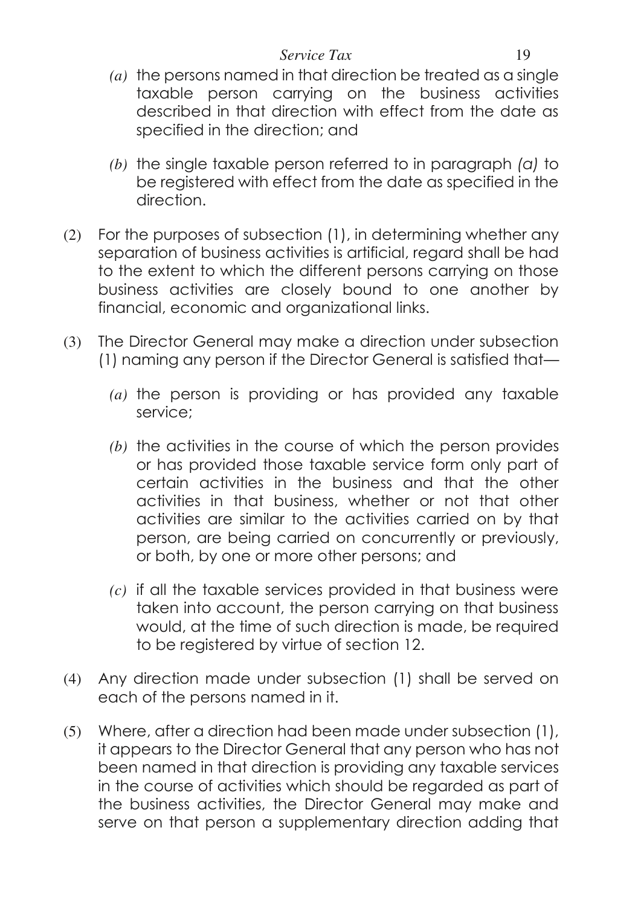#### *Service Tax* 19

- *(a)* the persons named in that direction be treated as a single taxable person carrying on the business activities described in that direction with effect from the date as specified in the direction; and
- *(b)* the single taxable person referred to in paragraph *(a)* to be registered with effect from the date as specified in the direction.
- (2) For the purposes of subsection (1), in determining whether any separation of business activities is artificial, regard shall be had to the extent to which the different persons carrying on those business activities are closely bound to one another by financial, economic and organizational links.
- (3) The Director General may make a direction under subsection (1) naming any person if the Director General is satisfied that—
	- *(a)* the person is providing or has provided any taxable service;
	- *(b)* the activities in the course of which the person provides or has provided those taxable service form only part of certain activities in the business and that the other activities in that business, whether or not that other activities are similar to the activities carried on by that person, are being carried on concurrently or previously, or both, by one or more other persons; and
	- *(c)* if all the taxable services provided in that business were taken into account, the person carrying on that business would, at the time of such direction is made, be required to be registered by virtue of section 12.
- (4) Any direction made under subsection (1) shall be served on each of the persons named in it.
- (5) Where, after a direction had been made under subsection (1), it appears to the Director General that any person who has not been named in that direction is providing any taxable services in the course of activities which should be regarded as part of the business activities, the Director General may make and serve on that person a supplementary direction adding that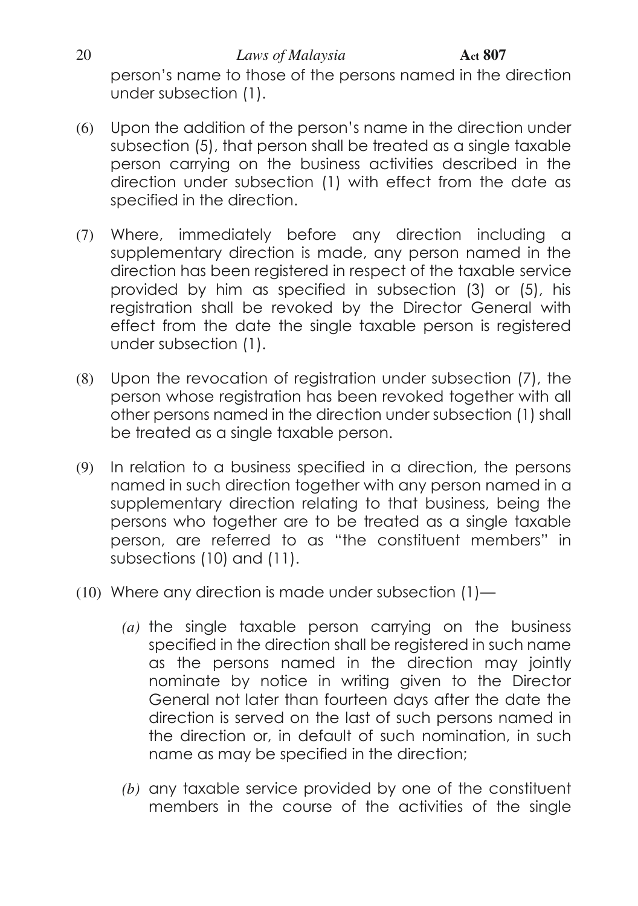20 *Laws of Malaysia* **Act 807** person's name to those of the persons named in the direction under subsection (1).

- (6) Upon the addition of the person's name in the direction under subsection (5), that person shall be treated as a single taxable person carrying on the business activities described in the direction under subsection (1) with effect from the date as specified in the direction.
- (7) Where, immediately before any direction including a supplementary direction is made, any person named in the direction has been registered in respect of the taxable service provided by him as specified in subsection (3) or (5), his registration shall be revoked by the Director General with effect from the date the single taxable person is registered under subsection (1).
- (8) Upon the revocation of registration under subsection (7), the person whose registration has been revoked together with all other persons named in the direction under subsection (1) shall be treated as a single taxable person.
- (9) In relation to a business specified in a direction, the persons named in such direction together with any person named in a supplementary direction relating to that business, being the persons who together are to be treated as a single taxable person, are referred to as "the constituent members" in subsections (10) and (11).
- (10) Where any direction is made under subsection (1)—
	- *(a)* the single taxable person carrying on the business specified in the direction shall be registered in such name as the persons named in the direction may jointly nominate by notice in writing given to the Director General not later than fourteen days after the date the direction is served on the last of such persons named in the direction or, in default of such nomination, in such name as may be specified in the direction;
	- *(b)* any taxable service provided by one of the constituent members in the course of the activities of the single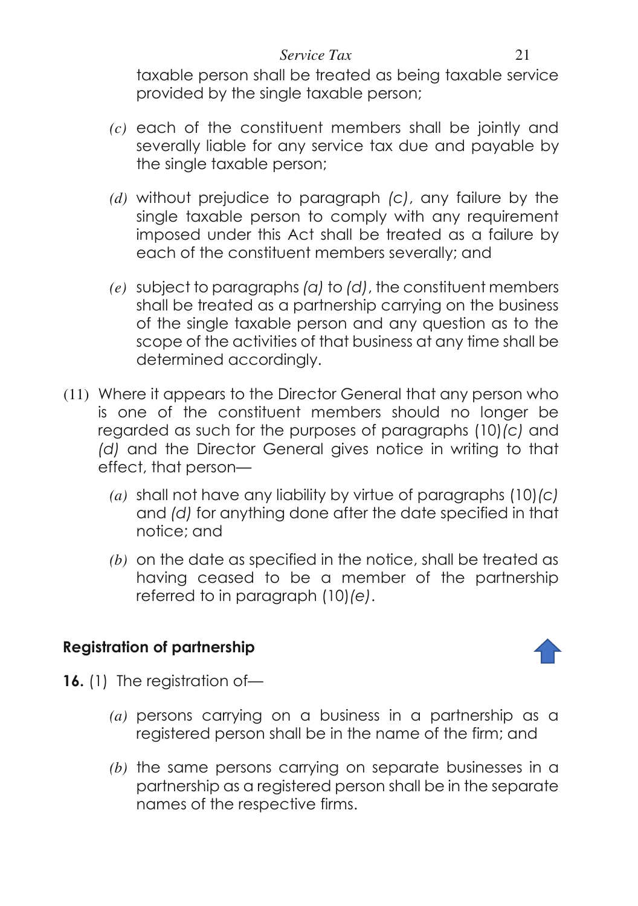#### *Service Tax* 21

taxable person shall be treated as being taxable service provided by the single taxable person;

- *(c)* each of the constituent members shall be jointly and severally liable for any service tax due and payable by the single taxable person;
- *(d)* without prejudice to paragraph *(c)*, any failure by the single taxable person to comply with any requirement imposed under this Act shall be treated as a failure by each of the constituent members severally; and
- *(e)* subject to paragraphs *(a)* to *(d)*, the constituent members shall be treated as a partnership carrying on the business of the single taxable person and any question as to the scope of the activities of that business at any time shall be determined accordingly.
- (11) Where it appears to the Director General that any person who is one of the constituent members should no longer be regarded as such for the purposes of paragraphs (10)*(c)* and *(d)* and the Director General gives notice in writing to that effect, that person—
	- *(a)* shall not have any liability by virtue of paragraphs (10)*(c)* and *(d)* for anything done after the date specified in that notice; and
	- *(b)* on the date as specified in the notice, shall be treated as having ceased to be a member of the partnership referred to in paragraph (10)*(e)*.

# **Registration of partnership**



- <span id="page-20-0"></span>**16.** (1) The registration of—
	- *(a)* persons carrying on a business in a partnership as a registered person shall be in the name of the firm; and
	- *(b)* the same persons carrying on separate businesses in a partnership as a registered person shall be in the separate names of the respective firms.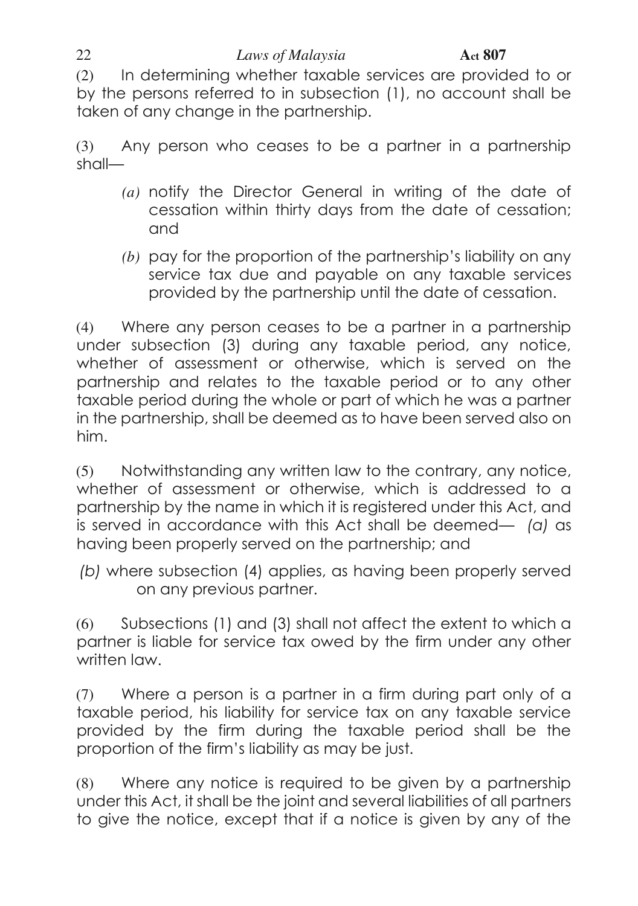#### 22 *Laws of Malaysia* **Act 807**

(2) In determining whether taxable services are provided to or by the persons referred to in subsection (1), no account shall be taken of any change in the partnership.

(3) Any person who ceases to be a partner in a partnership shall—

- *(a)* notify the Director General in writing of the date of cessation within thirty days from the date of cessation; and
- *(b)* pay for the proportion of the partnership's liability on any service tax due and payable on any taxable services provided by the partnership until the date of cessation.

(4) Where any person ceases to be a partner in a partnership under subsection (3) during any taxable period, any notice, whether of assessment or otherwise, which is served on the partnership and relates to the taxable period or to any other taxable period during the whole or part of which he was a partner in the partnership, shall be deemed as to have been served also on him.

(5) Notwithstanding any written law to the contrary, any notice, whether of assessment or otherwise, which is addressed to a partnership by the name in which it is registered under this Act, and is served in accordance with this Act shall be deemed— *(a)* as having been properly served on the partnership; and

 *(b)* where subsection (4) applies, as having been properly served on any previous partner.

(6) Subsections (1) and (3) shall not affect the extent to which a partner is liable for service tax owed by the firm under any other written law.

(7) Where a person is a partner in a firm during part only of a taxable period, his liability for service tax on any taxable service provided by the firm during the taxable period shall be the proportion of the firm's liability as may be just.

(8) Where any notice is required to be given by a partnership under this Act, it shall be the joint and several liabilities of all partners to give the notice, except that if a notice is given by any of the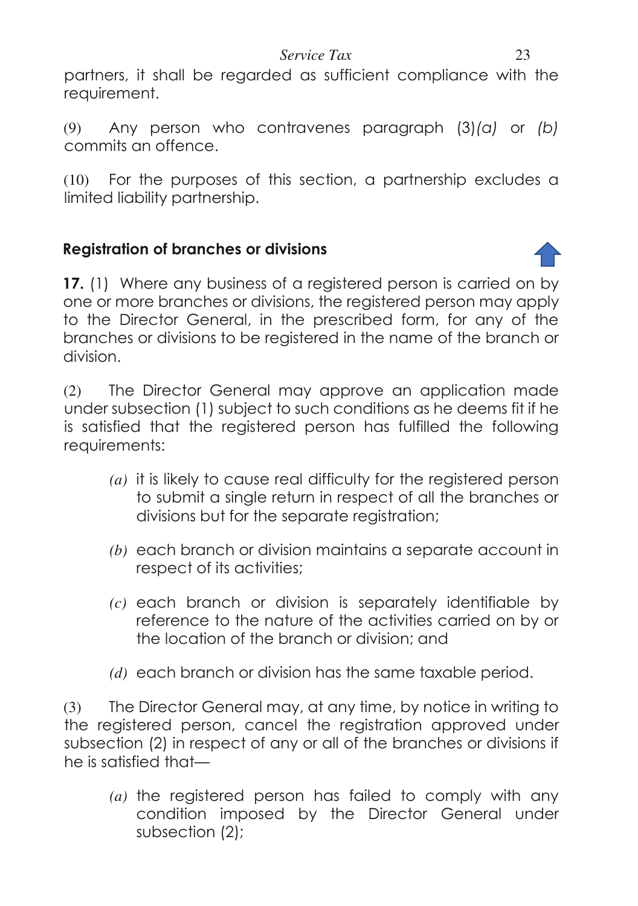*Service Tax* 23

partners, it shall be regarded as sufficient compliance with the requirement.

(9) Any person who contravenes paragraph (3)*(a)* or *(b)* commits an offence.

(10) For the purposes of this section, a partnership excludes a limited liability partnership.

## **Registration of branches or divisions**

<span id="page-22-0"></span>**17.** (1) Where any business of a registered person is carried on by one or more branches or divisions, the registered person may apply to the Director General, in the prescribed form, for any of the branches or divisions to be registered in the name of the branch or division.

(2) The Director General may approve an application made under subsection (1) subject to such conditions as he deems fit if he is satisfied that the registered person has fulfilled the following requirements:

- *(a)* it is likely to cause real difficulty for the registered person to submit a single return in respect of all the branches or divisions but for the separate registration;
- *(b)* each branch or division maintains a separate account in respect of its activities;
- *(c)* each branch or division is separately identifiable by reference to the nature of the activities carried on by or the location of the branch or division; and
- *(d)* each branch or division has the same taxable period.

(3) The Director General may, at any time, by notice in writing to the registered person, cancel the registration approved under subsection (2) in respect of any or all of the branches or divisions if he is satisfied that—

*(a)* the registered person has failed to comply with any condition imposed by the Director General under subsection (2);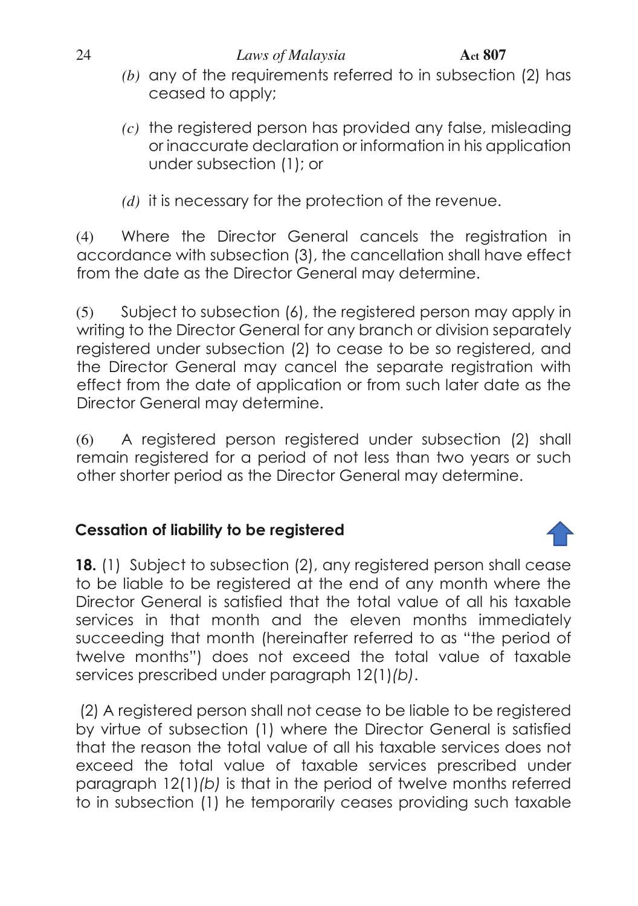- *(b)* any of the requirements referred to in subsection (2) has ceased to apply;
- *(c)* the registered person has provided any false, misleading or inaccurate declaration or information in his application under subsection (1); or
- *(d)* it is necessary for the protection of the revenue.

(4) Where the Director General cancels the registration in accordance with subsection (3), the cancellation shall have effect from the date as the Director General may determine.

(5) Subject to subsection (6), the registered person may apply in writing to the Director General for any branch or division separately registered under subsection (2) to cease to be so registered, and the Director General may cancel the separate registration with effect from the date of application or from such later date as the Director General may determine.

(6) A registered person registered under subsection (2) shall remain registered for a period of not less than two years or such other shorter period as the Director General may determine.

# **Cessation of liability to be registered**

<span id="page-23-0"></span>**18.** (1) Subject to subsection (2), any registered person shall cease to be liable to be registered at the end of any month where the Director General is satisfied that the total value of all his taxable services in that month and the eleven months immediately succeeding that month (hereinafter referred to as "the period of twelve months") does not exceed the total value of taxable services prescribed under paragraph 12(1)*(b)*.

 (2) A registered person shall not cease to be liable to be registered by virtue of subsection (1) where the Director General is satisfied that the reason the total value of all his taxable services does not exceed the total value of taxable services prescribed under paragraph 12(1)*(b)* is that in the period of twelve months referred to in subsection (1) he temporarily ceases providing such taxable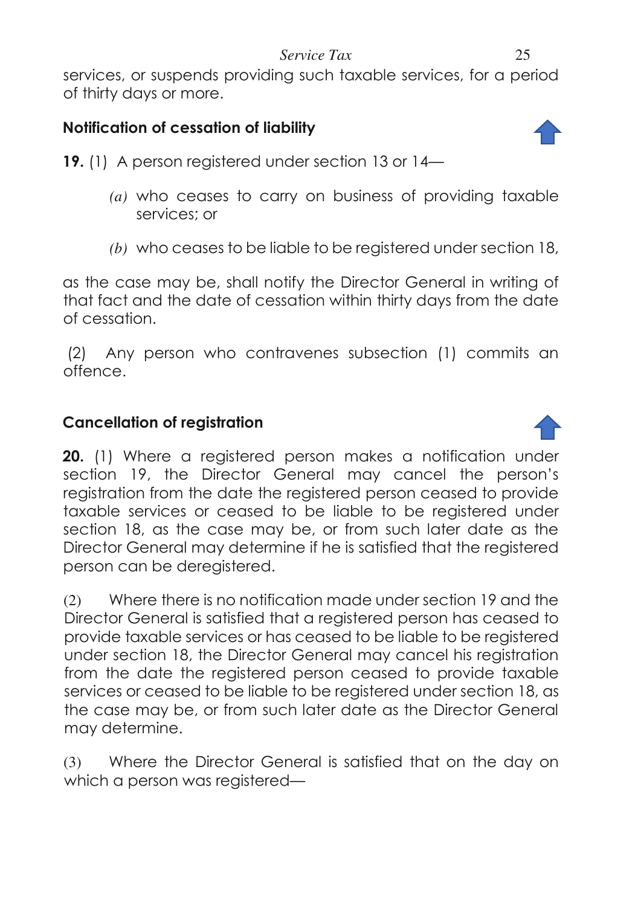#### *Service Tax* 25

services, or suspends providing such taxable services, for a period of thirty days or more.

# **Notification of cessation of liability**

<span id="page-24-0"></span>**19.** (1) A person registered under section 13 or 14—

- *(a)* who ceases to carry on business of providing taxable services; or
- *(b)* who ceases to be liable to be registered under section 18,

as the case may be, shall notify the Director General in writing of that fact and the date of cessation within thirty days from the date of cessation.

 (2) Any person who contravenes subsection (1) commits an offence.

## **Cancellation of registration**

<span id="page-24-1"></span>**20.** (1) Where a registered person makes a notification under section 19, the Director General may cancel the person's registration from the date the registered person ceased to provide taxable services or ceased to be liable to be registered under section 18, as the case may be, or from such later date as the Director General may determine if he is satisfied that the registered person can be deregistered.

(2) Where there is no notification made under section 19 and the Director General is satisfied that a registered person has ceased to provide taxable services or has ceased to be liable to be registered under section 18, the Director General may cancel his registration from the date the registered person ceased to provide taxable services or ceased to be liable to be registered under section 18, as the case may be, or from such later date as the Director General may determine.

(3) Where the Director General is satisfied that on the day on which a person was registered—



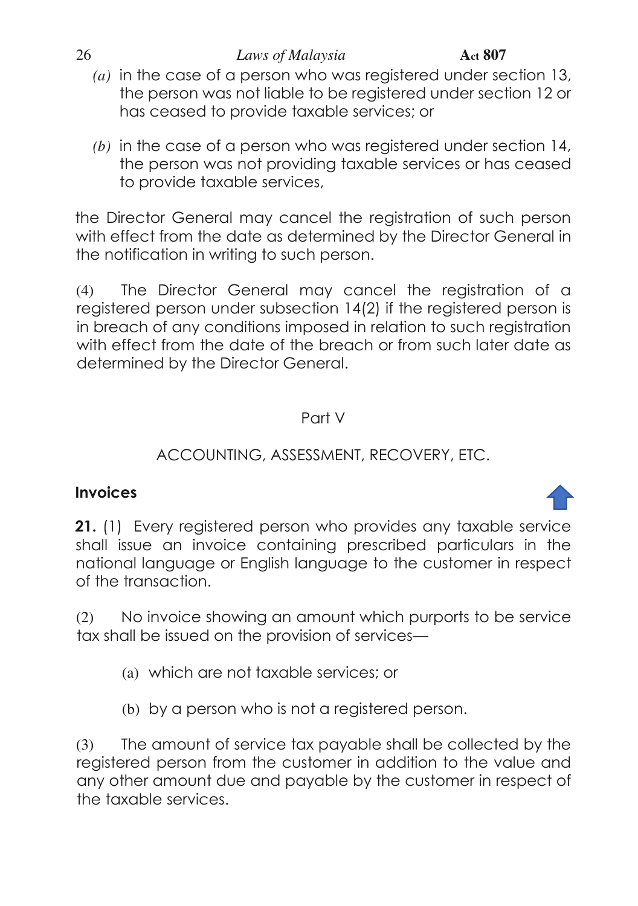#### 26 *Laws of Malaysia* **Act 807**

- *(a)* in the case of a person who was registered under section 13, the person was not liable to be registered under section 12 or has ceased to provide taxable services; or
- *(b)* in the case of a person who was registered under section 14, the person was not providing taxable services or has ceased to provide taxable services,

the Director General may cancel the registration of such person with effect from the date as determined by the Director General in the notification in writing to such person.

(4) The Director General may cancel the registration of a registered person under subsection 14(2) if the registered person is in breach of any conditions imposed in relation to such registration with effect from the date of the breach or from such later date as determined by the Director General.

## Part V

# ACCOUNTING, ASSESSMENT, RECOVERY, ETC.

# **Invoices**

<span id="page-25-0"></span>**21.** (1) Every registered person who provides any taxable service shall issue an invoice containing prescribed particulars in the national language or English language to the customer in respect of the transaction.

(2) No invoice showing an amount which purports to be service tax shall be issued on the provision of services—

- (a) which are not taxable services; or
- (b) by a person who is not a registered person.

(3) The amount of service tax payable shall be collected by the registered person from the customer in addition to the value and any other amount due and payable by the customer in respect of the taxable services.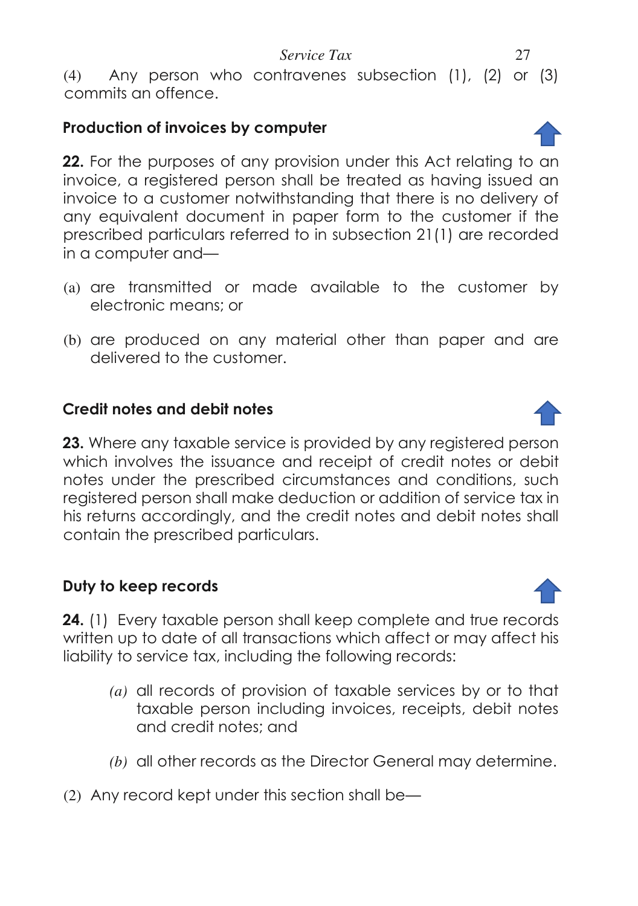(4) Any person who contravenes subsection (1), (2) or (3) commits an offence.

# **Production of invoices by computer**

<span id="page-26-0"></span>**22.** For the purposes of any provision under this Act relating to an invoice, a registered person shall be treated as having issued an invoice to a customer notwithstanding that there is no delivery of any equivalent document in paper form to the customer if the prescribed particulars referred to in subsection 21(1) are recorded in a computer and—

- (a) are transmitted or made available to the customer by electronic means; or
- (b) are produced on any material other than paper and are delivered to the customer.

# **Credit notes and debit notes**

<span id="page-26-1"></span>**23.** Where any taxable service is provided by any registered person which involves the issuance and receipt of credit notes or debit notes under the prescribed circumstances and conditions, such registered person shall make deduction or addition of service tax in his returns accordingly, and the credit notes and debit notes shall contain the prescribed particulars.

# **Duty to keep records**

<span id="page-26-2"></span>**24.** (1) Every taxable person shall keep complete and true records written up to date of all transactions which affect or may affect his liability to service tax, including the following records:

- *(a)* all records of provision of taxable services by or to that taxable person including invoices, receipts, debit notes and credit notes; and
- *(b)* all other records as the Director General may determine.
- (2) Any record kept under this section shall be—



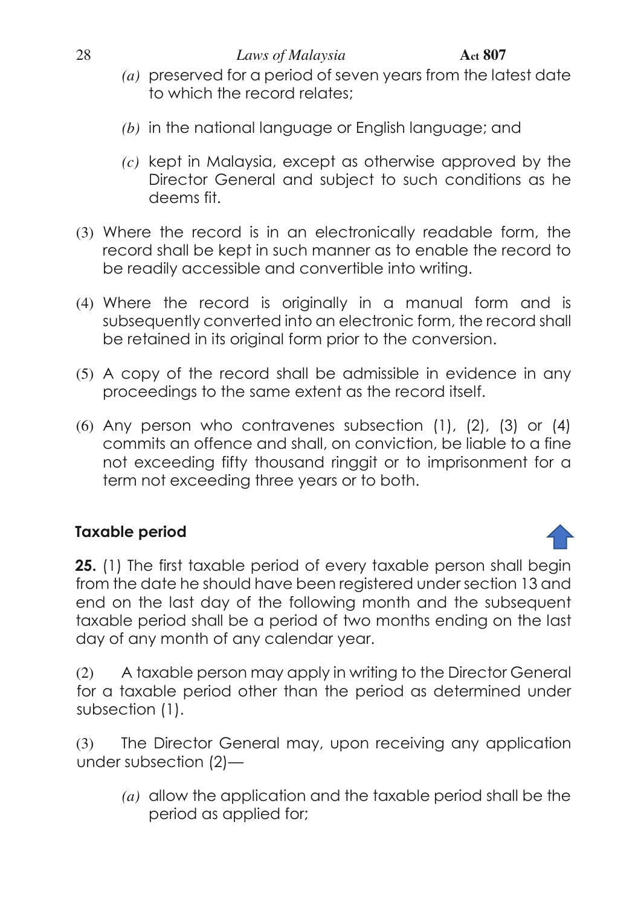- *(a)* preserved for a period of seven years from the latest date to which the record relates;
- *(b)* in the national language or English language; and
- *(c)* kept in Malaysia, except as otherwise approved by the Director General and subject to such conditions as he deems fit.
- (3) Where the record is in an electronically readable form, the record shall be kept in such manner as to enable the record to be readily accessible and convertible into writing.
- (4) Where the record is originally in a manual form and is subsequently converted into an electronic form, the record shall be retained in its original form prior to the conversion.
- (5) A copy of the record shall be admissible in evidence in any proceedings to the same extent as the record itself.
- (6) Any person who contravenes subsection (1), (2), (3) or (4) commits an offence and shall, on conviction, be liable to a fine not exceeding fifty thousand ringgit or to imprisonment for a term not exceeding three years or to both.

# **Taxable period**

<span id="page-27-0"></span>**25.** (1) The first taxable period of every taxable person shall begin from the date he should have been registered under section 13 and end on the last day of the following month and the subsequent taxable period shall be a period of two months ending on the last day of any month of any calendar year.

(2) A taxable person may apply in writing to the Director General for a taxable period other than the period as determined under subsection (1).

(3) The Director General may, upon receiving any application under subsection (2)—

*(a)* allow the application and the taxable period shall be the period as applied for;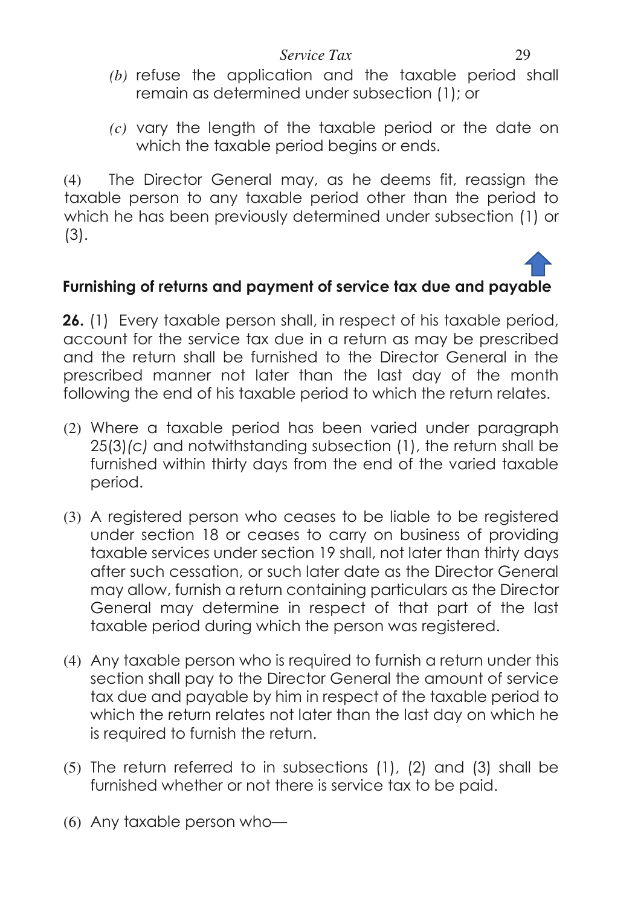- *(b)* refuse the application and the taxable period shall remain as determined under subsection (1); or
- *(c)* vary the length of the taxable period or the date on which the taxable period begins or ends.

(4) The Director General may, as he deems fit, reassign the taxable person to any taxable period other than the period to which he has been previously determined under subsection (1) or (3).

# <span id="page-28-0"></span>**Furnishing of returns and payment of service tax due and payable**

**26.** (1) Every taxable person shall, in respect of his taxable period, account for the service tax due in a return as may be prescribed and the return shall be furnished to the Director General in the prescribed manner not later than the last day of the month following the end of his taxable period to which the return relates.

- (2) Where a taxable period has been varied under paragraph 25(3)*(c)* and notwithstanding subsection (1), the return shall be furnished within thirty days from the end of the varied taxable period.
- (3) A registered person who ceases to be liable to be registered under section 18 or ceases to carry on business of providing taxable services under section 19 shall, not later than thirty days after such cessation, or such later date as the Director General may allow, furnish a return containing particulars as the Director General may determine in respect of that part of the last taxable period during which the person was registered.
- (4) Any taxable person who is required to furnish a return under this section shall pay to the Director General the amount of service tax due and payable by him in respect of the taxable period to which the return relates not later than the last day on which he is required to furnish the return.
- (5) The return referred to in subsections (1), (2) and (3) shall be furnished whether or not there is service tax to be paid.
- (6) Any taxable person who—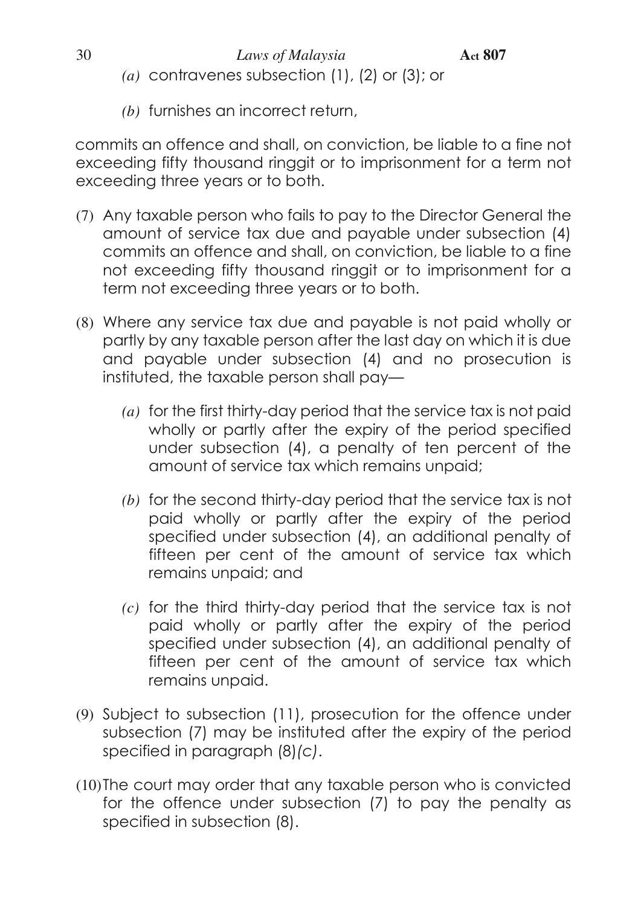- *(a)* contravenes subsection (1), (2) or (3); or
- *(b)* furnishes an incorrect return,

commits an offence and shall, on conviction, be liable to a fine not exceeding fifty thousand ringgit or to imprisonment for a term not exceeding three years or to both.

- (7) Any taxable person who fails to pay to the Director General the amount of service tax due and payable under subsection (4) commits an offence and shall, on conviction, be liable to a fine not exceeding fifty thousand ringgit or to imprisonment for a term not exceeding three years or to both.
- (8) Where any service tax due and payable is not paid wholly or partly by any taxable person after the last day on which it is due and payable under subsection (4) and no prosecution is instituted, the taxable person shall pay—
	- *(a)* for the first thirty-day period that the service tax is not paid wholly or partly after the expiry of the period specified under subsection (4), a penalty of ten percent of the amount of service tax which remains unpaid;
	- *(b)* for the second thirty-day period that the service tax is not paid wholly or partly after the expiry of the period specified under subsection (4), an additional penalty of fifteen per cent of the amount of service tax which remains unpaid; and
	- *(c)* for the third thirty-day period that the service tax is not paid wholly or partly after the expiry of the period specified under subsection (4), an additional penalty of fifteen per cent of the amount of service tax which remains unpaid.
- (9) Subject to subsection (11), prosecution for the offence under subsection (7) may be instituted after the expiry of the period specified in paragraph (8)*(c)*.
- (10)The court may order that any taxable person who is convicted for the offence under subsection (7) to pay the penalty as specified in subsection (8).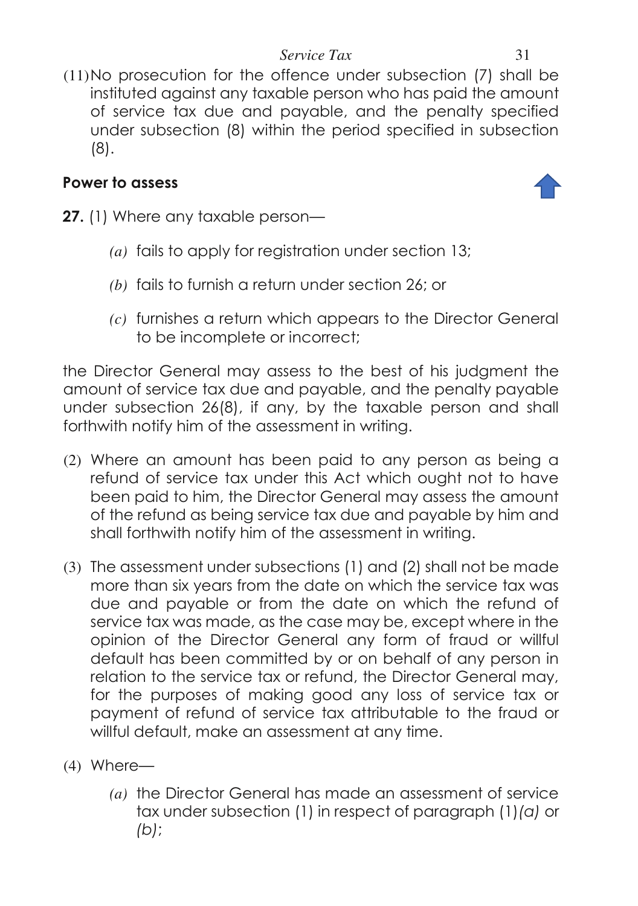(11)No prosecution for the offence under subsection (7) shall be instituted against any taxable person who has paid the amount of service tax due and payable, and the penalty specified under subsection (8) within the period specified in subsection (8).

# **Power to assess**



- <span id="page-30-0"></span>**27.** (1) Where any taxable person—
	- *(a)* fails to apply for registration under section 13;
	- *(b)* fails to furnish a return under section 26; or
	- *(c)* furnishes a return which appears to the Director General to be incomplete or incorrect;

the Director General may assess to the best of his judgment the amount of service tax due and payable, and the penalty payable under subsection 26(8), if any, by the taxable person and shall forthwith notify him of the assessment in writing.

- (2) Where an amount has been paid to any person as being a refund of service tax under this Act which ought not to have been paid to him, the Director General may assess the amount of the refund as being service tax due and payable by him and shall forthwith notify him of the assessment in writing.
- (3) The assessment under subsections (1) and (2) shall not be made more than six years from the date on which the service tax was due and payable or from the date on which the refund of service tax was made, as the case may be, except where in the opinion of the Director General any form of fraud or willful default has been committed by or on behalf of any person in relation to the service tax or refund, the Director General may, for the purposes of making good any loss of service tax or payment of refund of service tax attributable to the fraud or willful default, make an assessment at any time.
- (4) Where—
	- *(a)* the Director General has made an assessment of service tax under subsection (1) in respect of paragraph (1)*(a)* or *(b)*;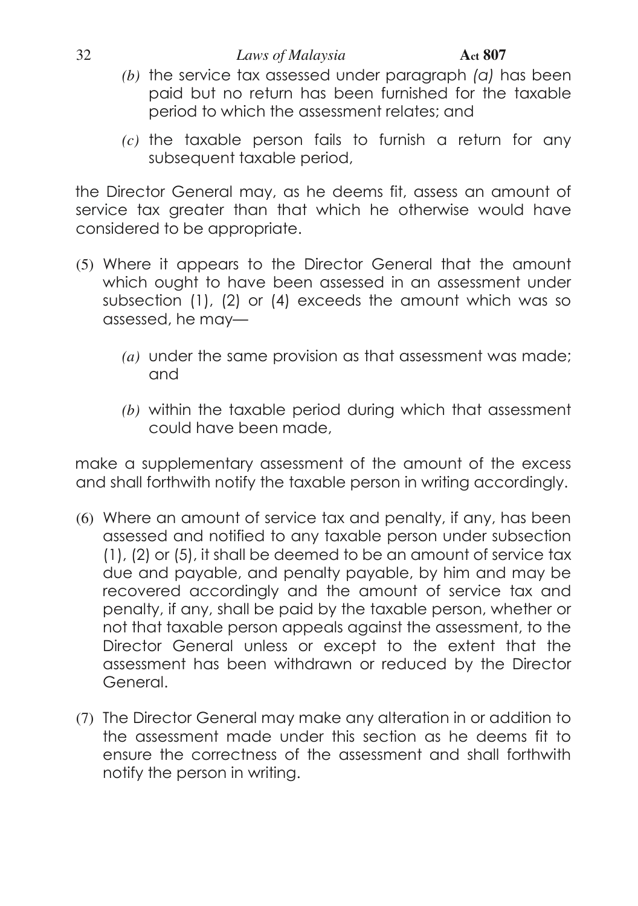#### 32 *Laws of Malaysia* **Act 807**

- *(b)* the service tax assessed under paragraph *(a)* has been paid but no return has been furnished for the taxable period to which the assessment relates; and
- *(c)* the taxable person fails to furnish a return for any subsequent taxable period,

the Director General may, as he deems fit, assess an amount of service tax greater than that which he otherwise would have considered to be appropriate.

- (5) Where it appears to the Director General that the amount which ought to have been assessed in an assessment under subsection (1), (2) or (4) exceeds the amount which was so assessed, he may—
	- *(a)* under the same provision as that assessment was made; and
	- *(b)* within the taxable period during which that assessment could have been made,

make a supplementary assessment of the amount of the excess and shall forthwith notify the taxable person in writing accordingly.

- (6) Where an amount of service tax and penalty, if any, has been assessed and notified to any taxable person under subsection (1), (2) or (5), it shall be deemed to be an amount of service tax due and payable, and penalty payable, by him and may be recovered accordingly and the amount of service tax and penalty, if any, shall be paid by the taxable person, whether or not that taxable person appeals against the assessment, to the Director General unless or except to the extent that the assessment has been withdrawn or reduced by the Director General.
- (7) The Director General may make any alteration in or addition to the assessment made under this section as he deems fit to ensure the correctness of the assessment and shall forthwith notify the person in writing.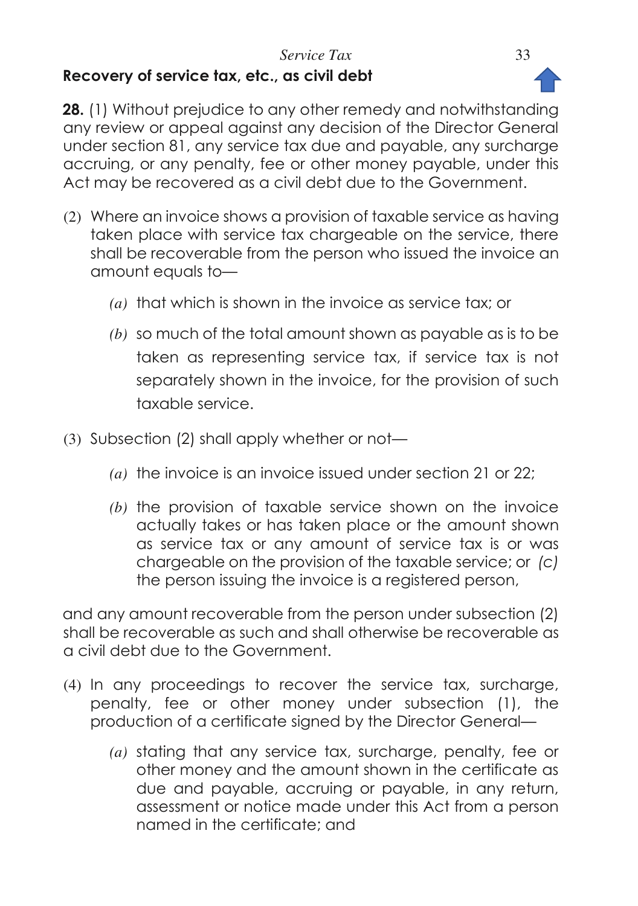## *Service Tax* 33 **Recovery of service tax, etc., as civil debt**



<span id="page-32-0"></span>**28.** (1) Without prejudice to any other remedy and notwithstanding any review or appeal against any decision of the Director General under section 81, any service tax due and payable, any surcharge accruing, or any penalty, fee or other money payable, under this Act may be recovered as a civil debt due to the Government.

- (2) Where an invoice shows a provision of taxable service as having taken place with service tax chargeable on the service, there shall be recoverable from the person who issued the invoice an amount equals to—
	- *(a)* that which is shown in the invoice as service tax; or
	- *(b)* so much of the total amount shown as payable as is to be taken as representing service tax, if service tax is not separately shown in the invoice, for the provision of such taxable service.
- (3) Subsection (2) shall apply whether or not—
	- *(a)* the invoice is an invoice issued under section 21 or 22;
	- *(b)* the provision of taxable service shown on the invoice actually takes or has taken place or the amount shown as service tax or any amount of service tax is or was chargeable on the provision of the taxable service; or *(c)*  the person issuing the invoice is a registered person,

and any amount recoverable from the person under subsection (2) shall be recoverable as such and shall otherwise be recoverable as a civil debt due to the Government.

- (4) In any proceedings to recover the service tax, surcharge, penalty, fee or other money under subsection (1), the production of a certificate signed by the Director General—
	- *(a)* stating that any service tax, surcharge, penalty, fee or other money and the amount shown in the certificate as due and payable, accruing or payable, in any return, assessment or notice made under this Act from a person named in the certificate; and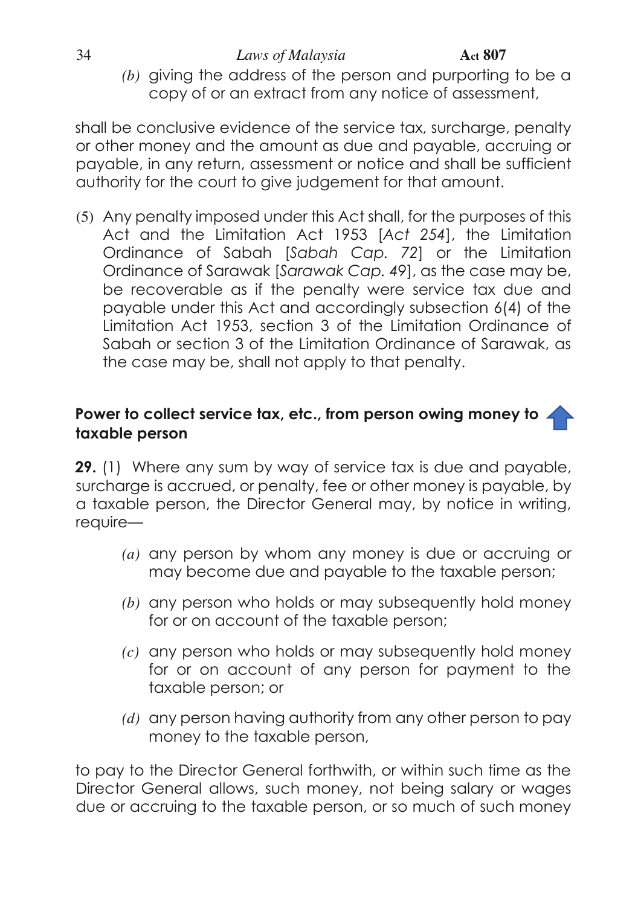*(b)* giving the address of the person and purporting to be a copy of or an extract from any notice of assessment,

shall be conclusive evidence of the service tax, surcharge, penalty or other money and the amount as due and payable, accruing or payable, in any return, assessment or notice and shall be sufficient authority for the court to give judgement for that amount.

(5) Any penalty imposed under this Act shall, for the purposes of this Act and the Limitation Act 1953 [*Act 254*], the Limitation Ordinance of Sabah [*Sabah Cap. 72*] or the Limitation Ordinance of Sarawak [*Sarawak Cap. 49*], as the case may be, be recoverable as if the penalty were service tax due and payable under this Act and accordingly subsection 6(4) of the Limitation Act 1953, section 3 of the Limitation Ordinance of Sabah or section 3 of the Limitation Ordinance of Sarawak, as the case may be, shall not apply to that penalty.

# <span id="page-33-0"></span>**Power to collect service tax, etc., from person owing money to taxable person**

**29.** (1) Where any sum by way of service tax is due and payable, surcharge is accrued, or penalty, fee or other money is payable, by a taxable person, the Director General may, by notice in writing, require—

- *(a)* any person by whom any money is due or accruing or may become due and payable to the taxable person;
- *(b)* any person who holds or may subsequently hold money for or on account of the taxable person;
- *(c)* any person who holds or may subsequently hold money for or on account of any person for payment to the taxable person; or
- *(d)* any person having authority from any other person to pay money to the taxable person,

to pay to the Director General forthwith, or within such time as the Director General allows, such money, not being salary or wages due or accruing to the taxable person, or so much of such money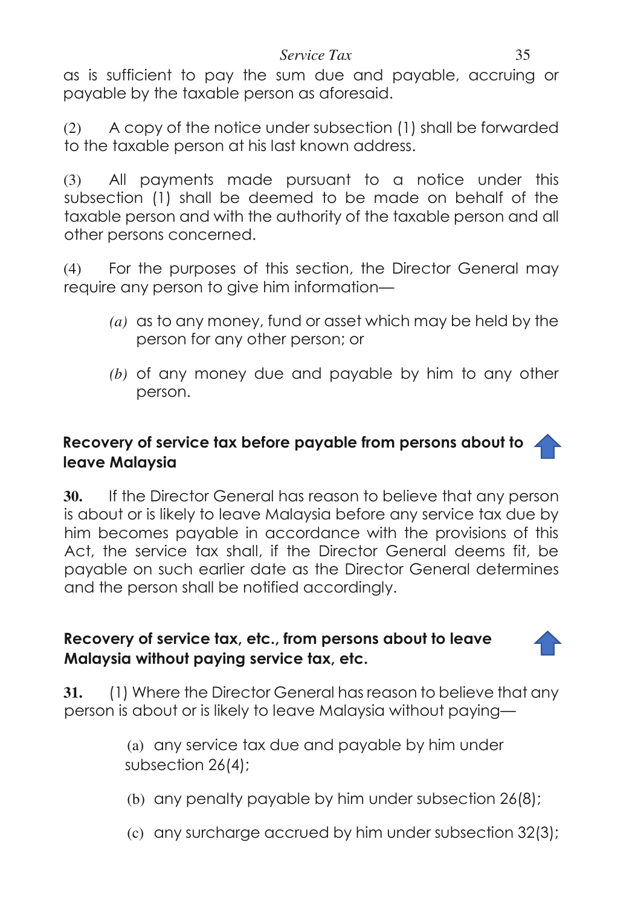#### *Service Tax* 35

as is sufficient to pay the sum due and payable, accruing or payable by the taxable person as aforesaid.

(2) A copy of the notice under subsection (1) shall be forwarded to the taxable person at his last known address.

(3) All payments made pursuant to a notice under this subsection (1) shall be deemed to be made on behalf of the taxable person and with the authority of the taxable person and all other persons concerned.

(4) For the purposes of this section, the Director General may require any person to give him information—

- *(a)* as to any money, fund or asset which may be held by the person for any other person; or
- *(b)* of any money due and payable by him to any other person.

# <span id="page-34-0"></span>**Recovery of service tax before payable from persons about to leave Malaysia**

**30.** If the Director General has reason to believe that any person is about or is likely to leave Malaysia before any service tax due by him becomes payable in accordance with the provisions of this Act, the service tax shall, if the Director General deems fit, be payable on such earlier date as the Director General determines and the person shall be notified accordingly.

## <span id="page-34-1"></span>**Recovery of service tax, etc., from persons about to leave Malaysia without paying service tax, etc.**

**31.** (1) Where the Director General has reason to believe that any person is about or is likely to leave Malaysia without paying—

> (a) any service tax due and payable by him under subsection 26(4);

- (b) any penalty payable by him under subsection 26(8);
- (c) any surcharge accrued by him under subsection 32(3);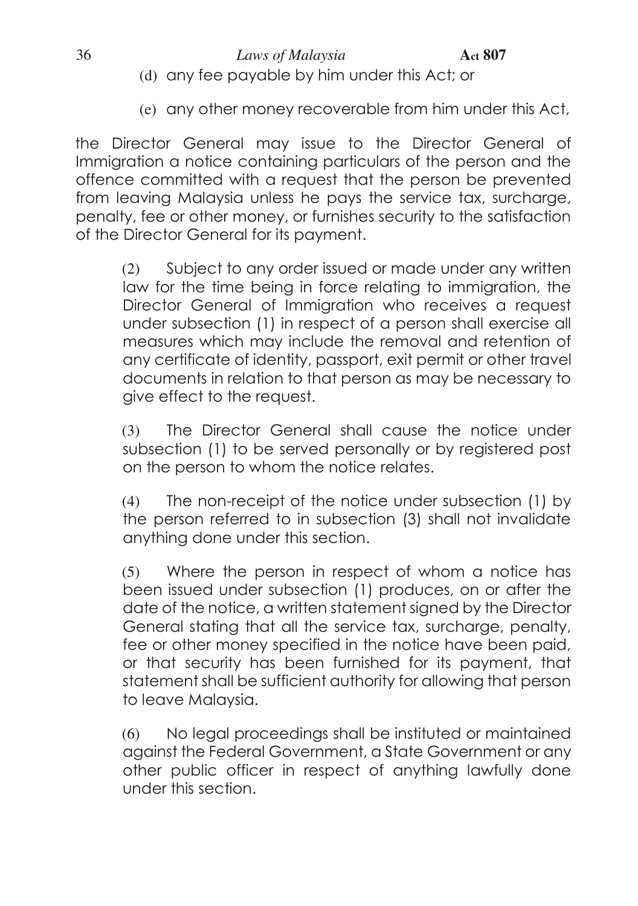(e) any other money recoverable from him under this Act,

the Director General may issue to the Director General of Immigration a notice containing particulars of the person and the offence committed with a request that the person be prevented from leaving Malaysia unless he pays the service tax, surcharge, penalty, fee or other money, or furnishes security to the satisfaction of the Director General for its payment.

(2) Subject to any order issued or made under any written law for the time being in force relating to immigration, the Director General of Immigration who receives a request under subsection (1) in respect of a person shall exercise all measures which may include the removal and retention of any certificate of identity, passport, exit permit or other travel documents in relation to that person as may be necessary to give effect to the request.

(3) The Director General shall cause the notice under subsection (1) to be served personally or by registered post on the person to whom the notice relates.

(4) The non-receipt of the notice under subsection (1) by the person referred to in subsection (3) shall not invalidate anything done under this section.

(5) Where the person in respect of whom a notice has been issued under subsection (1) produces, on or after the date of the notice, a written statement signed by the Director General stating that all the service tax, surcharge, penalty, fee or other money specified in the notice have been paid, or that security has been furnished for its payment, that statement shall be sufficient authority for allowing that person to leave Malaysia.

(6) No legal proceedings shall be instituted or maintained against the Federal Government, a State Government or any other public officer in respect of anything lawfully done under this section.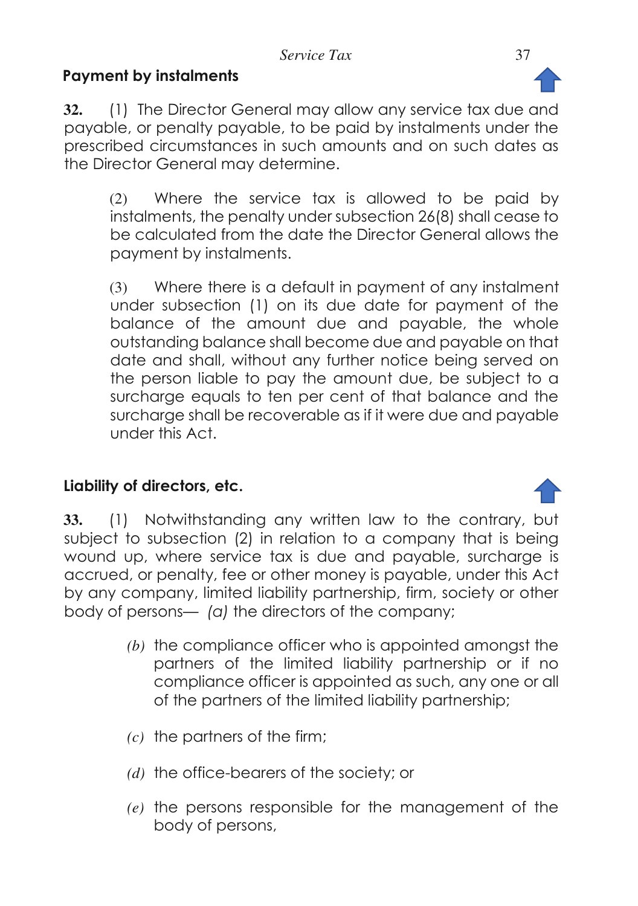# **Payment by instalments**

**32.** (1) The Director General may allow any service tax due and payable, or penalty payable, to be paid by instalments under the prescribed circumstances in such amounts and on such dates as the Director General may determine.

(2) Where the service tax is allowed to be paid by instalments, the penalty under subsection 26(8) shall cease to be calculated from the date the Director General allows the payment by instalments.

(3) Where there is a default in payment of any instalment under subsection (1) on its due date for payment of the balance of the amount due and payable, the whole outstanding balance shall become due and payable on that date and shall, without any further notice being served on the person liable to pay the amount due, be subject to a surcharge equals to ten per cent of that balance and the surcharge shall be recoverable as if it were due and payable under this Act.

# **Liability of directors, etc.**

**33.** (1) Notwithstanding any written law to the contrary, but subject to subsection (2) in relation to a company that is being wound up, where service tax is due and payable, surcharge is accrued, or penalty, fee or other money is payable, under this Act by any company, limited liability partnership, firm, society or other body of persons— *(a)* the directors of the company;

- *(b)* the compliance officer who is appointed amongst the partners of the limited liability partnership or if no compliance officer is appointed as such, any one or all of the partners of the limited liability partnership;
- *(c)* the partners of the firm;
- *(d)* the office-bearers of the society; or
- *(e)* the persons responsible for the management of the body of persons,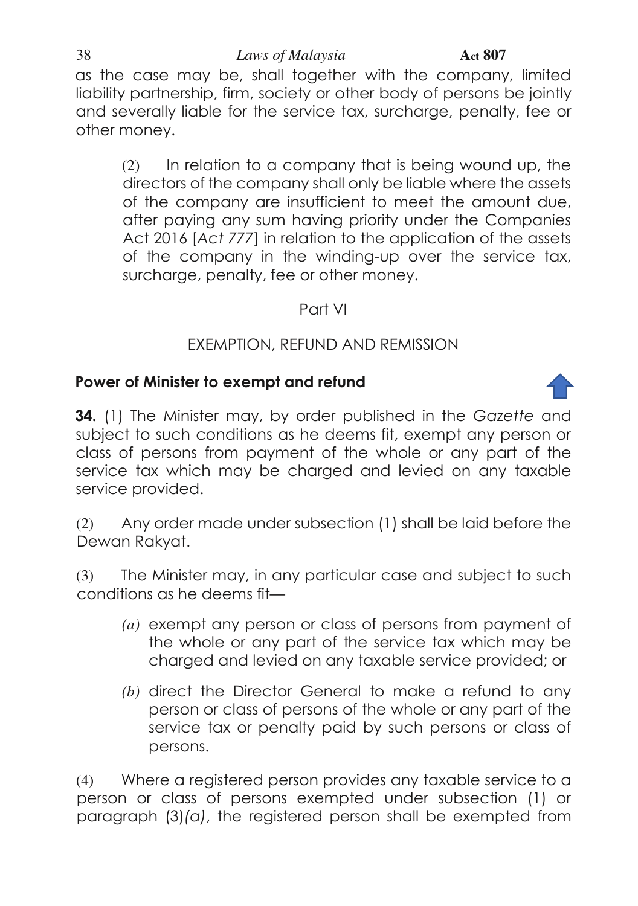#### 38 *Laws of Malaysia* **Act 807**

as the case may be, shall together with the company, limited liability partnership, firm, society or other body of persons be jointly and severally liable for the service tax, surcharge, penalty, fee or other money.

(2) In relation to a company that is being wound up, the directors of the company shall only be liable where the assets of the company are insufficient to meet the amount due, after paying any sum having priority under the Companies Act 2016 [*Act 777*] in relation to the application of the assets of the company in the winding-up over the service tax, surcharge, penalty, fee or other money.

### Part VI

# EXEMPTION, REFUND AND REMISSION

### **Power of Minister to exempt and refund**

**34.** (1) The Minister may, by order published in the *Gazette* and subject to such conditions as he deems fit, exempt any person or class of persons from payment of the whole or any part of the service tax which may be charged and levied on any taxable service provided.

(2) Any order made under subsection (1) shall be laid before the Dewan Rakyat.

(3) The Minister may, in any particular case and subject to such conditions as he deems fit—

- *(a)* exempt any person or class of persons from payment of the whole or any part of the service tax which may be charged and levied on any taxable service provided; or
- *(b)* direct the Director General to make a refund to any person or class of persons of the whole or any part of the service tax or penalty paid by such persons or class of persons.

(4) Where a registered person provides any taxable service to a person or class of persons exempted under subsection (1) or paragraph (3)*(a)*, the registered person shall be exempted from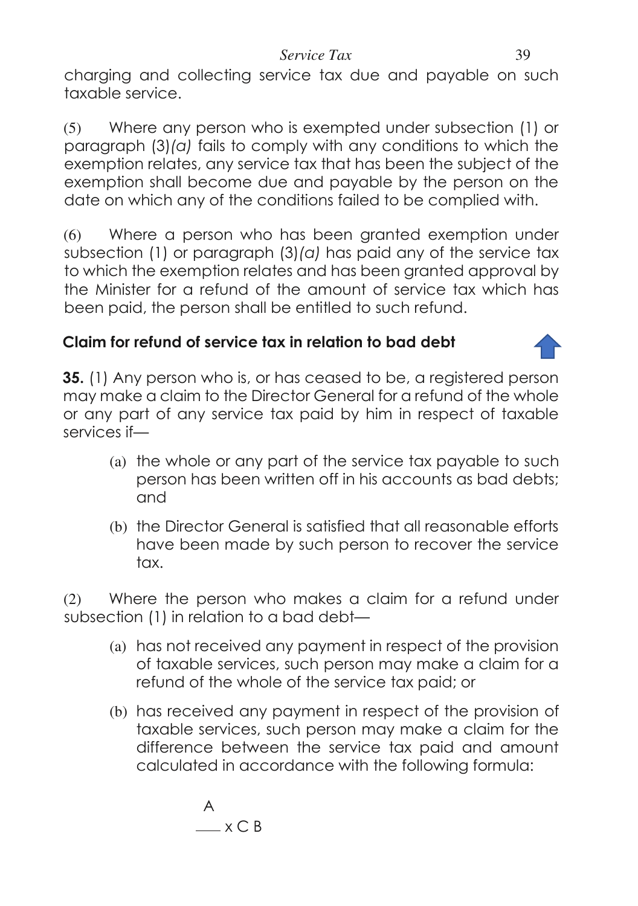charging and collecting service tax due and payable on such taxable service.

(5) Where any person who is exempted under subsection (1) or paragraph (3)*(a)* fails to comply with any conditions to which the exemption relates, any service tax that has been the subject of the exemption shall become due and payable by the person on the date on which any of the conditions failed to be complied with.

(6) Where a person who has been granted exemption under subsection (1) or paragraph (3)*(a)* has paid any of the service tax to which the exemption relates and has been granted approval by the Minister for a refund of the amount of service tax which has been paid, the person shall be entitled to such refund.

# **Claim for refund of service tax in relation to bad debt**

**35.** (1) Any person who is, or has ceased to be, a registered person may make a claim to the Director General for a refund of the whole or any part of any service tax paid by him in respect of taxable services if—

- (a) the whole or any part of the service tax payable to such person has been written off in his accounts as bad debts; and
- (b) the Director General is satisfied that all reasonable efforts have been made by such person to recover the service tax.

(2) Where the person who makes a claim for a refund under subsection (1) in relation to a bad debt—

- (a) has not received any payment in respect of the provision of taxable services, such person may make a claim for a refund of the whole of the service tax paid; or
- (b) has received any payment in respect of the provision of taxable services, such person may make a claim for the difference between the service tax paid and amount calculated in accordance with the following formula:

A  $\_\ x \subset B$ 

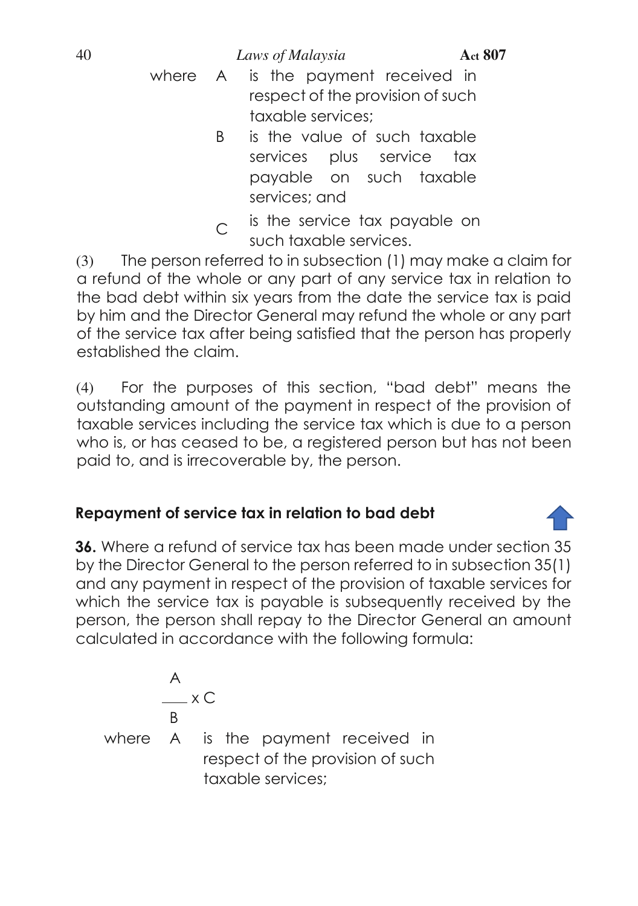40 *Laws of Malaysia* **Act 807**

- where A is the payment received in respect of the provision of such taxable services;
	- B is the value of such taxable services plus service tax payable on such taxable services; and
	- $C$  is the service tax payable on such taxable services.

(3) The person referred to in subsection (1) may make a claim for a refund of the whole or any part of any service tax in relation to the bad debt within six years from the date the service tax is paid by him and the Director General may refund the whole or any part of the service tax after being satisfied that the person has properly established the claim.

(4) For the purposes of this section, "bad debt" means the outstanding amount of the payment in respect of the provision of taxable services including the service tax which is due to a person who is, or has ceased to be, a registered person but has not been paid to, and is irrecoverable by, the person.

# **Repayment of service tax in relation to bad debt**

**36.** Where a refund of service tax has been made under section 35 by the Director General to the person referred to in subsection 35(1) and any payment in respect of the provision of taxable services for which the service tax is payable is subsequently received by the person, the person shall repay to the Director General an amount calculated in accordance with the following formula:

$$
\begin{array}{c}\nA \\
\hline\nB \\
\end{array}
$$
\nwhere A is the payment received in respect of the provision of such

\ntaxable services;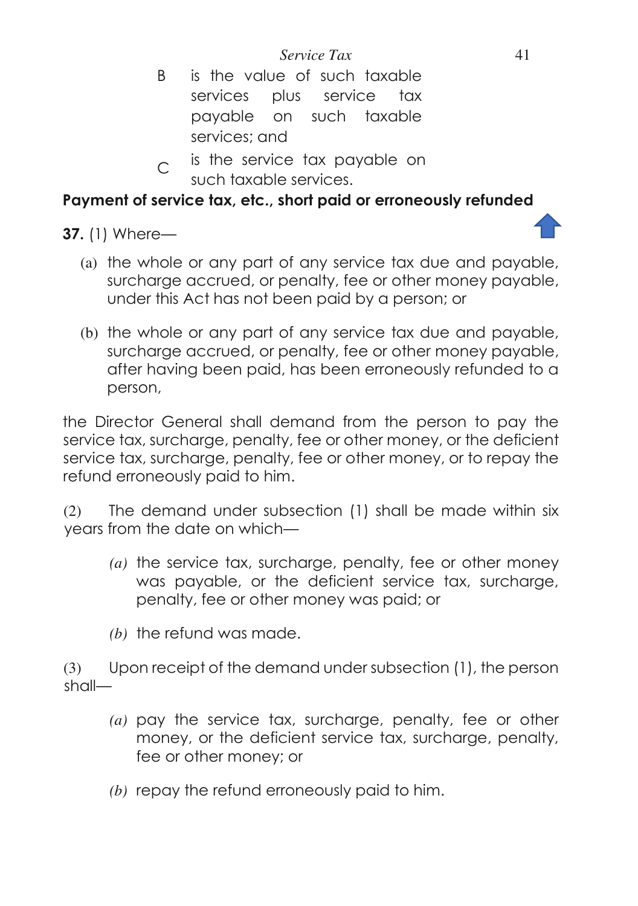- B is the value of such taxable services plus service tax payable on such taxable services; and
- $C$  is the service tax payable on such taxable services.

#### **Payment of service tax, etc., short paid or erroneously refunded**

**37.** (1) Where—

- (a) the whole or any part of any service tax due and payable, surcharge accrued, or penalty, fee or other money payable, under this Act has not been paid by a person; or
- (b) the whole or any part of any service tax due and payable, surcharge accrued, or penalty, fee or other money payable, after having been paid, has been erroneously refunded to a person,

the Director General shall demand from the person to pay the service tax, surcharge, penalty, fee or other money, or the deficient service tax, surcharge, penalty, fee or other money, or to repay the refund erroneously paid to him.

(2) The demand under subsection (1) shall be made within six years from the date on which—

- *(a)* the service tax, surcharge, penalty, fee or other money was payable, or the deficient service tax, surcharge, penalty, fee or other money was paid; or
- *(b)* the refund was made.

(3) Upon receipt of the demand under subsection (1), the person shall—

- *(a)* pay the service tax, surcharge, penalty, fee or other money, or the deficient service tax, surcharge, penalty, fee or other money; or
- *(b)* repay the refund erroneously paid to him.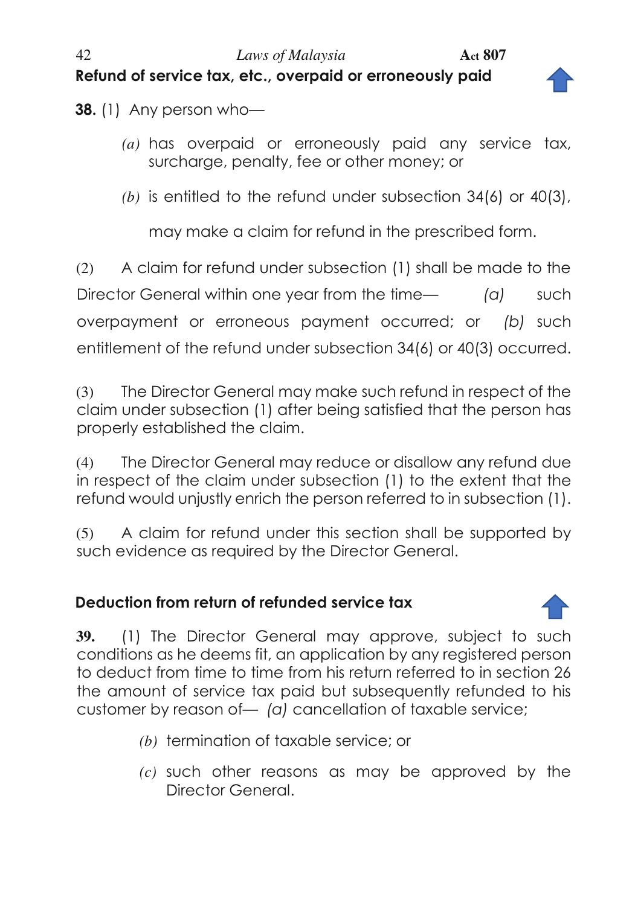# 42 *Laws of Malaysia* **Act 807 Refund of service tax, etc., overpaid or erroneously paid**



**38.** (1) Any person who-

- *(a)* has overpaid or erroneously paid any service tax, surcharge, penalty, fee or other money; or
- *(b)* is entitled to the refund under subsection 34(6) or 40(3),

may make a claim for refund in the prescribed form.

(2) A claim for refund under subsection (1) shall be made to the Director General within one year from the time— (a) such overpayment or erroneous payment occurred; or *(b)* such entitlement of the refund under subsection 34(6) or 40(3) occurred.

(3) The Director General may make such refund in respect of the claim under subsection (1) after being satisfied that the person has properly established the claim.

(4) The Director General may reduce or disallow any refund due in respect of the claim under subsection (1) to the extent that the refund would unjustly enrich the person referred to in subsection (1).

(5) A claim for refund under this section shall be supported by such evidence as required by the Director General.

# **Deduction from return of refunded service tax**



**39.** (1) The Director General may approve, subject to such conditions as he deems fit, an application by any registered person to deduct from time to time from his return referred to in section 26 the amount of service tax paid but subsequently refunded to his customer by reason of— *(a)* cancellation of taxable service;

- *(b)* termination of taxable service; or
- *(c)* such other reasons as may be approved by the Director General.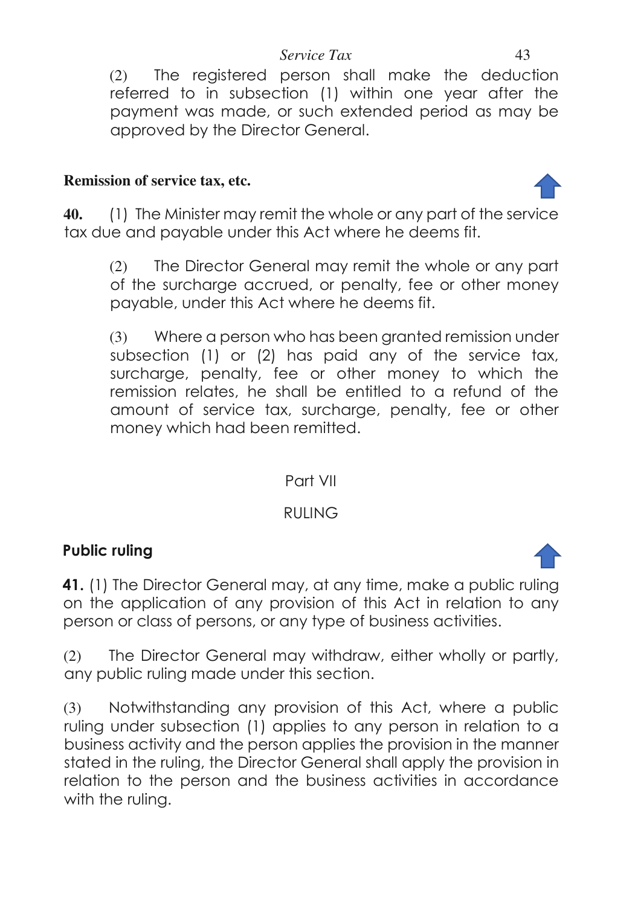(2) The registered person shall make the deduction referred to in subsection (1) within one year after the payment was made, or such extended period as may be approved by the Director General.

#### **Remission of service tax, etc.**

**40.** (1) The Minister may remit the whole or any part of the service tax due and payable under this Act where he deems fit.

(2) The Director General may remit the whole or any part of the surcharge accrued, or penalty, fee or other money payable, under this Act where he deems fit.

(3) Where a person who has been granted remission under subsection (1) or (2) has paid any of the service tax, surcharge, penalty, fee or other money to which the remission relates, he shall be entitled to a refund of the amount of service tax, surcharge, penalty, fee or other money which had been remitted.

# Part VII

# RULING

# **Public ruling**

**41.** (1) The Director General may, at any time, make a public ruling on the application of any provision of this Act in relation to any person or class of persons, or any type of business activities.

(2) The Director General may withdraw, either wholly or partly, any public ruling made under this section.

(3) Notwithstanding any provision of this Act, where a public ruling under subsection (1) applies to any person in relation to a business activity and the person applies the provision in the manner stated in the ruling, the Director General shall apply the provision in relation to the person and the business activities in accordance with the ruling.



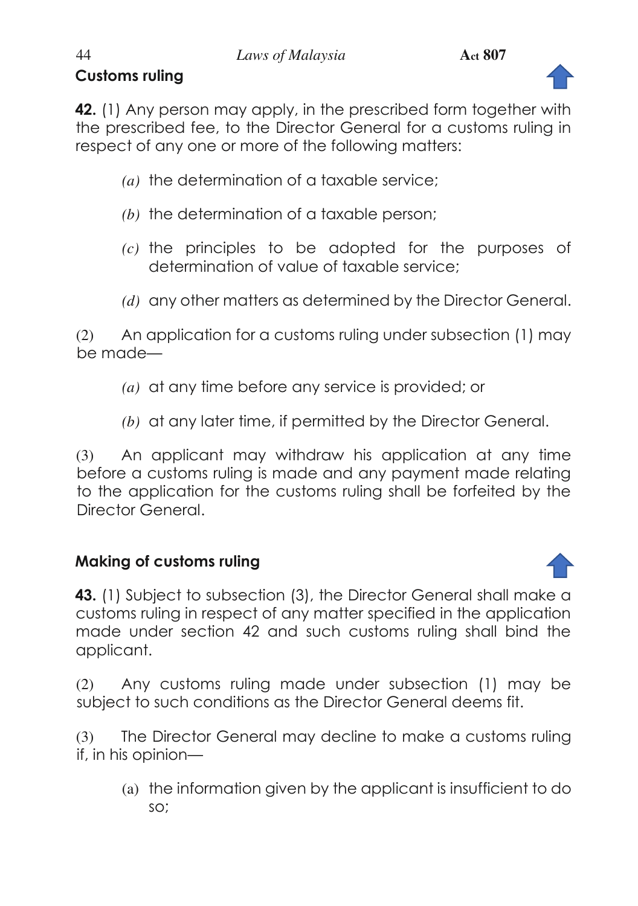# **Customs ruling**



**42.** (1) Any person may apply, in the prescribed form together with the prescribed fee, to the Director General for a customs ruling in respect of any one or more of the following matters:

- *(a)* the determination of a taxable service;
- *(b)* the determination of a taxable person;
- *(c)* the principles to be adopted for the purposes of determination of value of taxable service;
- *(d)* any other matters as determined by the Director General.

(2) An application for a customs ruling under subsection (1) may be made—

- *(a)* at any time before any service is provided; or
- *(b)* at any later time, if permitted by the Director General.

(3) An applicant may withdraw his application at any time before a customs ruling is made and any payment made relating to the application for the customs ruling shall be forfeited by the Director General.

# **Making of customs ruling**

**43.** (1) Subject to subsection (3), the Director General shall make a customs ruling in respect of any matter specified in the application made under section 42 and such customs ruling shall bind the applicant.

(2) Any customs ruling made under subsection (1) may be subject to such conditions as the Director General deems fit.

(3) The Director General may decline to make a customs ruling if, in his opinion—

(a) the information given by the applicant is insufficient to do so;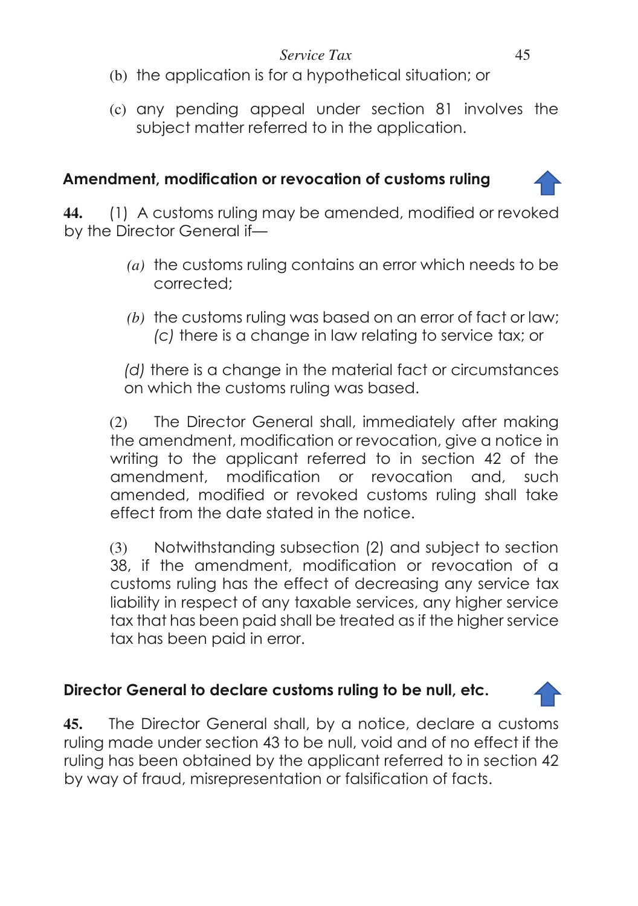- (b) the application is for a hypothetical situation; or
- (c) any pending appeal under section 81 involves the subject matter referred to in the application.

# **Amendment, modification or revocation of customs ruling**

**44.** (1) A customs ruling may be amended, modified or revoked by the Director General if—

- *(a)* the customs ruling contains an error which needs to be corrected;
- *(b)* the customs ruling was based on an error of fact or law; *(c)* there is a change in law relating to service tax; or

 *(d)* there is a change in the material fact or circumstances on which the customs ruling was based.

(2) The Director General shall, immediately after making the amendment, modification or revocation, give a notice in writing to the applicant referred to in section 42 of the amendment, modification or revocation and, such amended, modified or revoked customs ruling shall take effect from the date stated in the notice.

(3) Notwithstanding subsection (2) and subject to section 38, if the amendment, modification or revocation of a customs ruling has the effect of decreasing any service tax liability in respect of any taxable services, any higher service tax that has been paid shall be treated as if the higher service tax has been paid in error.

# **Director General to declare customs ruling to be null, etc.**

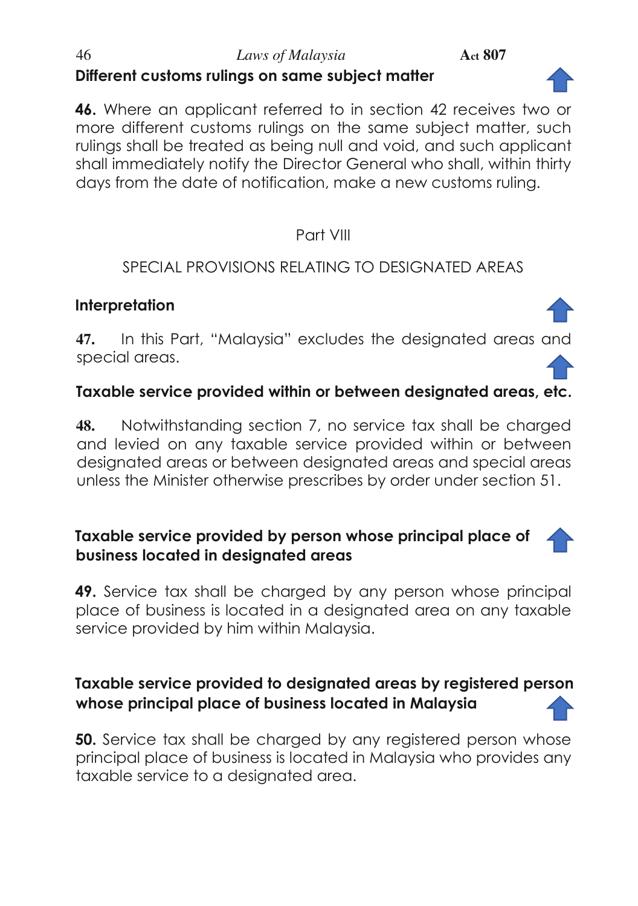### 46 *Laws of Malaysia* **Act 807 Different customs rulings on same subject matter**

**46.** Where an applicant referred to in section 42 receives two or more different customs rulings on the same subject matter, such rulings shall be treated as being null and void, and such applicant shall immediately notify the Director General who shall, within thirty days from the date of notification, make a new customs ruling.

### Part VIII

# SPECIAL PROVISIONS RELATING TO DESIGNATED AREAS

# **Interpretation**

**47.** In this Part, "Malaysia" excludes the designated areas and special areas.

# **Taxable service provided within or between designated areas, etc.**

**48.** Notwithstanding section 7, no service tax shall be charged and levied on any taxable service provided within or between designated areas or between designated areas and special areas unless the Minister otherwise prescribes by order under section 51.

### **Taxable service provided by person whose principal place of business located in designated areas**

**49.** Service tax shall be charged by any person whose principal place of business is located in a designated area on any taxable service provided by him within Malaysia.

# **Taxable service provided to designated areas by registered person whose principal place of business located in Malaysia**

**50.** Service tax shall be charged by any registered person whose principal place of business is located in Malaysia who provides any taxable service to a designated area.





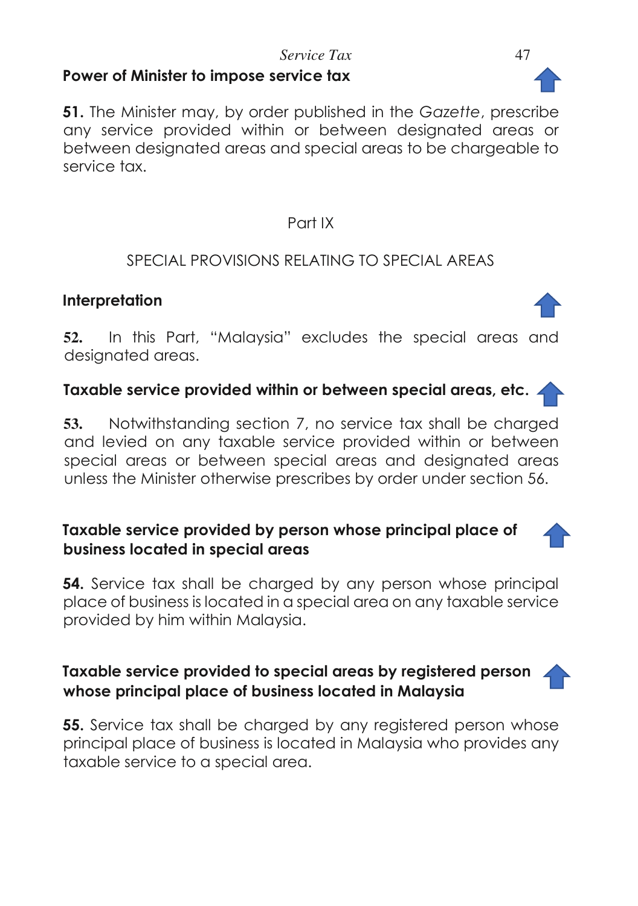#### *Service Tax* 47 **Power of Minister to impose service tax**

**51.** The Minister may, by order published in the *Gazette*, prescribe any service provided within or between designated areas or between designated areas and special areas to be chargeable to service tax.

#### Part IX

### SPECIAL PROVISIONS RELATING TO SPECIAL AREAS

#### **Interpretation**

**52.** In this Part, "Malaysia" excludes the special areas and designated areas.

#### **Taxable service provided within or between special areas, etc.**

**53.** Notwithstanding section 7, no service tax shall be charged and levied on any taxable service provided within or between special areas or between special areas and designated areas unless the Minister otherwise prescribes by order under section 56.

#### **Taxable service provided by person whose principal place of business located in special areas**

**54.** Service tax shall be charged by any person whose principal place of business is located in a special area on any taxable service provided by him within Malaysia.

### **Taxable service provided to special areas by registered person whose principal place of business located in Malaysia**

**55.** Service tax shall be charged by any registered person whose principal place of business is located in Malaysia who provides any taxable service to a special area.





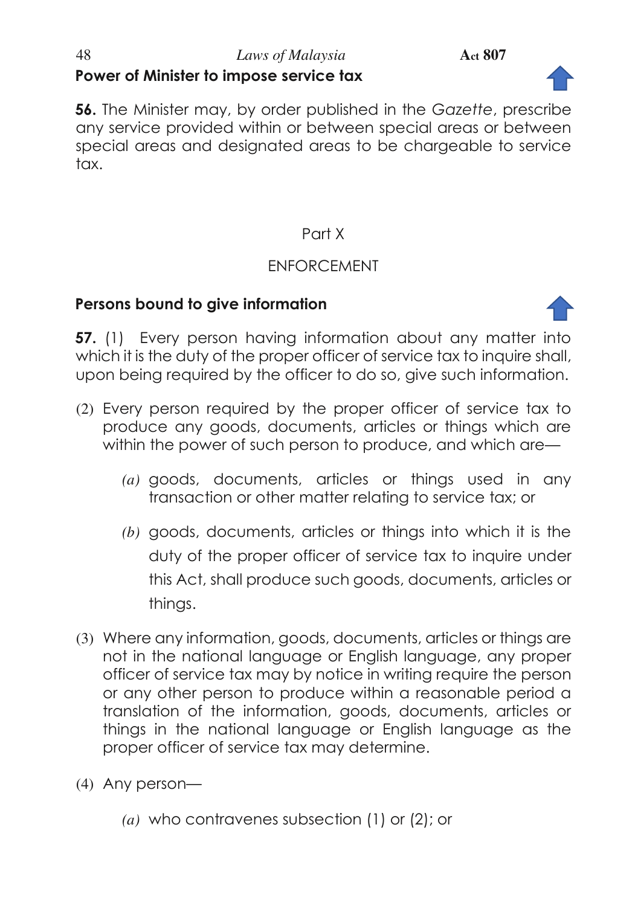#### 48 *Laws of Malaysia* **Act 807 Power of Minister to impose service tax**



**56.** The Minister may, by order published in the *Gazette*, prescribe any service provided within or between special areas or between special areas and designated areas to be chargeable to service tax.

# Part X

# ENFORCEMENT

#### **Persons bound to give information**



**57.** (1) Every person having information about any matter into which it is the duty of the proper officer of service tax to inquire shall, upon being required by the officer to do so, give such information.

- (2) Every person required by the proper officer of service tax to produce any goods, documents, articles or things which are within the power of such person to produce, and which are—
	- *(a)* goods, documents, articles or things used in any transaction or other matter relating to service tax; or
	- *(b)* goods, documents, articles or things into which it is the duty of the proper officer of service tax to inquire under this Act, shall produce such goods, documents, articles or things.
- (3) Where any information, goods, documents, articles or things are not in the national language or English language, any proper officer of service tax may by notice in writing require the person or any other person to produce within a reasonable period a translation of the information, goods, documents, articles or things in the national language or English language as the proper officer of service tax may determine.
- (4) Any person—
	- *(a)* who contravenes subsection (1) or (2); or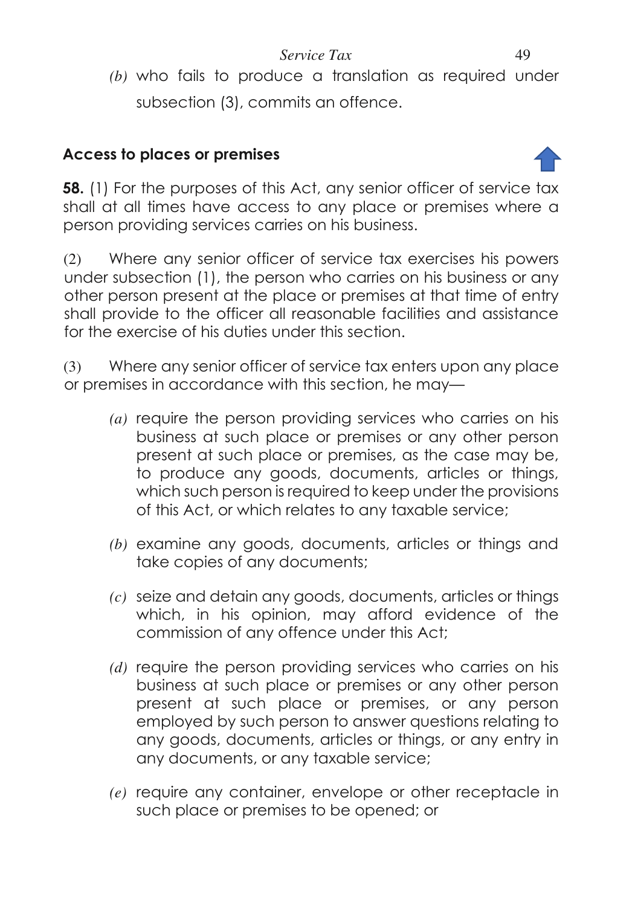*(b)* who fails to produce a translation as required under subsection (3), commits an offence.

# **Access to places or premises**



**58.** (1) For the purposes of this Act, any senior officer of service tax shall at all times have access to any place or premises where a person providing services carries on his business.

(2) Where any senior officer of service tax exercises his powers under subsection (1), the person who carries on his business or any other person present at the place or premises at that time of entry shall provide to the officer all reasonable facilities and assistance for the exercise of his duties under this section.

(3) Where any senior officer of service tax enters upon any place or premises in accordance with this section, he may—

- *(a)* require the person providing services who carries on his business at such place or premises or any other person present at such place or premises, as the case may be, to produce any goods, documents, articles or thinas. which such person is required to keep under the provisions of this Act, or which relates to any taxable service;
- *(b)* examine any goods, documents, articles or things and take copies of any documents;
- *(c)* seize and detain any goods, documents, articles or things which, in his opinion, may afford evidence of the commission of any offence under this Act;
- *(d)* require the person providing services who carries on his business at such place or premises or any other person present at such place or premises, or any person employed by such person to answer questions relating to any goods, documents, articles or things, or any entry in any documents, or any taxable service;
- *(e)* require any container, envelope or other receptacle in such place or premises to be opened; or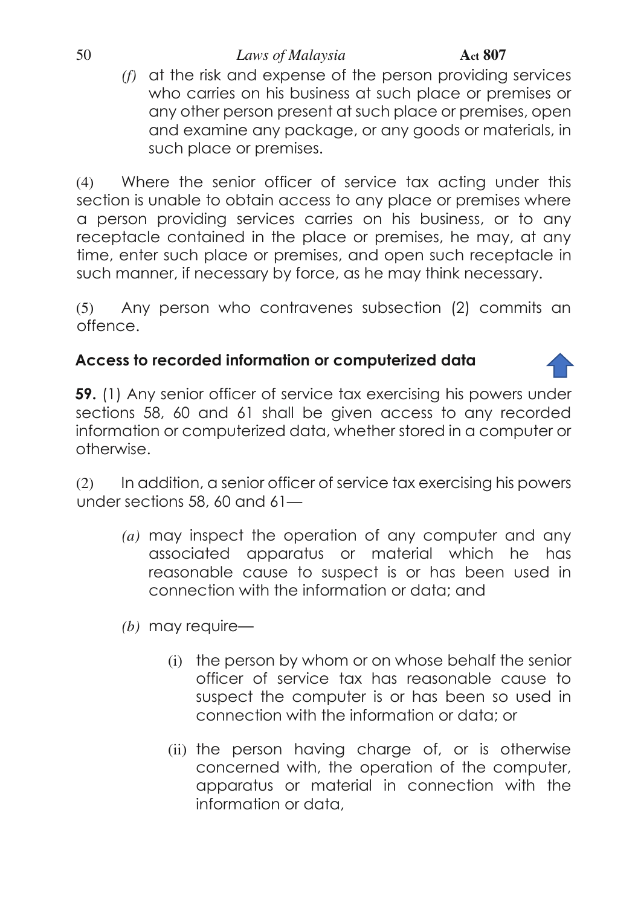#### 50 *Laws of Malaysia* **Act 807**

*(f)* at the risk and expense of the person providing services who carries on his business at such place or premises or any other person present at such place or premises, open and examine any package, or any goods or materials, in such place or premises.

(4) Where the senior officer of service tax acting under this section is unable to obtain access to any place or premises where a person providing services carries on his business, or to any receptacle contained in the place or premises, he may, at any time, enter such place or premises, and open such receptacle in such manner, if necessary by force, as he may think necessary.

(5) Any person who contravenes subsection (2) commits an offence.

### **Access to recorded information or computerized data**

**59.** (1) Any senior officer of service tax exercising his powers under sections 58, 60 and 61 shall be given access to any recorded information or computerized data, whether stored in a computer or otherwise.

(2) In addition, a senior officer of service tax exercising his powers under sections 58, 60 and 61—

- *(a)* may inspect the operation of any computer and any associated apparatus or material which he has reasonable cause to suspect is or has been used in connection with the information or data; and
- *(b)* may require—
	- (i) the person by whom or on whose behalf the senior officer of service tax has reasonable cause to suspect the computer is or has been so used in connection with the information or data; or
	- (ii) the person having charge of, or is otherwise concerned with, the operation of the computer, apparatus or material in connection with the information or data,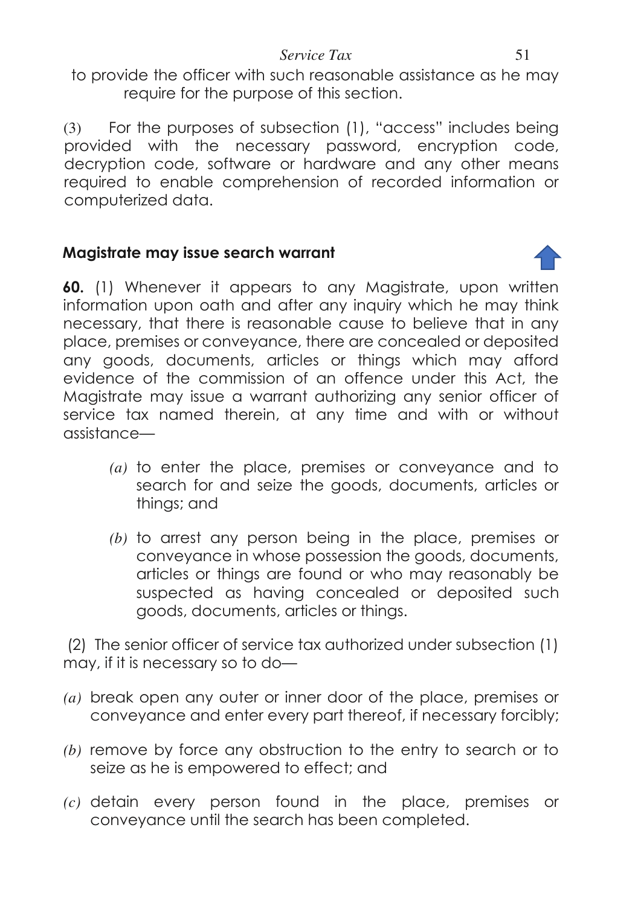to provide the officer with such reasonable assistance as he may require for the purpose of this section.

(3) For the purposes of subsection (1), "access" includes being provided with the necessary password, encryption code, decryption code, software or hardware and any other means required to enable comprehension of recorded information or computerized data.

# **Magistrate may issue search warrant**

**60.** (1) Whenever it appears to any Magistrate, upon written information upon oath and after any inquiry which he may think necessary, that there is reasonable cause to believe that in any place, premises or conveyance, there are concealed or deposited any goods, documents, articles or things which may afford evidence of the commission of an offence under this Act, the Magistrate may issue a warrant authorizing any senior officer of service tax named therein, at any time and with or without assistance—

- *(a)* to enter the place, premises or conveyance and to search for and seize the goods, documents, articles or things; and
- *(b)* to arrest any person being in the place, premises or conveyance in whose possession the goods, documents, articles or things are found or who may reasonably be suspected as having concealed or deposited such goods, documents, articles or things.

 (2) The senior officer of service tax authorized under subsection (1) may, if it is necessary so to do—

- *(a)* break open any outer or inner door of the place, premises or conveyance and enter every part thereof, if necessary forcibly;
- *(b)* remove by force any obstruction to the entry to search or to seize as he is empowered to effect; and
- *(c)* detain every person found in the place, premises or conveyance until the search has been completed.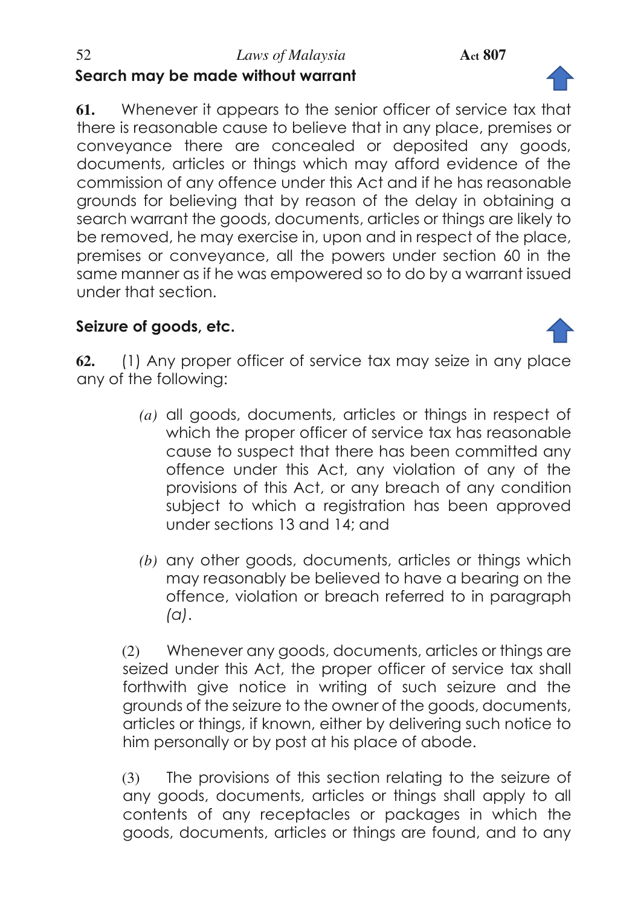**61.** Whenever it appears to the senior officer of service tax that there is reasonable cause to believe that in any place, premises or conveyance there are concealed or deposited any goods, documents, articles or things which may afford evidence of the commission of any offence under this Act and if he has reasonable grounds for believing that by reason of the delay in obtaining a search warrant the goods, documents, articles or things are likely to be removed, he may exercise in, upon and in respect of the place, premises or conveyance, all the powers under section 60 in the same manner as if he was empowered so to do by a warrant issued under that section.

# **Seizure of goods, etc.**

**62.** (1) Any proper officer of service tax may seize in any place any of the following:

- *(a)* all goods, documents, articles or things in respect of which the proper officer of service tax has reasonable cause to suspect that there has been committed any offence under this Act, any violation of any of the provisions of this Act, or any breach of any condition subject to which a registration has been approved under sections 13 and 14; and
- *(b)* any other goods, documents, articles or things which may reasonably be believed to have a bearing on the offence, violation or breach referred to in paragraph *(a)*.

(2) Whenever any goods, documents, articles or things are seized under this Act, the proper officer of service tax shall forthwith give notice in writing of such seizure and the grounds of the seizure to the owner of the goods, documents, articles or things, if known, either by delivering such notice to him personally or by post at his place of abode.

(3) The provisions of this section relating to the seizure of any goods, documents, articles or things shall apply to all contents of any receptacles or packages in which the goods, documents, articles or things are found, and to any



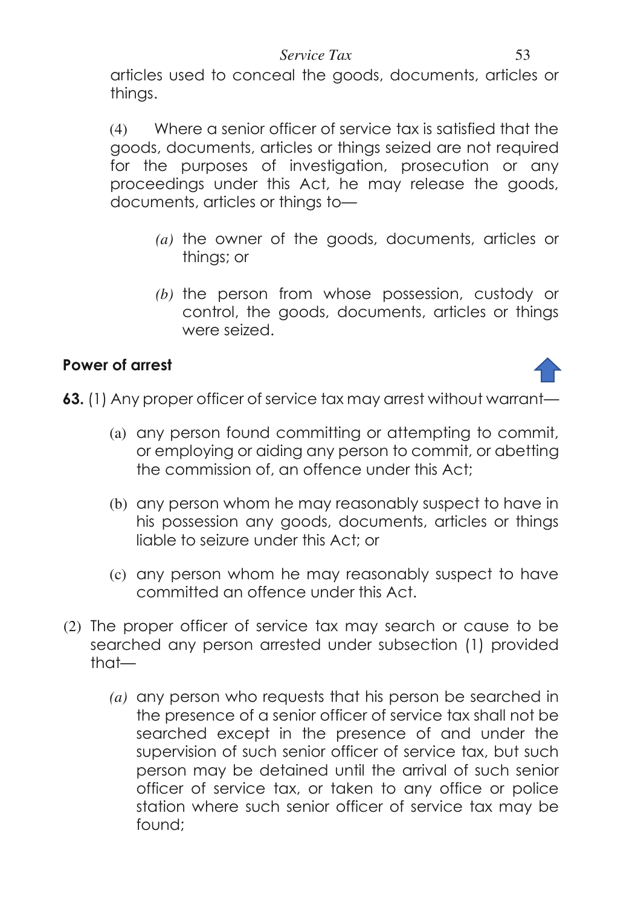articles used to conceal the goods, documents, articles or things.

(4) Where a senior officer of service tax is satisfied that the goods, documents, articles or things seized are not required for the purposes of investigation, prosecution or any proceedings under this Act, he may release the goods, documents, articles or things to—

- *(a)* the owner of the goods, documents, articles or things; or
- *(b)* the person from whose possession, custody or control, the goods, documents, articles or things were seized.

### **Power of arrest**



**63.** (1) Any proper officer of service tax may arrest without warrant—

- (a) any person found committing or attempting to commit, or employing or aiding any person to commit, or abetting the commission of, an offence under this Act;
- (b) any person whom he may reasonably suspect to have in his possession any goods, documents, articles or things liable to seizure under this Act; or
- (c) any person whom he may reasonably suspect to have committed an offence under this Act.
- (2) The proper officer of service tax may search or cause to be searched any person arrested under subsection (1) provided that—
	- *(a)* any person who requests that his person be searched in the presence of a senior officer of service tax shall not be searched except in the presence of and under the supervision of such senior officer of service tax, but such person may be detained until the arrival of such senior officer of service tax, or taken to any office or police station where such senior officer of service tax may be found;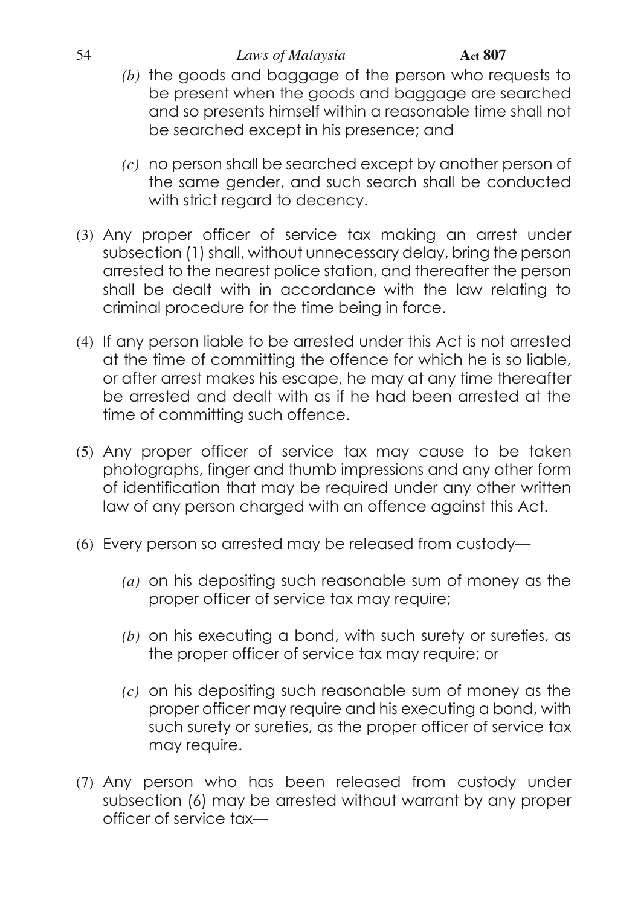#### 54 *Laws of Malaysia* **Act 807**

- *(b)* the goods and baggage of the person who requests to be present when the goods and baggage are searched and so presents himself within a reasonable time shall not be searched except in his presence; and
- *(c)* no person shall be searched except by another person of the same gender, and such search shall be conducted with strict regard to decency.
- (3) Any proper officer of service tax making an arrest under subsection (1) shall, without unnecessary delay, bring the person arrested to the nearest police station, and thereafter the person shall be dealt with in accordance with the law relating to criminal procedure for the time being in force.
- (4) If any person liable to be arrested under this Act is not arrested at the time of committing the offence for which he is so liable, or after arrest makes his escape, he may at any time thereafter be arrested and dealt with as if he had been arrested at the time of committing such offence.
- (5) Any proper officer of service tax may cause to be taken photographs, finger and thumb impressions and any other form of identification that may be required under any other written law of any person charged with an offence against this Act.
- (6) Every person so arrested may be released from custody—
	- *(a)* on his depositing such reasonable sum of money as the proper officer of service tax may require;
	- *(b)* on his executing a bond, with such surety or sureties, as the proper officer of service tax may require; or
	- *(c)* on his depositing such reasonable sum of money as the proper officer may require and his executing a bond, with such surety or sureties, as the proper officer of service tax may require.
- (7) Any person who has been released from custody under subsection (6) may be arrested without warrant by any proper officer of service tax—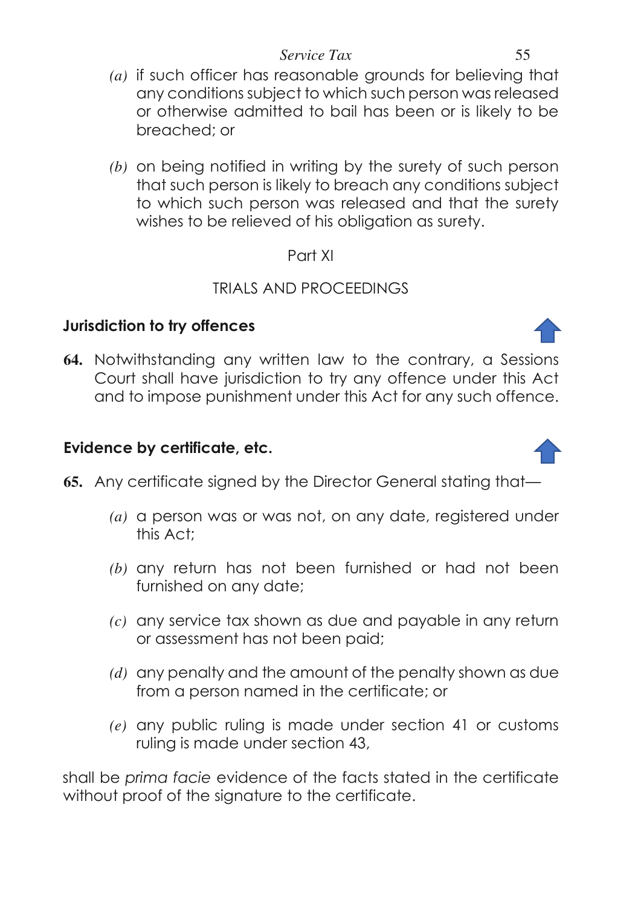- *(a)* if such officer has reasonable grounds for believing that any conditions subject to which such person was released or otherwise admitted to bail has been or is likely to be breached; or
- *(b)* on being notified in writing by the surety of such person that such person is likely to breach any conditions subject to which such person was released and that the surety wishes to be relieved of his obligation as surety.

### Part XI

# TRIALS AND PROCEEDINGS

# **Jurisdiction to try offences**

**64.** Notwithstanding any written law to the contrary, a Sessions Court shall have jurisdiction to try any offence under this Act and to impose punishment under this Act for any such offence.

# **Evidence by certificate, etc.**

- **65.** Any certificate signed by the Director General stating that—
	- *(a)* a person was or was not, on any date, registered under this Act;
	- *(b)* any return has not been furnished or had not been furnished on any date;
	- *(c)* any service tax shown as due and payable in any return or assessment has not been paid;
	- *(d)* any penalty and the amount of the penalty shown as due from a person named in the certificate; or
	- *(e)* any public ruling is made under section 41 or customs ruling is made under section 43,

shall be *prima facie* evidence of the facts stated in the certificate without proof of the signature to the certificate.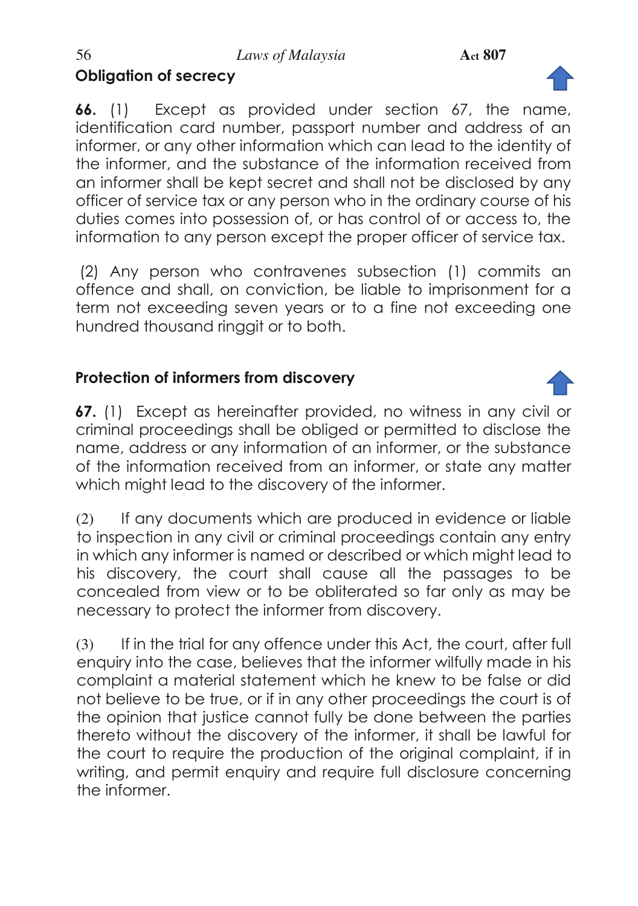# **Obligation of secrecy**

**66.** (1) Except as provided under section 67, the name, identification card number, passport number and address of an informer, or any other information which can lead to the identity of the informer, and the substance of the information received from an informer shall be kept secret and shall not be disclosed by any officer of service tax or any person who in the ordinary course of his duties comes into possession of, or has control of or access to, the information to any person except the proper officer of service tax.

 (2) Any person who contravenes subsection (1) commits an offence and shall, on conviction, be liable to imprisonment for a term not exceeding seven years or to a fine not exceeding one hundred thousand ringgit or to both.

# **Protection of informers from discovery**

**67.** (1) Except as hereinafter provided, no witness in any civil or criminal proceedings shall be obliged or permitted to disclose the name, address or any information of an informer, or the substance of the information received from an informer, or state any matter which might lead to the discovery of the informer.

(2) If any documents which are produced in evidence or liable to inspection in any civil or criminal proceedings contain any entry in which any informer is named or described or which might lead to his discovery, the court shall cause all the passages to be concealed from view or to be obliterated so far only as may be necessary to protect the informer from discovery.

(3) If in the trial for any offence under this Act, the court, after full enquiry into the case, believes that the informer wilfully made in his complaint a material statement which he knew to be false or did not believe to be true, or if in any other proceedings the court is of the opinion that justice cannot fully be done between the parties thereto without the discovery of the informer, it shall be lawful for the court to require the production of the original complaint, if in writing, and permit enquiry and require full disclosure concerning the informer.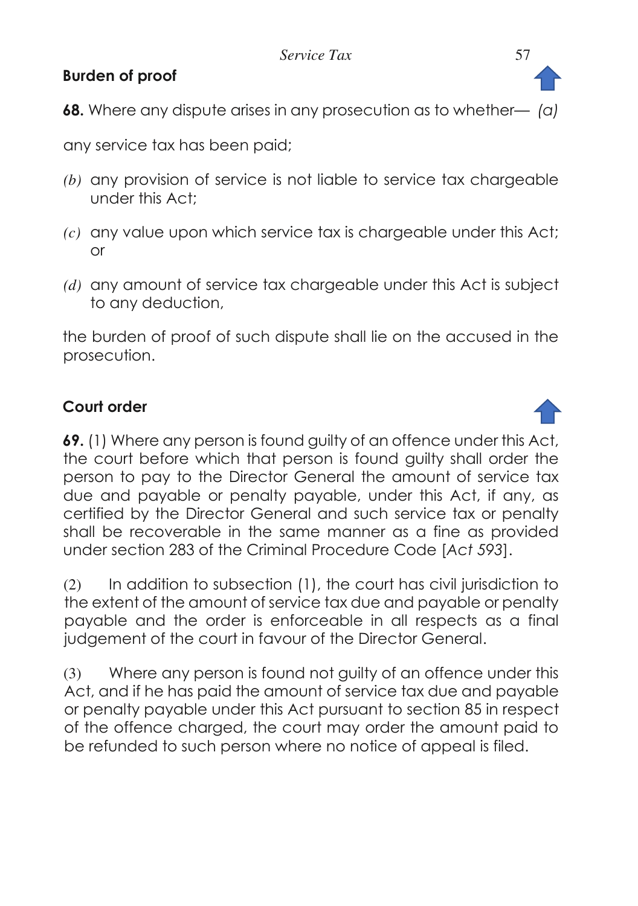# **Burden of proof**

**68.** Where any dispute arises in any prosecution as to whether— *(a)* 

any service tax has been paid;

- *(b)* any provision of service is not liable to service tax chargeable under this Act;
- *(c)* any value upon which service tax is chargeable under this Act; or
- *(d)* any amount of service tax chargeable under this Act is subject to any deduction,

the burden of proof of such dispute shall lie on the accused in the prosecution.

### **Court order**

**69.** (1) Where any person is found guilty of an offence under this Act, the court before which that person is found guilty shall order the person to pay to the Director General the amount of service tax due and payable or penalty payable, under this Act, if any, as certified by the Director General and such service tax or penalty shall be recoverable in the same manner as a fine as provided under section 283 of the Criminal Procedure Code [*Act 593*].

(2) In addition to subsection (1), the court has civil jurisdiction to the extent of the amount of service tax due and payable or penalty payable and the order is enforceable in all respects as a final judgement of the court in favour of the Director General.

(3) Where any person is found not guilty of an offence under this Act, and if he has paid the amount of service tax due and payable or penalty payable under this Act pursuant to section 85 in respect of the offence charged, the court may order the amount paid to be refunded to such person where no notice of appeal is filed.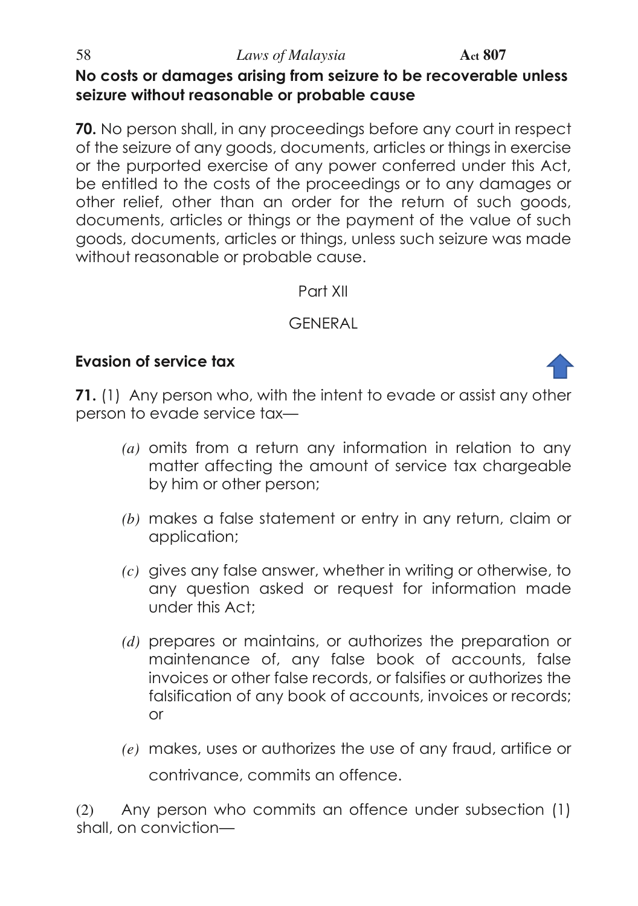### 58 *Laws of Malaysia* **Act 807 No costs or damages arising from seizure to be recoverable unless seizure without reasonable or probable cause**

**70.** No person shall, in any proceedings before any court in respect of the seizure of any goods, documents, articles or things in exercise or the purported exercise of any power conferred under this Act, be entitled to the costs of the proceedings or to any damages or other relief, other than an order for the return of such goods, documents, articles or things or the payment of the value of such goods, documents, articles or things, unless such seizure was made without reasonable or probable cause.

#### Part XII

# **GENERAL**

### **Evasion of service tax**



- *(a)* omits from a return any information in relation to any matter affecting the amount of service tax chargeable by him or other person;
- *(b)* makes a false statement or entry in any return, claim or application;
- *(c)* gives any false answer, whether in writing or otherwise, to any question asked or request for information made under this Act;
- *(d)* prepares or maintains, or authorizes the preparation or maintenance of, any false book of accounts, false invoices or other false records, or falsifies or authorizes the falsification of any book of accounts, invoices or records; or
- *(e)* makes, uses or authorizes the use of any fraud, artifice or contrivance, commits an offence.

(2) Any person who commits an offence under subsection (1) shall, on conviction—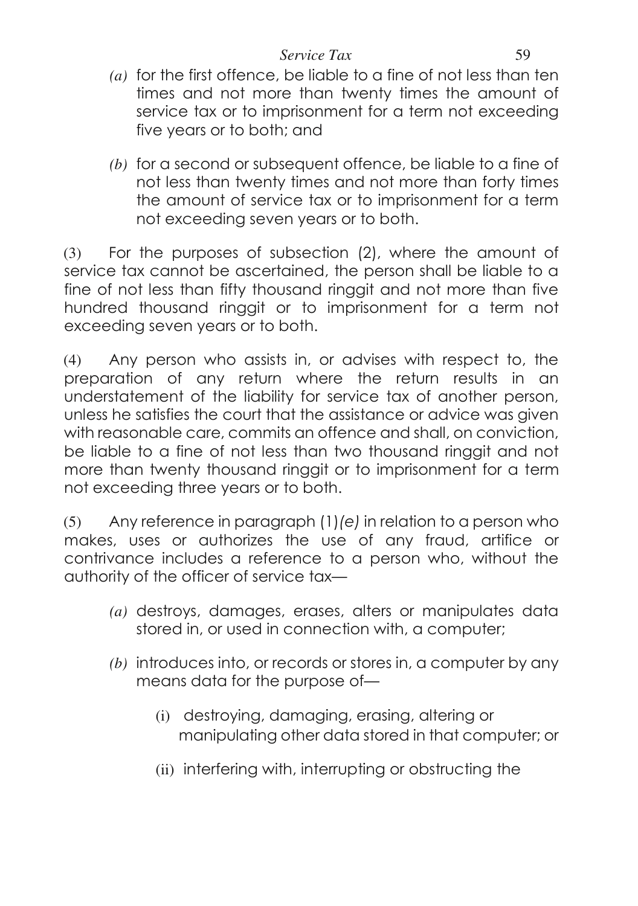- *(a)* for the first offence, be liable to a fine of not less than ten times and not more than twenty times the amount of service tax or to imprisonment for a term not exceeding five years or to both; and
- *(b)* for a second or subsequent offence, be liable to a fine of not less than twenty times and not more than forty times the amount of service tax or to imprisonment for a term not exceeding seven years or to both.

(3) For the purposes of subsection (2), where the amount of service tax cannot be ascertained, the person shall be liable to a fine of not less than fifty thousand ringgit and not more than five hundred thousand ringgit or to imprisonment for a term not exceeding seven years or to both.

(4) Any person who assists in, or advises with respect to, the preparation of any return where the return results in an understatement of the liability for service tax of another person, unless he satisfies the court that the assistance or advice was given with reasonable care, commits an offence and shall, on conviction, be liable to a fine of not less than two thousand ringgit and not more than twenty thousand ringgit or to imprisonment for a term not exceeding three years or to both.

(5) Any reference in paragraph (1)*(e)* in relation to a person who makes, uses or authorizes the use of any fraud, artifice or contrivance includes a reference to a person who, without the authority of the officer of service tax—

- *(a)* destroys, damages, erases, alters or manipulates data stored in, or used in connection with, a computer;
- *(b)* introduces into, or records or stores in, a computer by any means data for the purpose of—
	- (i) destroying, damaging, erasing, altering or manipulating other data stored in that computer; or
	- (ii) interfering with, interrupting or obstructing the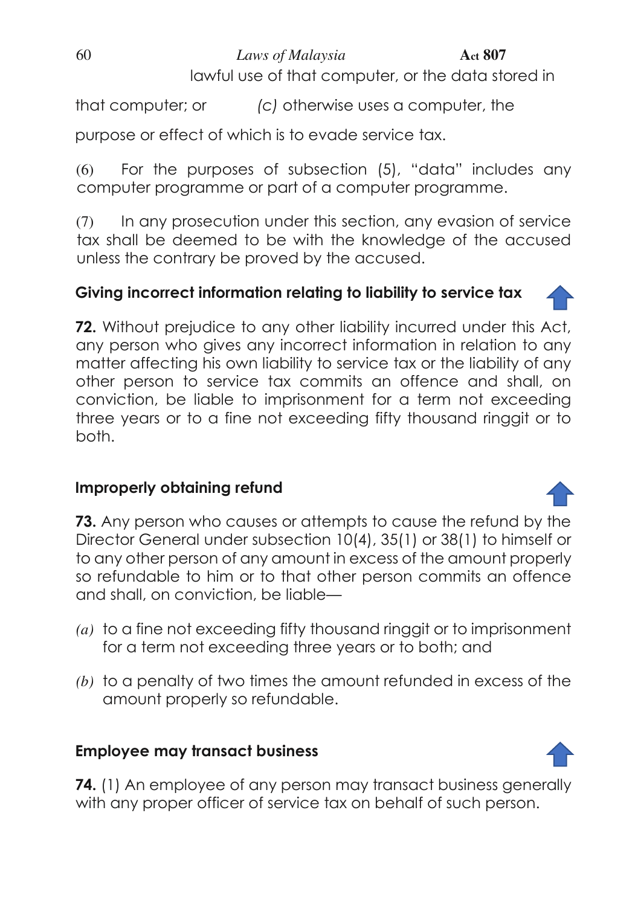# 60 *Laws of Malaysia* **Act 807**

lawful use of that computer, or the data stored in

that computer; or *(c)* otherwise uses a computer, the

purpose or effect of which is to evade service tax.

(6) For the purposes of subsection (5), "data" includes any computer programme or part of a computer programme.

(7) In any prosecution under this section, any evasion of service tax shall be deemed to be with the knowledge of the accused unless the contrary be proved by the accused.

# **Giving incorrect information relating to liability to service tax**

**72.** Without prejudice to any other liability incurred under this Act, any person who gives any incorrect information in relation to any matter affecting his own liability to service tax or the liability of any other person to service tax commits an offence and shall, on conviction, be liable to imprisonment for a term not exceeding three years or to a fine not exceeding fifty thousand ringgit or to both.

# **Improperly obtaining refund**

**73.** Any person who causes or attempts to cause the refund by the Director General under subsection 10(4), 35(1) or 38(1) to himself or to any other person of any amount in excess of the amount properly so refundable to him or to that other person commits an offence and shall, on conviction, be liable—

- *(a)* to a fine not exceeding fifty thousand ringgit or to imprisonment for a term not exceeding three years or to both; and
- *(b)* to a penalty of two times the amount refunded in excess of the amount properly so refundable.

# **Employee may transact business**

**74.** (1) An employee of any person may transact business generally with any proper officer of service tax on behalf of such person.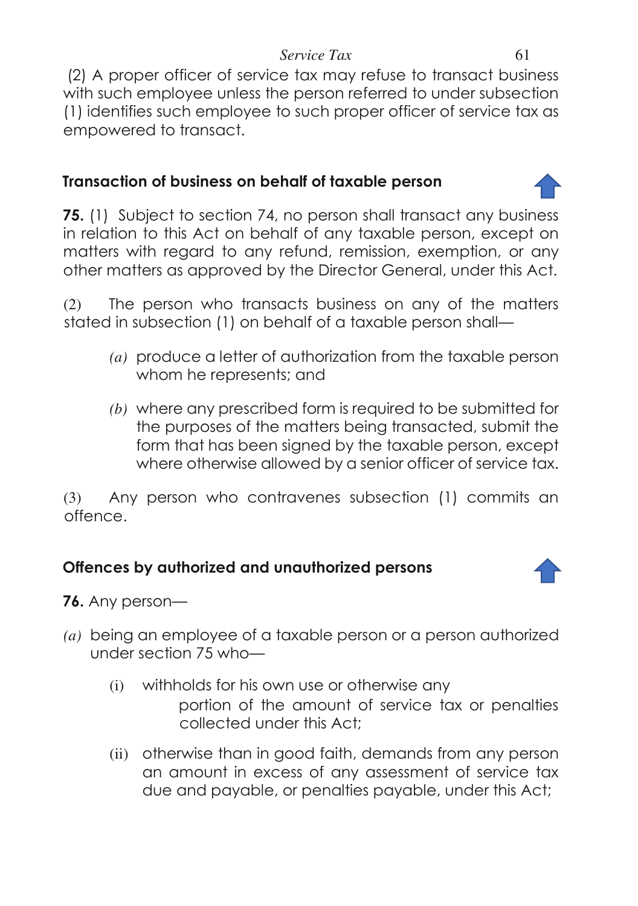(2) A proper officer of service tax may refuse to transact business with such employee unless the person referred to under subsection (1) identifies such employee to such proper officer of service tax as empowered to transact.

### **Transaction of business on behalf of taxable person**

**75.** (1) Subject to section 74, no person shall transact any business in relation to this Act on behalf of any taxable person, except on matters with regard to any refund, remission, exemption, or any other matters as approved by the Director General, under this Act.

(2) The person who transacts business on any of the matters stated in subsection (1) on behalf of a taxable person shall—

- *(a)* produce a letter of authorization from the taxable person whom he represents; and
- *(b)* where any prescribed form is required to be submitted for the purposes of the matters being transacted, submit the form that has been signed by the taxable person, except where otherwise allowed by a senior officer of service tax.

(3) Any person who contravenes subsection (1) commits an offence.

# **Offences by authorized and unauthorized persons**



**76.** Any person—

- *(a)* being an employee of a taxable person or a person authorized under section 75 who—
	- (i) withholds for his own use or otherwise any portion of the amount of service tax or penalties collected under this Act;
	- (ii) otherwise than in good faith, demands from any person an amount in excess of any assessment of service tax due and payable, or penalties payable, under this Act;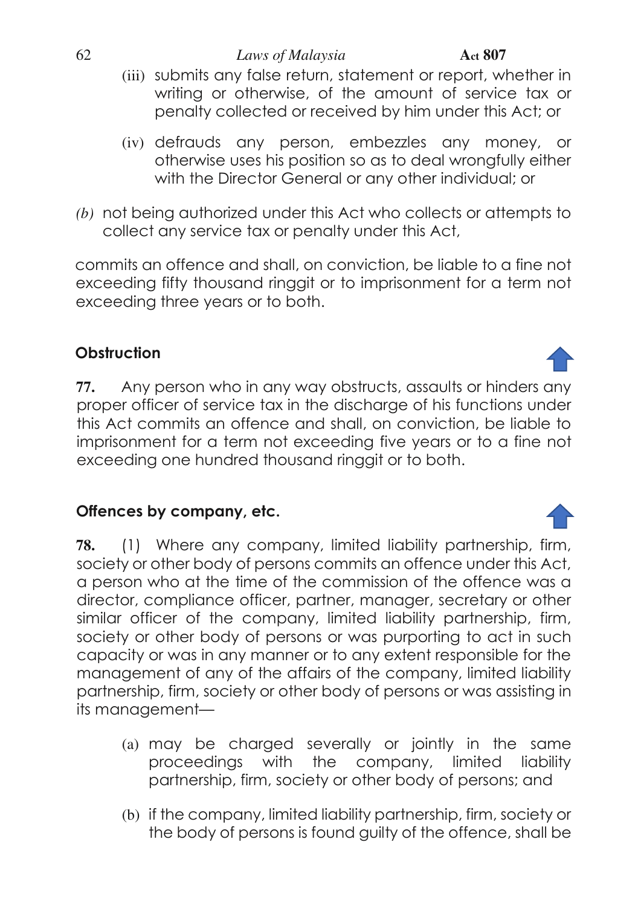- 
- (iii) submits any false return, statement or report, whether in writing or otherwise, of the amount of service tax or penalty collected or received by him under this Act; or
- (iv) defrauds any person, embezzles any money, or otherwise uses his position so as to deal wrongfully either with the Director General or any other individual; or
- *(b)* not being authorized under this Act who collects or attempts to collect any service tax or penalty under this Act,

commits an offence and shall, on conviction, be liable to a fine not exceeding fifty thousand ringgit or to imprisonment for a term not exceeding three years or to both.

# **Obstruction**

**77.** Any person who in any way obstructs, assaults or hinders any proper officer of service tax in the discharge of his functions under this Act commits an offence and shall, on conviction, be liable to imprisonment for a term not exceeding five years or to a fine not exceeding one hundred thousand ringgit or to both.

# **Offences by company, etc.**

**78.** (1) Where any company, limited liability partnership, firm, society or other body of persons commits an offence under this Act, a person who at the time of the commission of the offence was a director, compliance officer, partner, manager, secretary or other similar officer of the company, limited liability partnership, firm, society or other body of persons or was purporting to act in such capacity or was in any manner or to any extent responsible for the management of any of the affairs of the company, limited liability partnership, firm, society or other body of persons or was assisting in its management—

- (a) may be charged severally or jointly in the same proceedings with the company, limited liability partnership, firm, society or other body of persons; and
- (b) if the company, limited liability partnership, firm, society or the body of persons is found guilty of the offence, shall be

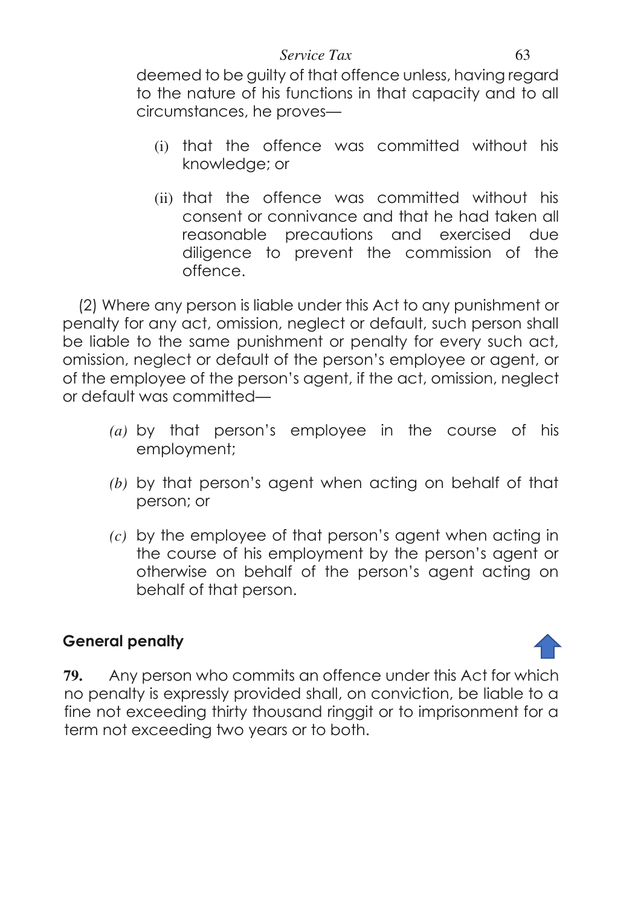deemed to be guilty of that offence unless, having regard to the nature of his functions in that capacity and to all circumstances, he proves—

- (i) that the offence was committed without his knowledge; or
- (ii) that the offence was committed without his consent or connivance and that he had taken all reasonable precautions and exercised due diligence to prevent the commission of the offence.

(2) Where any person is liable under this Act to any punishment or penalty for any act, omission, neglect or default, such person shall be liable to the same punishment or penalty for every such act, omission, neglect or default of the person's employee or agent, or of the employee of the person's agent, if the act, omission, neglect or default was committed—

- *(a)* by that person's employee in the course of his employment;
- *(b)* by that person's agent when acting on behalf of that person; or
- *(c)* by the employee of that person's agent when acting in the course of his employment by the person's agent or otherwise on behalf of the person's agent acting on behalf of that person.

# **General penalty**

**79.** Any person who commits an offence under this Act for which no penalty is expressly provided shall, on conviction, be liable to a fine not exceeding thirty thousand ringgit or to imprisonment for a term not exceeding two years or to both.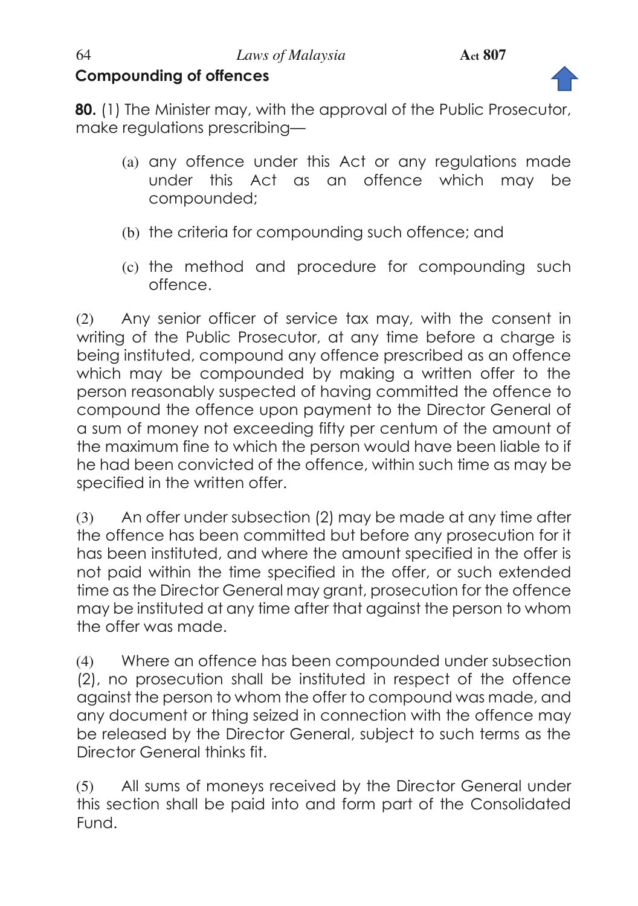# **Compounding of offences**



**80.** (1) The Minister may, with the approval of the Public Prosecutor, make regulations prescribing—

- (a) any offence under this Act or any regulations made under this Act as an offence which may be compounded;
- (b) the criteria for compounding such offence; and
- (c) the method and procedure for compounding such offence.

(2) Any senior officer of service tax may, with the consent in writing of the Public Prosecutor, at any time before a charge is being instituted, compound any offence prescribed as an offence which may be compounded by making a written offer to the person reasonably suspected of having committed the offence to compound the offence upon payment to the Director General of a sum of money not exceeding fifty per centum of the amount of the maximum fine to which the person would have been liable to if he had been convicted of the offence, within such time as may be specified in the written offer.

(3) An offer under subsection (2) may be made at any time after the offence has been committed but before any prosecution for it has been instituted, and where the amount specified in the offer is not paid within the time specified in the offer, or such extended time as the Director General may grant, prosecution for the offence may be instituted at any time after that against the person to whom the offer was made.

(4) Where an offence has been compounded under subsection (2), no prosecution shall be instituted in respect of the offence against the person to whom the offer to compound was made, and any document or thing seized in connection with the offence may be released by the Director General, subject to such terms as the Director General thinks fit.

(5) All sums of moneys received by the Director General under this section shall be paid into and form part of the Consolidated Fund.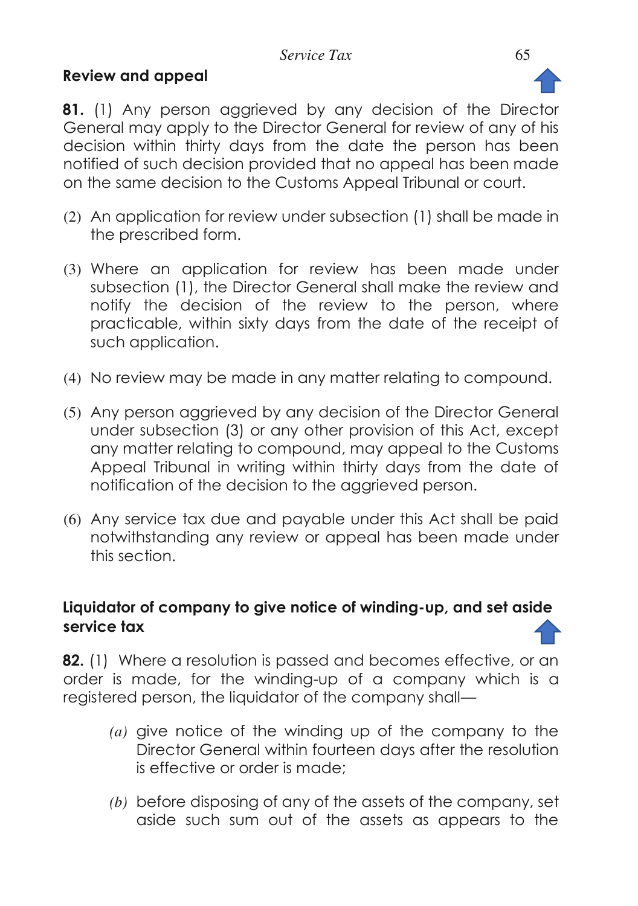# **Review and appeal**



**81.** (1) Any person aggrieved by any decision of the Director General may apply to the Director General for review of any of his decision within thirty days from the date the person has been notified of such decision provided that no appeal has been made on the same decision to the Customs Appeal Tribunal or court.

- (2) An application for review under subsection (1) shall be made in the prescribed form.
- (3) Where an application for review has been made under subsection (1), the Director General shall make the review and notify the decision of the review to the person, where practicable, within sixty days from the date of the receipt of such application.
- (4) No review may be made in any matter relating to compound.
- (5) Any person aggrieved by any decision of the Director General under subsection (3) or any other provision of this Act, except any matter relating to compound, may appeal to the Customs Appeal Tribunal in writing within thirty days from the date of notification of the decision to the aggrieved person.
- (6) Any service tax due and payable under this Act shall be paid notwithstanding any review or appeal has been made under this section.

# **Liquidator of company to give notice of winding-up, and set aside service tax**

**82.** (1) Where a resolution is passed and becomes effective, or an order is made, for the winding-up of a company which is a registered person, the liquidator of the company shall—

- *(a)* give notice of the winding up of the company to the Director General within fourteen days after the resolution is effective or order is made;
- *(b)* before disposing of any of the assets of the company, set aside such sum out of the assets as appears to the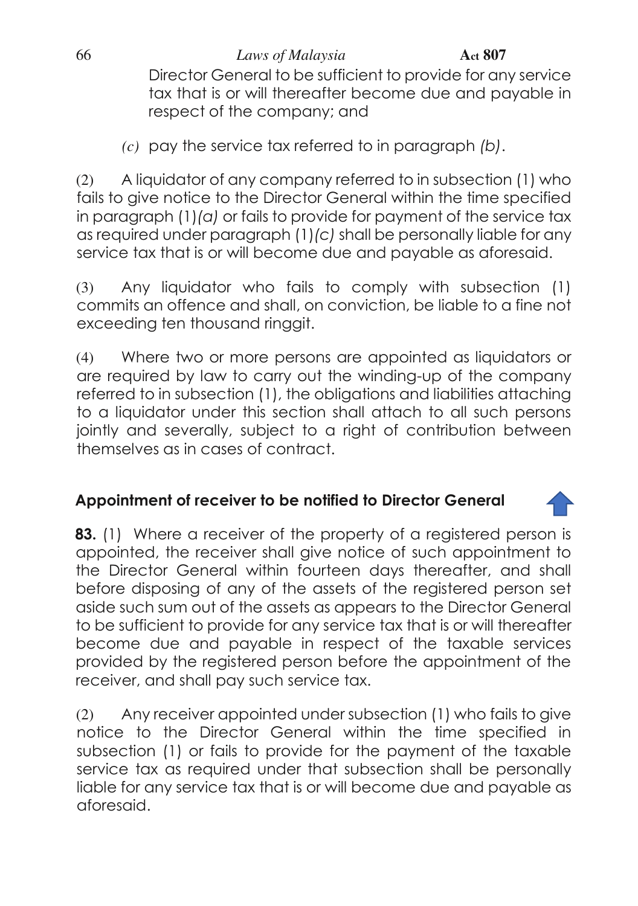66 *Laws of Malaysia* **Act 807**

Director General to be sufficient to provide for any service tax that is or will thereafter become due and payable in respect of the company; and

*(c)* pay the service tax referred to in paragraph *(b)*.

(2) A liquidator of any company referred to in subsection (1) who fails to give notice to the Director General within the time specified in paragraph (1)*(a)* or fails to provide for payment of the service tax as required under paragraph (1)*(c)* shall be personally liable for any service tax that is or will become due and payable as aforesaid.

(3) Any liquidator who fails to comply with subsection (1) commits an offence and shall, on conviction, be liable to a fine not exceeding ten thousand ringgit.

(4) Where two or more persons are appointed as liquidators or are required by law to carry out the winding-up of the company referred to in subsection (1), the obligations and liabilities attaching to a liquidator under this section shall attach to all such persons jointly and severally, subject to a right of contribution between themselves as in cases of contract.

# **Appointment of receiver to be notified to Director General**

**83.** (1) Where a receiver of the property of a registered person is appointed, the receiver shall give notice of such appointment to the Director General within fourteen days thereafter, and shall before disposing of any of the assets of the registered person set aside such sum out of the assets as appears to the Director General to be sufficient to provide for any service tax that is or will thereafter become due and payable in respect of the taxable services provided by the registered person before the appointment of the receiver, and shall pay such service tax.

(2) Any receiver appointed under subsection (1) who fails to give notice to the Director General within the time specified in subsection (1) or fails to provide for the payment of the taxable service tax as required under that subsection shall be personally liable for any service tax that is or will become due and payable as aforesaid.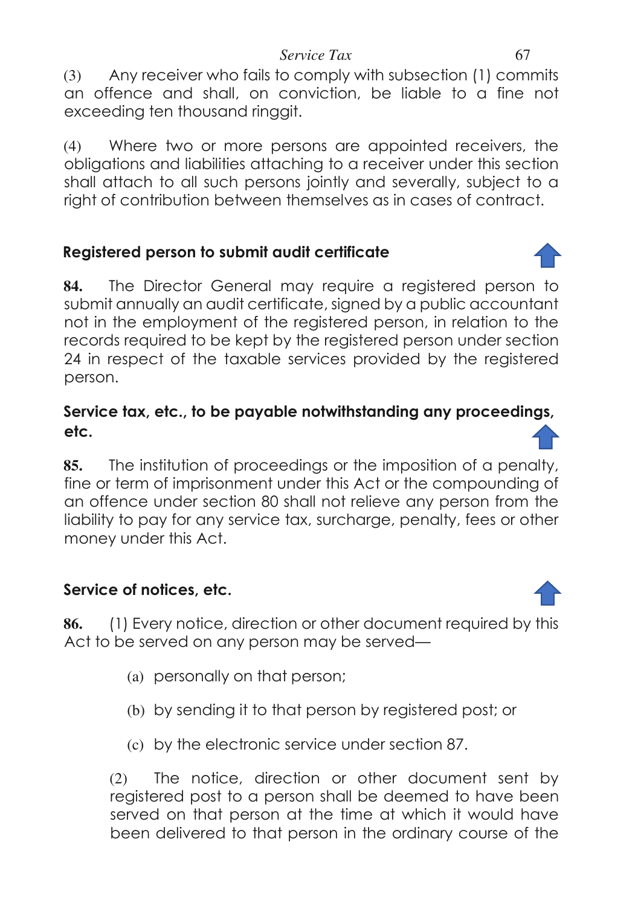(3) Any receiver who fails to comply with subsection (1) commits an offence and shall, on conviction, be liable to a fine not exceeding ten thousand ringgit.

(4) Where two or more persons are appointed receivers, the obligations and liabilities attaching to a receiver under this section shall attach to all such persons jointly and severally, subject to a right of contribution between themselves as in cases of contract.

# **Registered person to submit audit certificate**

**84.** The Director General may require a registered person to submit annually an audit certificate, signed by a public accountant not in the employment of the registered person, in relation to the records required to be kept by the registered person under section 24 in respect of the taxable services provided by the registered person.

# **Service tax, etc., to be payable notwithstanding any proceedings, etc.**

**85.** The institution of proceedings or the imposition of a penalty, fine or term of imprisonment under this Act or the compounding of an offence under section 80 shall not relieve any person from the liability to pay for any service tax, surcharge, penalty, fees or other money under this Act.

# **Service of notices, etc.**

**86.** (1) Every notice, direction or other document required by this Act to be served on any person may be served—

- (a) personally on that person;
- (b) by sending it to that person by registered post; or
- (c) by the electronic service under section 87.

(2) The notice, direction or other document sent by registered post to a person shall be deemed to have been served on that person at the time at which it would have been delivered to that person in the ordinary course of the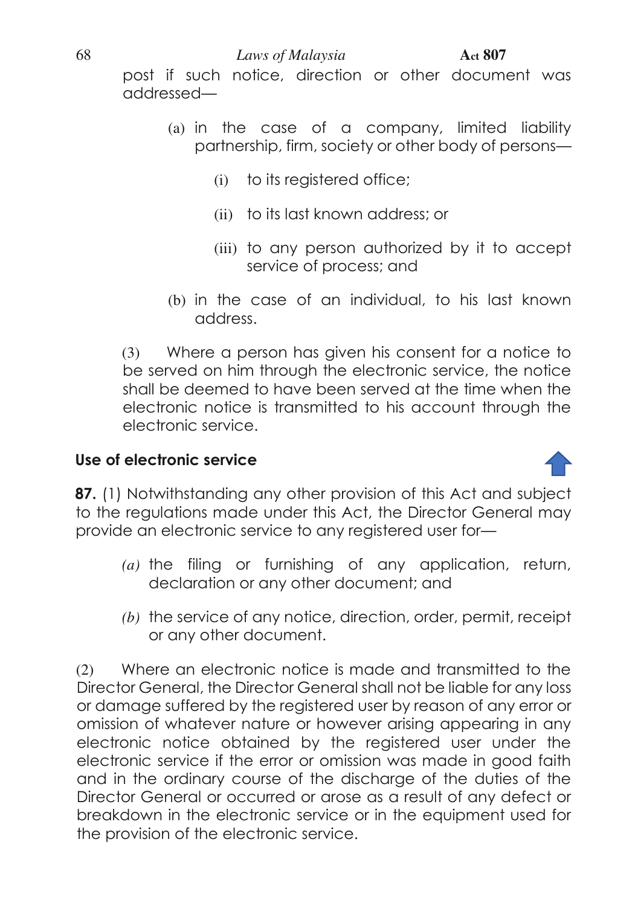post if such notice, direction or other document was addressed—

- (a) in the case of a company, limited liability partnership, firm, society or other body of persons—
	- (i) to its registered office;
	- (ii) to its last known address; or
	- (iii) to any person authorized by it to accept service of process; and
- (b) in the case of an individual, to his last known address.

(3) Where a person has given his consent for a notice to be served on him through the electronic service, the notice shall be deemed to have been served at the time when the electronic notice is transmitted to his account through the electronic service.

# **Use of electronic service**



- *(a)* the filing or furnishing of any application, return, declaration or any other document; and
- *(b)* the service of any notice, direction, order, permit, receipt or any other document.

(2) Where an electronic notice is made and transmitted to the Director General, the Director General shall not be liable for any loss or damage suffered by the registered user by reason of any error or omission of whatever nature or however arising appearing in any electronic notice obtained by the registered user under the electronic service if the error or omission was made in good faith and in the ordinary course of the discharge of the duties of the Director General or occurred or arose as a result of any defect or breakdown in the electronic service or in the equipment used for the provision of the electronic service.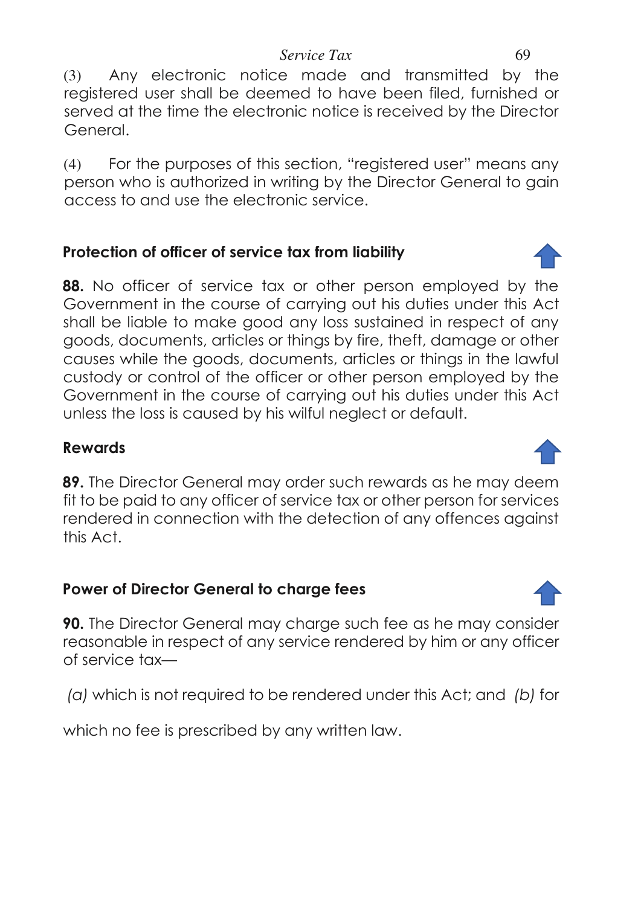(3) Any electronic notice made and transmitted by the registered user shall be deemed to have been filed, furnished or served at the time the electronic notice is received by the Director General.

(4) For the purposes of this section, "registered user" means any person who is authorized in writing by the Director General to gain access to and use the electronic service.

# **Protection of officer of service tax from liability**

**88.** No officer of service tax or other person employed by the Government in the course of carrying out his duties under this Act shall be liable to make good any loss sustained in respect of any goods, documents, articles or things by fire, theft, damage or other causes while the goods, documents, articles or things in the lawful custody or control of the officer or other person employed by the Government in the course of carrying out his duties under this Act unless the loss is caused by his wilful neglect or default.

### **Rewards**

**89.** The Director General may order such rewards as he may deem fit to be paid to any officer of service tax or other person for services rendered in connection with the detection of any offences against this Act.

# **Power of Director General to charge fees**

**90.** The Director General may charge such fee as he may consider reasonable in respect of any service rendered by him or any officer of service tax—

 *(a)* which is not required to be rendered under this Act; and *(b)* for

which no fee is prescribed by any written law.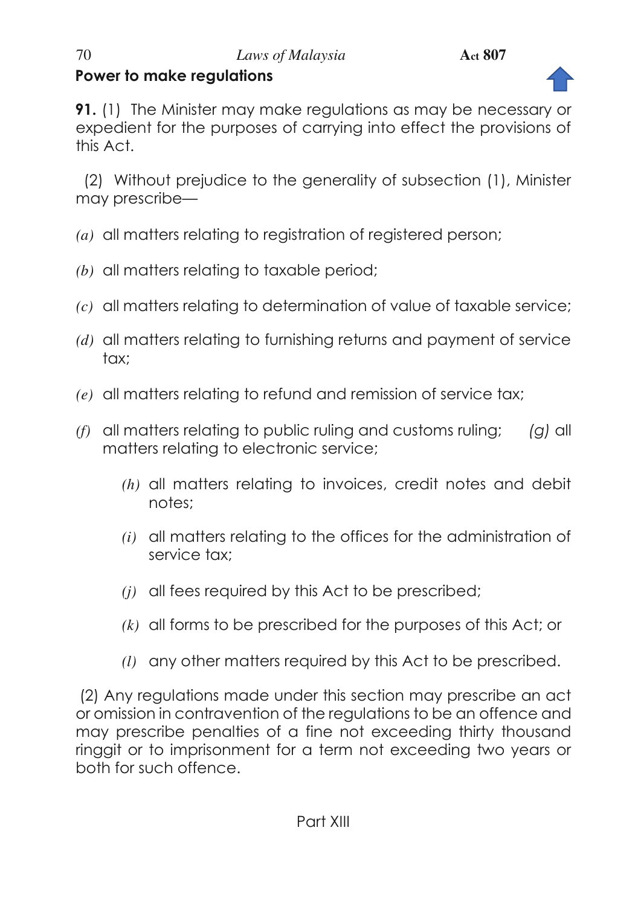

**91.** (1) The Minister may make regulations as may be necessary or expedient for the purposes of carrying into effect the provisions of this Act.

 (2) Without prejudice to the generality of subsection (1), Minister may prescribe—

- *(a)* all matters relating to registration of registered person;
- *(b)* all matters relating to taxable period;
- *(c)* all matters relating to determination of value of taxable service;
- *(d)* all matters relating to furnishing returns and payment of service tax:
- *(e)* all matters relating to refund and remission of service tax;
- *(f)* all matters relating to public ruling and customs ruling; *(g)* all matters relating to electronic service;
	- *(h)* all matters relating to invoices, credit notes and debit notes;
	- *(i)* all matters relating to the offices for the administration of service tax;
	- *(j)* all fees required by this Act to be prescribed;
	- *(k)* all forms to be prescribed for the purposes of this Act; or
	- *(l)* any other matters required by this Act to be prescribed.

(2) Any regulations made under this section may prescribe an act or omission in contravention of the regulations to be an offence and may prescribe penalties of a fine not exceeding thirty thousand ringgit or to imprisonment for a term not exceeding two years or both for such offence.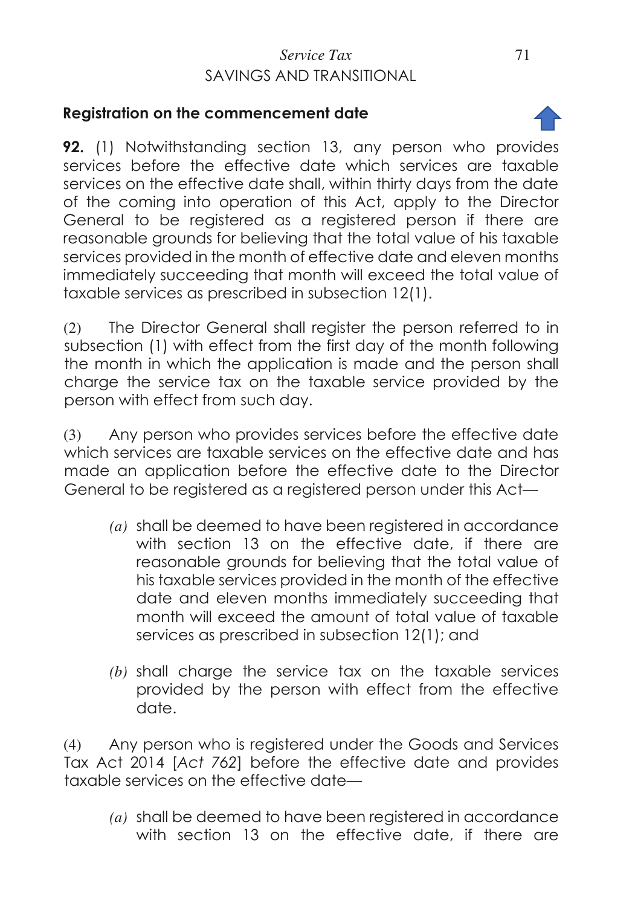# *Service Tax* 71 SAVINGS AND TRANSITIONAL

### **Registration on the commencement date**

**92.** (1) Notwithstanding section 13, any person who provides services before the effective date which services are taxable services on the effective date shall, within thirty days from the date of the coming into operation of this Act, apply to the Director General to be registered as a registered person if there are reasonable grounds for believing that the total value of his taxable services provided in the month of effective date and eleven months immediately succeeding that month will exceed the total value of taxable services as prescribed in subsection 12(1).

(2) The Director General shall register the person referred to in subsection (1) with effect from the first day of the month following the month in which the application is made and the person shall charge the service tax on the taxable service provided by the person with effect from such day.

(3) Any person who provides services before the effective date which services are taxable services on the effective date and has made an application before the effective date to the Director General to be registered as a registered person under this Act—

- *(a)* shall be deemed to have been registered in accordance with section 13 on the effective date, if there are reasonable grounds for believing that the total value of his taxable services provided in the month of the effective date and eleven months immediately succeeding that month will exceed the amount of total value of taxable services as prescribed in subsection 12(1); and
- *(b)* shall charge the service tax on the taxable services provided by the person with effect from the effective date.

(4) Any person who is registered under the Goods and Services Tax Act 2014 [*Act 762*] before the effective date and provides taxable services on the effective date—

*(a)* shall be deemed to have been registered in accordance with section 13 on the effective date, if there are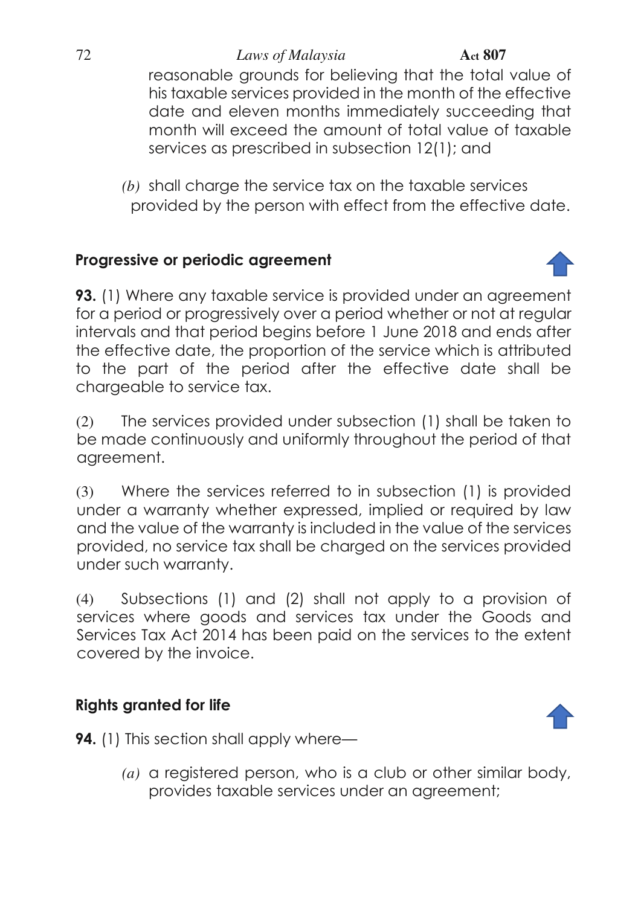reasonable grounds for believing that the total value of his taxable services provided in the month of the effective date and eleven months immediately succeeding that month will exceed the amount of total value of taxable services as prescribed in subsection 12(1); and

*(b)* shall charge the service tax on the taxable services provided by the person with effect from the effective date.

# **Progressive or periodic agreement**

**93.** (1) Where any taxable service is provided under an agreement for a period or progressively over a period whether or not at regular intervals and that period begins before 1 June 2018 and ends after the effective date, the proportion of the service which is attributed to the part of the period after the effective date shall be chargeable to service tax.

(2) The services provided under subsection (1) shall be taken to be made continuously and uniformly throughout the period of that agreement.

(3) Where the services referred to in subsection (1) is provided under a warranty whether expressed, implied or required by law and the value of the warranty is included in the value of the services provided, no service tax shall be charged on the services provided under such warranty.

(4) Subsections (1) and (2) shall not apply to a provision of services where goods and services tax under the Goods and Services Tax Act 2014 has been paid on the services to the extent covered by the invoice.

# **Rights granted for life**



**94.** (1) This section shall apply where—

*(a)* a registered person, who is a club or other similar body, provides taxable services under an agreement;